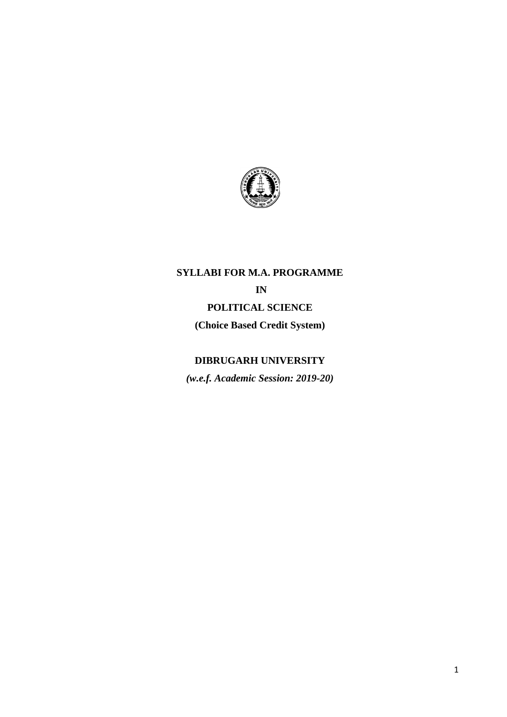

# **SYLLABI FOR M.A. PROGRAMME IN POLITICAL SCIENCE (Choice Based Credit System)**

# **DIBRUGARH UNIVERSITY**

*(w.e.f. Academic Session: 2019-20)*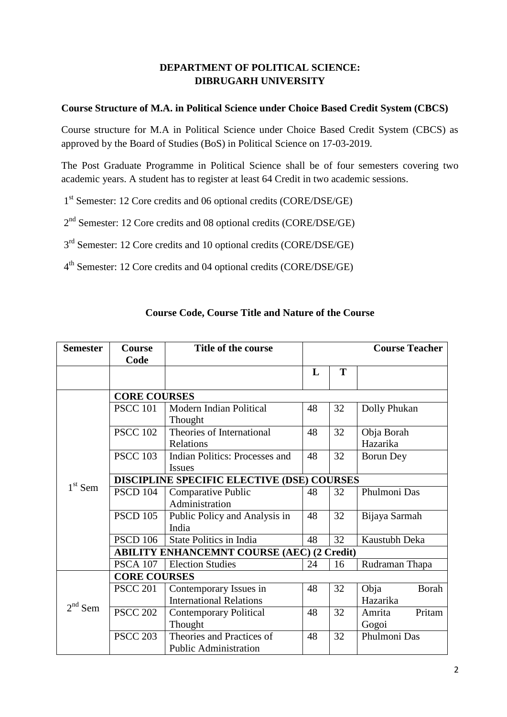# **DEPARTMENT OF POLITICAL SCIENCE: DIBRUGARH UNIVERSITY**

## **Course Structure of M.A. in Political Science under Choice Based Credit System (CBCS)**

Course structure for M.A in Political Science under Choice Based Credit System (CBCS) as approved by the Board of Studies (BoS) in Political Science on 17-03-2019.

The Post Graduate Programme in Political Science shall be of four semesters covering two academic years. A student has to register at least 64 Credit in two academic sessions.

1<sup>st</sup> Semester: 12 Core credits and 06 optional credits (CORE/DSE/GE)

2<sup>nd</sup> Semester: 12 Core credits and 08 optional credits (CORE/DSE/GE)

3<sup>rd</sup> Semester: 12 Core credits and 10 optional credits (CORE/DSE/GE)

4<sup>th</sup> Semester: 12 Core credits and 04 optional credits (CORE/DSE/GE)

| <b>Semester</b> | <b>Course</b>                                     | Title of the course                   | <b>Course Teacher</b> |            |                  |  |  |
|-----------------|---------------------------------------------------|---------------------------------------|-----------------------|------------|------------------|--|--|
|                 | Code                                              |                                       |                       |            |                  |  |  |
|                 |                                                   |                                       | L                     | T          |                  |  |  |
|                 |                                                   |                                       |                       |            |                  |  |  |
|                 | <b>CORE COURSES</b>                               |                                       |                       |            |                  |  |  |
|                 | <b>PSCC 101</b>                                   | Modern Indian Political               | 48                    | 32         | Dolly Phukan     |  |  |
|                 |                                                   | Thought                               |                       |            |                  |  |  |
|                 | <b>PSCC 102</b>                                   | Theories of International<br>32<br>48 |                       | Obja Borah |                  |  |  |
|                 |                                                   | Relations                             |                       |            | Hazarika         |  |  |
|                 | <b>PSCC 103</b>                                   | Indian Politics: Processes and        | 48                    | 32         | <b>Borun Dey</b> |  |  |
|                 |                                                   | <b>Issues</b>                         |                       |            |                  |  |  |
|                 | DISCIPLINE SPECIFIC ELECTIVE (DSE) COURSES        |                                       |                       |            |                  |  |  |
| $1st$ Sem       | <b>PSCD 104</b>                                   | Comparative Public                    | 48                    | 32         | Phulmoni Das     |  |  |
|                 |                                                   | Administration                        |                       |            |                  |  |  |
|                 | <b>PSCD 105</b>                                   | Public Policy and Analysis in         | 48                    | 32         | Bijaya Sarmah    |  |  |
|                 |                                                   | India                                 |                       |            |                  |  |  |
|                 | <b>PSCD 106</b>                                   | State Politics in India               | 48                    | 32         | Kaustubh Deka    |  |  |
|                 | <b>ABILITY ENHANCEMNT COURSE (AEC) (2 Credit)</b> |                                       |                       |            |                  |  |  |
|                 | <b>PSCA 107</b>                                   | <b>Election Studies</b>               | 24                    | 16         | Rudraman Thapa   |  |  |
|                 | <b>CORE COURSES</b>                               |                                       |                       |            |                  |  |  |
|                 | <b>PSCC 201</b>                                   | Contemporary Issues in                | 48                    | 32         | Obja<br>Borah    |  |  |
|                 |                                                   | <b>International Relations</b>        |                       |            | Hazarika         |  |  |
| $2nd$ Sem       | <b>PSCC 202</b>                                   | <b>Contemporary Political</b>         | 48                    | 32         | Pritam<br>Amrita |  |  |
|                 |                                                   | Thought                               |                       |            | Gogoi            |  |  |
|                 | <b>PSCC 203</b>                                   | Theories and Practices of             | 48                    | 32         | Phulmoni Das     |  |  |
|                 |                                                   | <b>Public Administration</b>          |                       |            |                  |  |  |

### **Course Code, Course Title and Nature of the Course**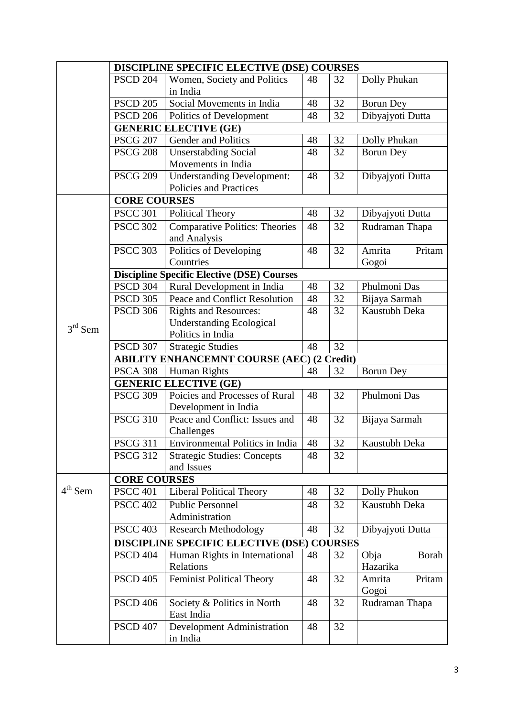|           | DISCIPLINE SPECIFIC ELECTIVE (DSE) COURSES |                                                   |    |                |                  |  |
|-----------|--------------------------------------------|---------------------------------------------------|----|----------------|------------------|--|
|           | <b>PSCD 204</b>                            | Women, Society and Politics                       | 48 | 32             | Dolly Phukan     |  |
|           |                                            | in India                                          |    |                |                  |  |
|           | <b>PSCD 205</b>                            | Social Movements in India                         | 48 | 32             | <b>Borun Dey</b> |  |
|           | <b>PSCD 206</b>                            | Politics of Development                           | 48 | 32             | Dibyajyoti Dutta |  |
|           |                                            | <b>GENERIC ELECTIVE (GE)</b>                      |    |                |                  |  |
|           | <b>PSCG 207</b>                            | Gender and Politics                               | 48 | 32             | Dolly Phukan     |  |
|           | <b>PSCG 208</b>                            | <b>Unserstabding Social</b>                       | 48 | 32             | <b>Borun Dey</b> |  |
|           |                                            | Movements in India                                |    |                |                  |  |
|           | <b>PSCG 209</b>                            | <b>Understanding Development:</b>                 | 48 | 32             | Dibyajyoti Dutta |  |
|           |                                            | Policies and Practices                            |    |                |                  |  |
|           | <b>CORE COURSES</b>                        |                                                   |    |                |                  |  |
|           | <b>PSCC 301</b>                            | <b>Political Theory</b>                           | 48 | 32             | Dibyajyoti Dutta |  |
|           | <b>PSCC 302</b>                            | <b>Comparative Politics: Theories</b>             | 48 | 32             | Rudraman Thapa   |  |
|           |                                            | and Analysis                                      |    |                |                  |  |
|           | <b>PSCC 303</b>                            | Politics of Developing                            | 48 | 32             | Amrita<br>Pritam |  |
|           |                                            | Countries                                         |    |                | Gogoi            |  |
|           |                                            | <b>Discipline Specific Elective (DSE) Courses</b> |    |                |                  |  |
|           | <b>PSCD 304</b>                            | Rural Development in India                        | 48 | 32             | Phulmoni Das     |  |
|           | <b>PSCD 305</b>                            | Peace and Conflict Resolution                     | 48 | 32             | Bijaya Sarmah    |  |
|           | <b>PSCD 306</b>                            | <b>Rights and Resources:</b>                      | 48 | 32             | Kaustubh Deka    |  |
| $3rd$ Sem |                                            | <b>Understanding Ecological</b>                   |    |                |                  |  |
|           |                                            | Politics in India                                 |    |                |                  |  |
|           | <b>PSCD 307</b>                            | <b>Strategic Studies</b>                          | 48 | 32             |                  |  |
|           |                                            | <b>ABILITY ENHANCEMNT COURSE (AEC) (2 Credit)</b> |    |                |                  |  |
|           | <b>PSCA 308</b>                            | Human Rights                                      | 48 | 32             | <b>Borun Dey</b> |  |
|           |                                            | <b>GENERIC ELECTIVE (GE)</b>                      |    |                |                  |  |
|           | <b>PSCG 309</b>                            | Poicies and Processes of Rural                    | 48 | 32             | Phulmoni Das     |  |
|           |                                            | Development in India                              |    |                |                  |  |
|           | <b>PSCG 310</b>                            | Peace and Conflict: Issues and                    | 48 | 32             | Bijaya Sarmah    |  |
|           |                                            | Challenges                                        |    |                |                  |  |
|           | <b>PSCG 311</b>                            | <b>Environmental Politics in India</b>            | 48 | 32             | Kaustubh Deka    |  |
|           | <b>PSCG 312</b>                            | <b>Strategic Studies: Concepts</b>                | 48 | 32             |                  |  |
|           |                                            | and Issues                                        |    |                |                  |  |
|           | <b>CORE COURSES</b>                        |                                                   |    |                |                  |  |
| $4th$ Sem | <b>PSCC 401</b>                            | <b>Liberal Political Theory</b>                   | 48 | 32             | Dolly Phukon     |  |
|           | <b>PSCC 402</b>                            | <b>Public Personnel</b>                           | 48 | 32             | Kaustubh Deka    |  |
|           |                                            | Administration                                    |    |                |                  |  |
|           | <b>PSCC 403</b>                            | <b>Research Methodology</b>                       | 48 | 32             | Dibyajyoti Dutta |  |
|           |                                            | <b>DISCIPLINE SPECIFIC ELECTIVE (DSE)</b>         |    | <b>COURSES</b> |                  |  |
|           | <b>PSCD 404</b>                            | Human Rights in International                     | 48 | 32             | Obja<br>Borah    |  |
|           |                                            | Relations                                         |    |                | Hazarika         |  |
|           | <b>PSCD 405</b>                            | <b>Feminist Political Theory</b>                  | 48 | 32             | Pritam<br>Amrita |  |
|           |                                            |                                                   |    |                | Gogoi            |  |
|           | <b>PSCD 406</b>                            | Society & Politics in North                       | 48 | 32             | Rudraman Thapa   |  |
|           |                                            | East India                                        |    |                |                  |  |
|           | <b>PSCD 407</b>                            | Development Administration                        | 48 | 32             |                  |  |
|           |                                            | in India                                          |    |                |                  |  |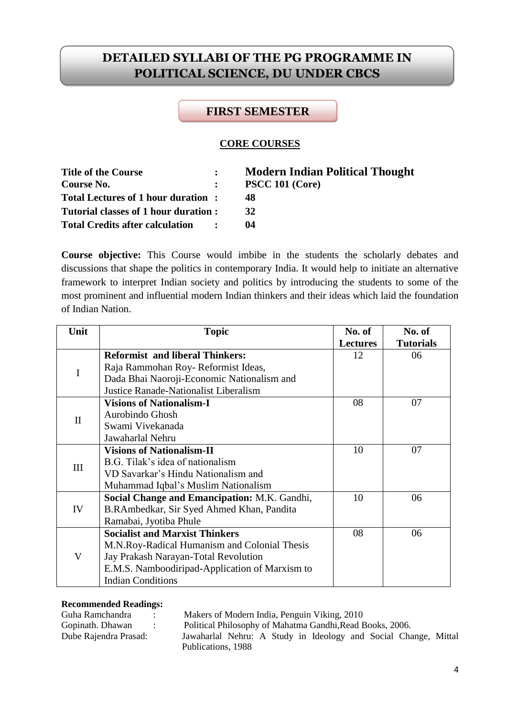# **DETAILED SYLLABI OF THE PG PROGRAMME IN POLITICAL SCIENCE, DU UNDER CBCS**

# **FIRST SEMESTER**

### **CORE COURSES**

| <b>Title of the Course</b>           | $\mathbf{L}$ | <b>Modern Indian Political Thought</b> |
|--------------------------------------|--------------|----------------------------------------|
| Course No.                           |              | $\therefore$ PSCC 101 (Core)           |
| Total Lectures of 1 hour duration:   |              | 48                                     |
| Tutorial classes of 1 hour duration: |              | 32                                     |
| Total Credits after calculation :    |              | $^{14}$                                |

**Course objective:** This Course would imbibe in the students the scholarly debates and discussions that shape the politics in contemporary India. It would help to initiate an alternative framework to interpret Indian society and politics by introducing the students to some of the most prominent and influential modern Indian thinkers and their ideas which laid the foundation of Indian Nation.

| Unit         | <b>Topic</b>                                   | No. of          | No. of           |
|--------------|------------------------------------------------|-----------------|------------------|
|              |                                                | <b>Lectures</b> | <b>Tutorials</b> |
|              | <b>Reformist and liberal Thinkers:</b>         | 12              | 06               |
| I            | Raja Rammohan Roy-Reformist Ideas,             |                 |                  |
|              | Dada Bhai Naoroji-Economic Nationalism and     |                 |                  |
|              | Justice Ranade-Nationalist Liberalism          |                 |                  |
|              | <b>Visions of Nationalism-I</b>                | 08              | 07               |
| $\mathbf{I}$ | Aurobindo Ghosh                                |                 |                  |
|              | Swami Vivekanada                               |                 |                  |
|              | Jawaharlal Nehru                               |                 |                  |
|              | <b>Visions of Nationalism-II</b>               | 10              | 07               |
| Ш            | B.G. Tilak's idea of nationalism               |                 |                  |
|              | VD Savarkar's Hindu Nationalism and            |                 |                  |
|              | Muhammad Iqbal's Muslim Nationalism            |                 |                  |
|              | Social Change and Emancipation: M.K. Gandhi,   | 10              | 06               |
| IV           | B.RAmbedkar, Sir Syed Ahmed Khan, Pandita      |                 |                  |
|              | Ramabai, Jyotiba Phule                         |                 |                  |
|              | <b>Socialist and Marxist Thinkers</b>          | 08              | 06               |
|              | M.N.Roy-Radical Humanism and Colonial Thesis   |                 |                  |
| V            | Jay Prakash Narayan-Total Revolution           |                 |                  |
|              | E.M.S. Namboodiripad-Application of Marxism to |                 |                  |
|              | <b>Indian Conditions</b>                       |                 |                  |

#### **Recommended Readings:**

Guha Ramchandra : Makers of Modern India, Penguin Viking, 2010 Gopinath. Dhawan : Political Philosophy of Mahatma Gandhi,Read Books, 2006. Dube Rajendra Prasad: Jawaharlal Nehru: A Study in Ideology and Social Change, Mittal Publications, 1988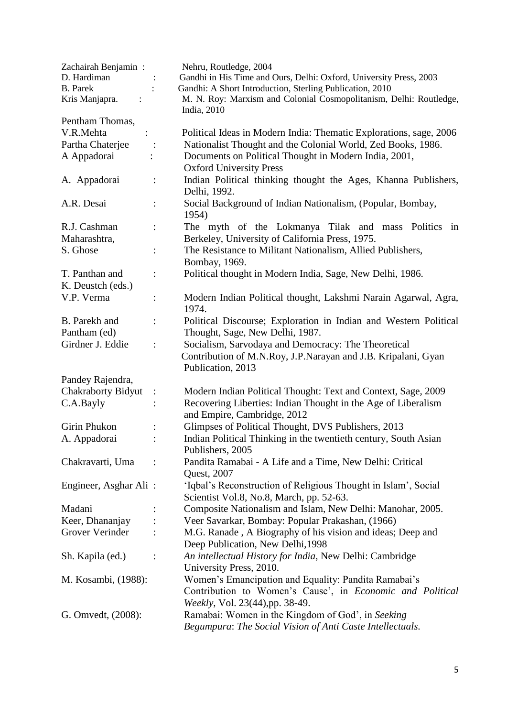| Zachairah Benjamin:                 | Nehru, Routledge, 2004                                                                       |
|-------------------------------------|----------------------------------------------------------------------------------------------|
| D. Hardiman                         | Gandhi in His Time and Ours, Delhi: Oxford, University Press, 2003                           |
| <b>B.</b> Parek                     | Gandhi: A Short Introduction, Sterling Publication, 2010                                     |
| Kris Manjapra.                      | M. N. Roy: Marxism and Colonial Cosmopolitanism, Delhi: Routledge,<br>India, 2010            |
| Pentham Thomas,                     |                                                                                              |
| V.R.Mehta                           | Political Ideas in Modern India: Thematic Explorations, sage, 2006                           |
| Partha Chaterjee                    | Nationalist Thought and the Colonial World, Zed Books, 1986.<br>$\ddot{\cdot}$               |
| A Appadorai                         | Documents on Political Thought in Modern India, 2001,<br><b>Oxford University Press</b>      |
| A. Appadorai                        | Indian Political thinking thought the Ages, Khanna Publishers,<br>Delhi, 1992.               |
| A.R. Desai                          | Social Background of Indian Nationalism, (Popular, Bombay,<br>1954)                          |
| R.J. Cashman                        | The myth of the Lokmanya Tilak and mass Politics<br>in<br>$\ddot{\cdot}$                     |
| Maharashtra,                        | Berkeley, University of California Press, 1975.                                              |
| S. Ghose                            | The Resistance to Militant Nationalism, Allied Publishers,                                   |
|                                     | Bombay, 1969.                                                                                |
| T. Panthan and<br>K. Deustch (eds.) | Political thought in Modern India, Sage, New Delhi, 1986.                                    |
| V.P. Verma                          | Modern Indian Political thought, Lakshmi Narain Agarwal, Agra,                               |
|                                     | 1974.                                                                                        |
| B. Parekh and                       | Political Discourse; Exploration in Indian and Western Political<br>$\ddot{\cdot}$           |
| Pantham (ed)                        | Thought, Sage, New Delhi, 1987.                                                              |
| Girdner J. Eddie                    | Socialism, Sarvodaya and Democracy: The Theoretical<br>$\ddot{\cdot}$                        |
|                                     | Contribution of M.N.Roy, J.P.Narayan and J.B. Kripalani, Gyan<br>Publication, 2013           |
| Pandey Rajendra,                    |                                                                                              |
| <b>Chakraborty Bidyut</b>           | Modern Indian Political Thought: Text and Context, Sage, 2009<br>$\ddot{\cdot}$              |
| C.A.Bayly                           | Recovering Liberties: Indian Thought in the Age of Liberalism<br>and Empire, Cambridge, 2012 |
| Girin Phukon                        | Glimpses of Political Thought, DVS Publishers, 2013                                          |
| A. Appadorai                        | Indian Political Thinking in the twentieth century, South Asian                              |
|                                     | Publishers, 2005                                                                             |
| Chakravarti, Uma                    | Pandita Ramabai - A Life and a Time, New Delhi: Critical                                     |
|                                     | Quest, 2007                                                                                  |
| Engineer, Asghar Ali:               | 'Iqbal's Reconstruction of Religious Thought in Islam', Social                               |
|                                     | Scientist Vol.8, No.8, March, pp. 52-63.                                                     |
| Madani                              | Composite Nationalism and Islam, New Delhi: Manohar, 2005.                                   |
| Keer, Dhananjay                     | Veer Savarkar, Bombay: Popular Prakashan, (1966)                                             |
| Grover Verinder                     | M.G. Ranade, A Biography of his vision and ideas; Deep and                                   |
|                                     | Deep Publication, New Delhi, 1998                                                            |
| Sh. Kapila (ed.)                    | An intellectual History for India, New Delhi: Cambridge                                      |
|                                     | University Press, 2010.                                                                      |
| M. Kosambi, (1988):                 | Women's Emancipation and Equality: Pandita Ramabai's                                         |
|                                     | Contribution to Women's Cause', in <i>Economic and Political</i>                             |
|                                     | Weekly, Vol. 23(44), pp. 38-49.                                                              |
| G. Omvedt, $(2008)$ :               | Ramabai: Women in the Kingdom of God', in Seeking                                            |
|                                     | Begumpura: The Social Vision of Anti Caste Intellectuals.                                    |
|                                     |                                                                                              |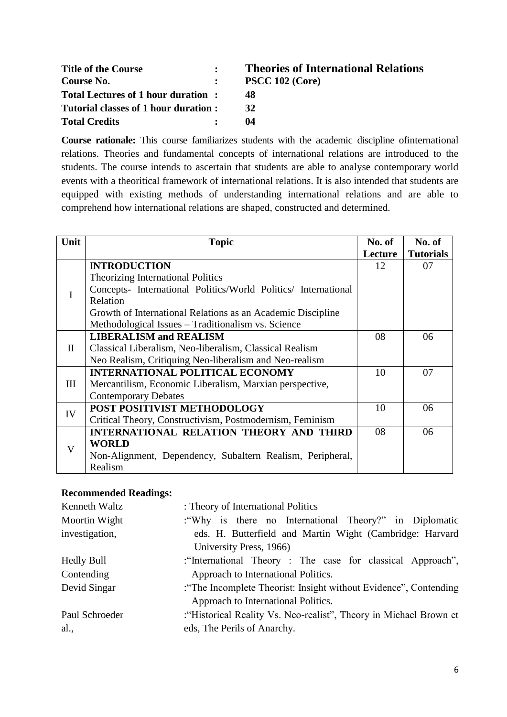| <b>Title of the Course</b>            | <b>Theories of International Relations</b> |
|---------------------------------------|--------------------------------------------|
| Course No.                            | PSCC 102 (Core)                            |
| Total Lectures of 1 hour duration:    | 48                                         |
| Tutorial classes of 1 hour duration : | 32                                         |
| <b>Total Credits</b>                  | 04                                         |

**Course rationale:** This course familiarizes students with the academic discipline ofinternational relations. Theories and fundamental concepts of international relations are introduced to the students. The course intends to ascertain that students are able to analyse contemporary world events with a theoritical framework of international relations. It is also intended that students are equipped with existing methods of understanding international relations and are able to comprehend how international relations are shaped, constructed and determined.

| Unit     | <b>Topic</b>                                                   | No. of  | No. of           |
|----------|----------------------------------------------------------------|---------|------------------|
|          |                                                                | Lecture | <b>Tutorials</b> |
|          | <b>INTRODUCTION</b>                                            | 12      | 07               |
|          | Theorizing International Politics                              |         |                  |
|          | Concepts- International Politics/World Politics/ International |         |                  |
|          | Relation                                                       |         |                  |
|          | Growth of International Relations as an Academic Discipline    |         |                  |
|          | Methodological Issues - Traditionalism vs. Science             |         |                  |
|          | <b>LIBERALISM and REALISM</b>                                  | 08      | 06               |
| $\rm II$ | Classical Liberalism, Neo-liberalism, Classical Realism        |         |                  |
|          | Neo Realism, Critiquing Neo-liberalism and Neo-realism         |         |                  |
|          | <b>INTERNATIONAL POLITICAL ECONOMY</b>                         | 10      | 07               |
| Ш        | Mercantilism, Economic Liberalism, Marxian perspective,        |         |                  |
|          | <b>Contemporary Debates</b>                                    |         |                  |
| IV       | POST POSITIVIST METHODOLOGY                                    | 10      | 06               |
|          | Critical Theory, Constructivism, Postmodernism, Feminism       |         |                  |
|          | INTERNATIONAL RELATION THEORY AND THIRD                        | 08      | 06               |
| V        | <b>WORLD</b>                                                   |         |                  |
|          | Non-Alignment, Dependency, Subaltern Realism, Peripheral,      |         |                  |
|          | Realism                                                        |         |                  |

| Kenneth Waltz     | : Theory of International Politics                                 |
|-------------------|--------------------------------------------------------------------|
| Moortin Wight     | : "Why is there no International Theory?" in Diplomatic            |
| investigation,    | eds. H. Butterfield and Martin Wight (Cambridge: Harvard           |
|                   | University Press, 1966)                                            |
| <b>Hedly Bull</b> | :"International Theory : The case for classical Approach",         |
| Contending        | Approach to International Politics.                                |
| Devid Singar      | : "The Incomplete Theorist: Insight without Evidence", Contending  |
|                   | Approach to International Politics.                                |
| Paul Schroeder    | : "Historical Reality Vs. Neo-realist", Theory in Michael Brown et |
| al.,              | eds, The Perils of Anarchy.                                        |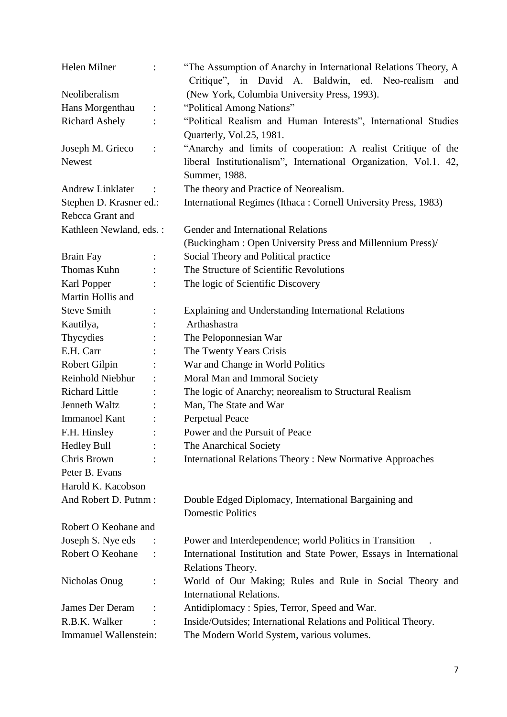| Helen Milner            | $\ddot{\cdot}$       | "The Assumption of Anarchy in International Relations Theory, A<br>Critique", in David A. Baldwin, ed. Neo-realism<br>and |
|-------------------------|----------------------|---------------------------------------------------------------------------------------------------------------------------|
| Neoliberalism           |                      | (New York, Columbia University Press, 1993).                                                                              |
| Hans Morgenthau         | $\ddot{\phantom{a}}$ | "Political Among Nations"                                                                                                 |
| <b>Richard Ashely</b>   |                      | "Political Realism and Human Interests", International Studies                                                            |
|                         |                      | Quarterly, Vol.25, 1981.                                                                                                  |
| Joseph M. Grieco        | $\ddot{\cdot}$       | "Anarchy and limits of cooperation: A realist Critique of the                                                             |
| <b>Newest</b>           |                      | liberal Institutionalism", International Organization, Vol.1. 42,<br>Summer, 1988.                                        |
| <b>Andrew Linklater</b> |                      | The theory and Practice of Neorealism.                                                                                    |
| Stephen D. Krasner ed.: |                      | International Regimes (Ithaca: Cornell University Press, 1983)                                                            |
| Rebcca Grant and        |                      |                                                                                                                           |
| Kathleen Newland, eds.: |                      | Gender and International Relations                                                                                        |
|                         |                      | (Buckingham: Open University Press and Millennium Press)/                                                                 |
| <b>Brain Fay</b>        |                      | Social Theory and Political practice                                                                                      |
| Thomas Kuhn             |                      | The Structure of Scientific Revolutions                                                                                   |
| Karl Popper             |                      | The logic of Scientific Discovery                                                                                         |
| Martin Hollis and       |                      |                                                                                                                           |
| <b>Steve Smith</b>      |                      | Explaining and Understanding International Relations                                                                      |
| Kautilya,               |                      | Arthashastra                                                                                                              |
| Thycydies               |                      | The Peloponnesian War                                                                                                     |
| E.H. Carr               |                      | The Twenty Years Crisis                                                                                                   |
| Robert Gilpin           |                      | War and Change in World Politics                                                                                          |
| Reinhold Niebhur        |                      | Moral Man and Immoral Society                                                                                             |
| <b>Richard Little</b>   |                      | The logic of Anarchy; neorealism to Structural Realism                                                                    |
| Jenneth Waltz           |                      | Man, The State and War                                                                                                    |
| <b>Immanoel Kant</b>    |                      | <b>Perpetual Peace</b>                                                                                                    |
| F.H. Hinsley            |                      | Power and the Pursuit of Peace                                                                                            |
| <b>Hedley Bull</b>      |                      | The Anarchical Society                                                                                                    |
| Chris Brown             |                      | <b>International Relations Theory: New Normative Approaches</b>                                                           |
| Peter B. Evans          |                      |                                                                                                                           |
| Harold K. Kacobson      |                      |                                                                                                                           |
| And Robert D. Putnm:    |                      | Double Edged Diplomacy, International Bargaining and<br><b>Domestic Politics</b>                                          |
| Robert O Keohane and    |                      |                                                                                                                           |
| Joseph S. Nye eds       |                      | Power and Interdependence; world Politics in Transition                                                                   |
| Robert O Keohane        | $\ddot{\phantom{a}}$ | International Institution and State Power, Essays in International<br>Relations Theory.                                   |
| Nicholas Onug           |                      | World of Our Making; Rules and Rule in Social Theory and                                                                  |
|                         |                      | <b>International Relations.</b>                                                                                           |
| James Der Deram         |                      | Antidiplomacy: Spies, Terror, Speed and War.                                                                              |
| R.B.K. Walker           |                      | Inside/Outsides; International Relations and Political Theory.                                                            |
| Immanuel Wallenstein:   |                      | The Modern World System, various volumes.                                                                                 |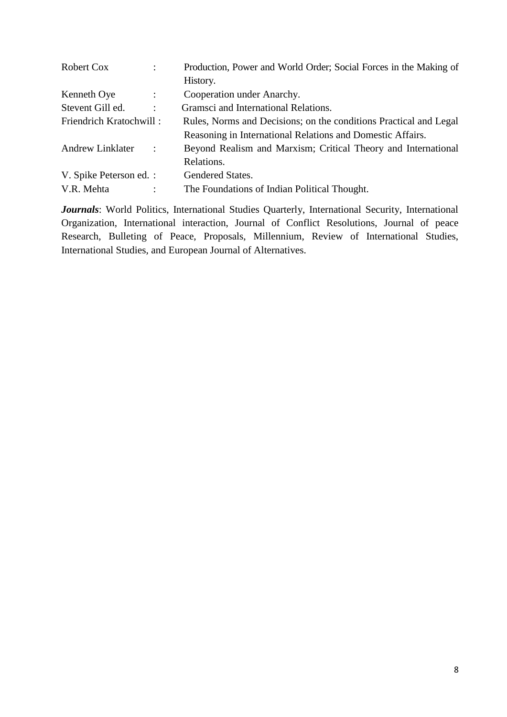| Robert Cox              | $\ddot{\cdot}$       | Production, Power and World Order; Social Forces in the Making of |
|-------------------------|----------------------|-------------------------------------------------------------------|
|                         |                      | History.                                                          |
| Kenneth Oye             | $\ddot{\cdot}$       | Cooperation under Anarchy.                                        |
| Stevent Gill ed.        | $\ddot{\phantom{0}}$ | Gramsci and International Relations.                              |
| Friendrich Kratochwill: |                      | Rules, Norms and Decisions; on the conditions Practical and Legal |
|                         |                      | Reasoning in International Relations and Domestic Affairs.        |
| <b>Andrew Linklater</b> | $\ddot{\phantom{a}}$ | Beyond Realism and Marxism; Critical Theory and International     |
|                         |                      | Relations.                                                        |
| V. Spike Peterson ed. : |                      | Gendered States.                                                  |
| V.R. Mehta              | ٠                    | The Foundations of Indian Political Thought.                      |

Journals: World Politics, International Studies Quarterly, International Security, International Organization, International interaction, Journal of Conflict Resolutions, Journal of peace Research, Bulleting of Peace, Proposals, Millennium, Review of International Studies, International Studies, and European Journal of Alternatives.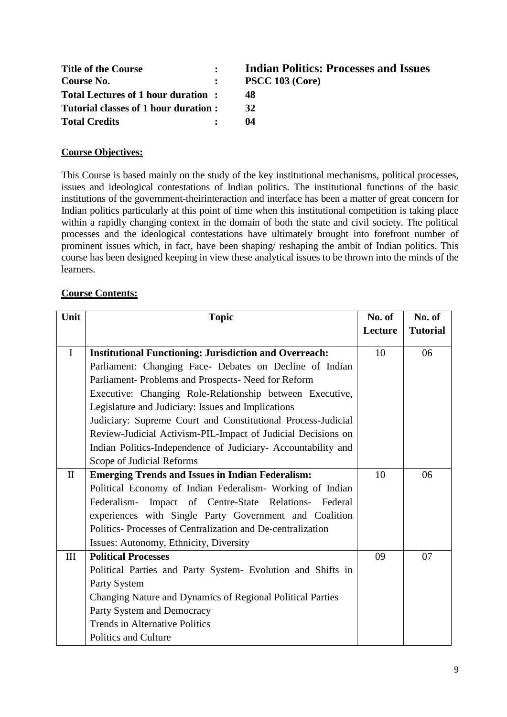| <b>Title of the Course</b>           |              | <b>Indian Politics: Processes and Issues</b> |
|--------------------------------------|--------------|----------------------------------------------|
| Course No.                           | $\mathbf{L}$ | <b>PSCC 103 (Core)</b>                       |
| Total Lectures of 1 hour duration:   |              | 48                                           |
| Tutorial classes of 1 hour duration: |              | 32                                           |
| <b>Total Credits</b>                 |              | 04                                           |

# **Course Objectives:**

This Course is based mainly on the study of the key institutional mechanisms, political processes, issues and ideological contestations of Indian politics. The institutional functions of the basic institutions of the government-theirinteraction and interface has been a matter of great concern for Indian politics particularly at this point of time when this institutional competition is taking place within a rapidly changing context in the domain of both the state and civil society. The political processes and the ideological contestations have ultimately brought into forefront number of prominent issues which, in fact, have been shaping/ reshaping the ambit of Indian politics. This course has been designed keeping in view these analytical issues to be thrown into the minds of the learners.

# **Course Contents:**

| Unit         | <b>Topic</b>                                                  | No. of  | No. of          |
|--------------|---------------------------------------------------------------|---------|-----------------|
|              |                                                               | Lecture | <b>Tutorial</b> |
| $\mathbf I$  | <b>Institutional Functioning: Jurisdiction and Overreach:</b> | 10      | 06              |
|              | Parliament: Changing Face- Debates on Decline of Indian       |         |                 |
|              | Parliament- Problems and Prospects- Need for Reform           |         |                 |
|              | Executive: Changing Role-Relationship between Executive,      |         |                 |
|              | Legislature and Judiciary: Issues and Implications            |         |                 |
|              | Judiciary: Supreme Court and Constitutional Process-Judicial  |         |                 |
|              | Review-Judicial Activism-PIL-Impact of Judicial Decisions on  |         |                 |
|              | Indian Politics-Independence of Judiciary- Accountability and |         |                 |
|              | Scope of Judicial Reforms                                     |         |                 |
| $\mathbf{I}$ | <b>Emerging Trends and Issues in Indian Federalism:</b>       | 10      | 06              |
|              | Political Economy of Indian Federalism- Working of Indian     |         |                 |
|              | Impact of Centre-State Relations- Federal<br>Federalism-      |         |                 |
|              | experiences with Single Party Government and Coalition        |         |                 |
|              | Politics-Processes of Centralization and De-centralization    |         |                 |
|              | Issues: Autonomy, Ethnicity, Diversity                        |         |                 |
| III          | <b>Political Processes</b>                                    | 09      | 07              |
|              | Political Parties and Party System- Evolution and Shifts in   |         |                 |
|              | Party System                                                  |         |                 |
|              | Changing Nature and Dynamics of Regional Political Parties    |         |                 |
|              | Party System and Democracy                                    |         |                 |
|              | <b>Trends in Alternative Politics</b>                         |         |                 |
|              | <b>Politics and Culture</b>                                   |         |                 |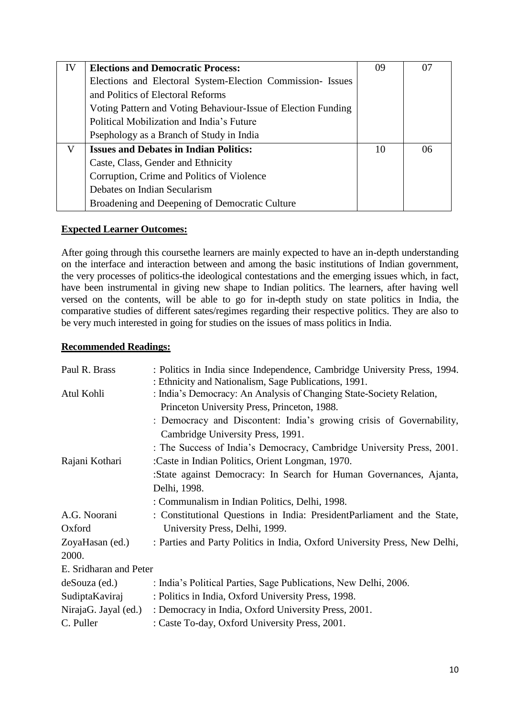| IV | <b>Elections and Democratic Process:</b>                      | 09 | 07 |
|----|---------------------------------------------------------------|----|----|
|    | Elections and Electoral System-Election Commission-Issues     |    |    |
|    | and Politics of Electoral Reforms                             |    |    |
|    | Voting Pattern and Voting Behaviour-Issue of Election Funding |    |    |
|    | Political Mobilization and India's Future                     |    |    |
|    | Psephology as a Branch of Study in India                      |    |    |
| V  | <b>Issues and Debates in Indian Politics:</b>                 | 10 | 06 |
|    | Caste, Class, Gender and Ethnicity                            |    |    |
|    | Corruption, Crime and Politics of Violence                    |    |    |
|    | Debates on Indian Secularism                                  |    |    |
|    | Broadening and Deepening of Democratic Culture                |    |    |

# **Expected Learner Outcomes:**

After going through this coursethe learners are mainly expected to have an in-depth understanding on the interface and interaction between and among the basic institutions of Indian government, the very processes of politics-the ideological contestations and the emerging issues which, in fact, have been instrumental in giving new shape to Indian politics. The learners, after having well versed on the contents, will be able to go for in-depth study on state politics in India, the comparative studies of different sates/regimes regarding their respective politics. They are also to be very much interested in going for studies on the issues of mass politics in India.

| Paul R. Brass                                                                      | : Politics in India since Independence, Cambridge University Press, 1994.<br>: Ethnicity and Nationalism, Sage Publications, 1991. |  |  |
|------------------------------------------------------------------------------------|------------------------------------------------------------------------------------------------------------------------------------|--|--|
| Atul Kohli<br>: India's Democracy: An Analysis of Changing State-Society Relation, |                                                                                                                                    |  |  |
|                                                                                    | Princeton University Press, Princeton, 1988.                                                                                       |  |  |
|                                                                                    | : Democracy and Discontent: India's growing crisis of Governability,                                                               |  |  |
|                                                                                    | Cambridge University Press, 1991.                                                                                                  |  |  |
|                                                                                    | : The Success of India's Democracy, Cambridge University Press, 2001.                                                              |  |  |
| :Caste in Indian Politics, Orient Longman, 1970.<br>Rajani Kothari                 |                                                                                                                                    |  |  |
|                                                                                    | :State against Democracy: In Search for Human Governances, Ajanta,                                                                 |  |  |
|                                                                                    | Delhi, 1998.                                                                                                                       |  |  |
|                                                                                    | : Communalism in Indian Politics, Delhi, 1998.                                                                                     |  |  |
| A.G. Noorani                                                                       | : Constitutional Questions in India: PresidentParliament and the State,                                                            |  |  |
| Oxford                                                                             | University Press, Delhi, 1999.                                                                                                     |  |  |
| ZoyaHasan (ed.)                                                                    | : Parties and Party Politics in India, Oxford University Press, New Delhi,                                                         |  |  |
| 2000.                                                                              |                                                                                                                                    |  |  |
| E. Sridharan and Peter                                                             |                                                                                                                                    |  |  |
| deSouza (ed.)                                                                      | : India's Political Parties, Sage Publications, New Delhi, 2006.                                                                   |  |  |
| SudiptaKaviraj                                                                     | : Politics in India, Oxford University Press, 1998.                                                                                |  |  |
| NirajaG. Jayal (ed.)                                                               | : Democracy in India, Oxford University Press, 2001.                                                                               |  |  |
| C. Puller                                                                          | : Caste To-day, Oxford University Press, 2001.                                                                                     |  |  |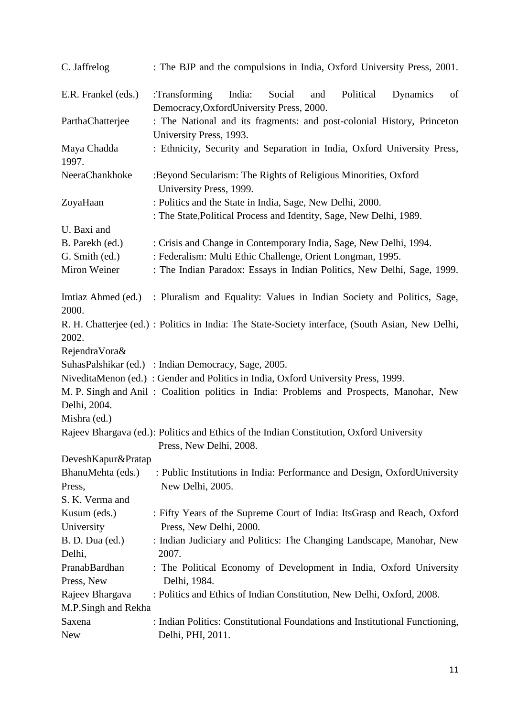| C. Jaffrelog                  | : The BJP and the compulsions in India, Oxford University Press, 2001.                                                           |  |  |  |
|-------------------------------|----------------------------------------------------------------------------------------------------------------------------------|--|--|--|
| E.R. Frankel (eds.)           | :Transforming<br>Political<br>India:<br>Social<br>and<br>Dynamics<br>of<br>Democracy, OxfordUniversity Press, 2000.              |  |  |  |
| ParthaChatterjee              | : The National and its fragments: and post-colonial History, Princeton<br>University Press, 1993.                                |  |  |  |
| Maya Chadda<br>1997.          | : Ethnicity, Security and Separation in India, Oxford University Press,                                                          |  |  |  |
| NeeraChankhoke                | :Beyond Secularism: The Rights of Religious Minorities, Oxford<br>University Press, 1999.                                        |  |  |  |
| ZoyaHaan                      | : Politics and the State in India, Sage, New Delhi, 2000.<br>: The State, Political Process and Identity, Sage, New Delhi, 1989. |  |  |  |
| U. Baxi and                   |                                                                                                                                  |  |  |  |
| B. Parekh (ed.)               | : Crisis and Change in Contemporary India, Sage, New Delhi, 1994.                                                                |  |  |  |
| G. Smith (ed.)                | : Federalism: Multi Ethic Challenge, Orient Longman, 1995.                                                                       |  |  |  |
| Miron Weiner                  | : The Indian Paradox: Essays in Indian Politics, New Delhi, Sage, 1999.                                                          |  |  |  |
| 2000.                         | Imitiaz Ahmed (ed.) : Pluralism and Equality: Values in Indian Society and Politics, Sage,                                       |  |  |  |
| 2002.                         | R. H. Chatterjee (ed.) : Politics in India: The State-Society interface, (South Asian, New Delhi,                                |  |  |  |
| RejendraVora&                 |                                                                                                                                  |  |  |  |
|                               | SuhasPalshikar (ed.) : Indian Democracy, Sage, 2005.                                                                             |  |  |  |
|                               | NiveditaMenon (ed.): Gender and Politics in India, Oxford University Press, 1999.                                                |  |  |  |
|                               | M. P. Singh and Anil: Coalition politics in India: Problems and Prospects, Manohar, New                                          |  |  |  |
| Delhi, 2004.                  |                                                                                                                                  |  |  |  |
| Mishra (ed.)                  |                                                                                                                                  |  |  |  |
|                               | Rajeev Bhargava (ed.): Politics and Ethics of the Indian Constitution, Oxford University<br>Press, New Delhi, 2008.              |  |  |  |
| DeveshKapur&Pratap            |                                                                                                                                  |  |  |  |
| BhanuMehta (eds.)<br>Press,   | : Public Institutions in India: Performance and Design, OxfordUniversity<br>New Delhi, 2005.                                     |  |  |  |
| S. K. Verma and               |                                                                                                                                  |  |  |  |
| Kusum (eds.)                  | : Fifty Years of the Supreme Court of India: ItsGrasp and Reach, Oxford                                                          |  |  |  |
| University                    | Press, New Delhi, 2000.                                                                                                          |  |  |  |
| B. D. Dua (ed.)               | : Indian Judiciary and Politics: The Changing Landscape, Manohar, New                                                            |  |  |  |
| Delhi,                        | 2007.                                                                                                                            |  |  |  |
| PranabBardhan                 | : The Political Economy of Development in India, Oxford University                                                               |  |  |  |
| Press, New                    | Delhi, 1984.                                                                                                                     |  |  |  |
| Rajeev Bhargava               | : Politics and Ethics of Indian Constitution, New Delhi, Oxford, 2008.                                                           |  |  |  |
| M.P.Singh and Rekha<br>Saxena | : Indian Politics: Constitutional Foundations and Institutional Functioning,                                                     |  |  |  |
| <b>New</b>                    | Delhi, PHI, 2011.                                                                                                                |  |  |  |
|                               |                                                                                                                                  |  |  |  |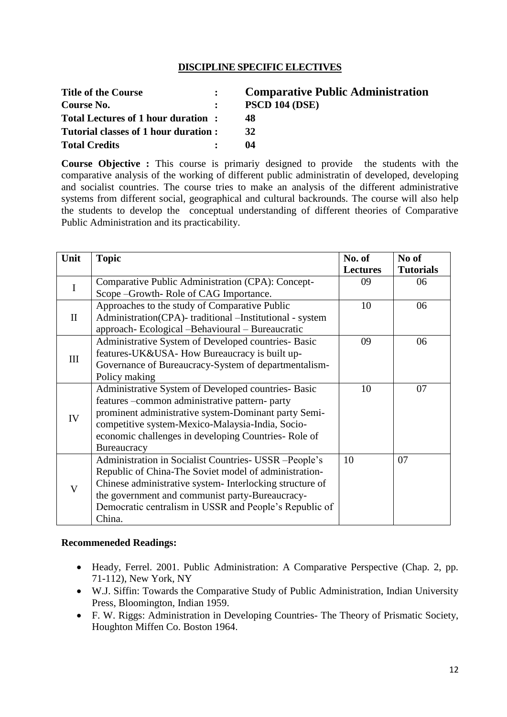# **DISCIPLINE SPECIFIC ELECTIVES**

| <b>Title of the Course</b>            | <b>Comparative Public Administration</b> |
|---------------------------------------|------------------------------------------|
| Course No.                            | <b>PSCD 104 (DSE)</b>                    |
| Total Lectures of 1 hour duration:    | 48                                       |
| Tutorial classes of 1 hour duration : | 32                                       |
| <b>Total Credits</b>                  | 04                                       |

**Course Objective :** This course is primariy designed to provide the students with the comparative analysis of the working of different public administratin of developed, developing and socialist countries. The course tries to make an analysis of the different administrative systems from different social, geographical and cultural backrounds. The course will also help the students to develop the conceptual understanding of different theories of Comparative Public Administration and its practicability.

| Unit         | <b>Topic</b>                                             | No. of          | No of            |
|--------------|----------------------------------------------------------|-----------------|------------------|
|              |                                                          | <b>Lectures</b> | <b>Tutorials</b> |
| $\mathbf I$  | Comparative Public Administration (CPA): Concept-        | 09              | 06               |
|              | Scope -Growth-Role of CAG Importance.                    |                 |                  |
|              | Approaches to the study of Comparative Public            | 10              | 06               |
| $\mathbf{I}$ | Administration(CPA)- traditional -Institutional - system |                 |                  |
|              | approach-Ecological -Behavioural - Bureaucratic          |                 |                  |
|              | Administrative System of Developed countries- Basic      | 09              | 06               |
| III          | features-UK&USA- How Bureaucracy is built up-            |                 |                  |
|              | Governance of Bureaucracy-System of departmentalism-     |                 |                  |
|              | Policy making                                            |                 |                  |
|              | Administrative System of Developed countries- Basic      | 10              | 07               |
|              | features -common administrative pattern- party           |                 |                  |
| IV           | prominent administrative system-Dominant party Semi-     |                 |                  |
|              | competitive system-Mexico-Malaysia-India, Socio-         |                 |                  |
|              | economic challenges in developing Countries-Role of      |                 |                  |
|              | Bureaucracy                                              |                 |                  |
|              | Administration in Socialist Countries- USSR -People's    | 10              | 07               |
| $\mathbf{V}$ | Republic of China-The Soviet model of administration-    |                 |                  |
|              | Chinese administrative system- Interlocking structure of |                 |                  |
|              | the government and communist party-Bureaucracy-          |                 |                  |
|              | Democratic centralism in USSR and People's Republic of   |                 |                  |
|              | China.                                                   |                 |                  |

- Heady, Ferrel. 2001. Public Administration: A Comparative Perspective (Chap. 2, pp. 71-112), New York, NY
- W.J. Siffin: Towards the Comparative Study of Public Administration, Indian University Press, Bloomington, Indian 1959.
- F. W. Riggs: Administration in Developing Countries- The Theory of Prismatic Society, Houghton Miffen Co. Boston 1964.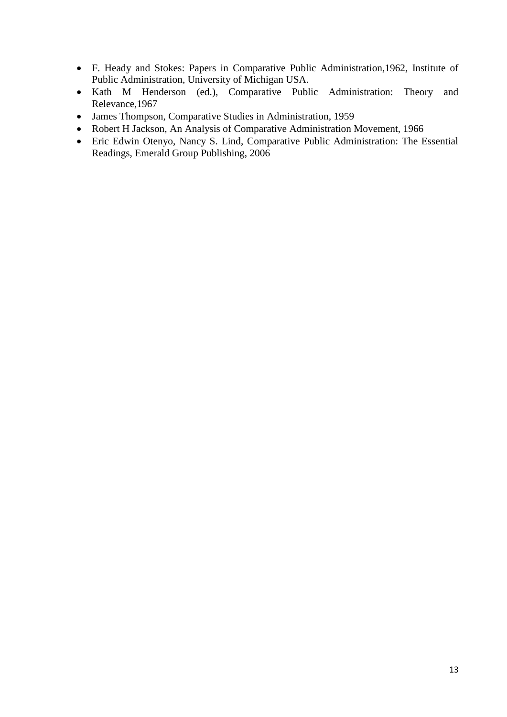- F. Heady and Stokes: Papers in Comparative Public Administration,1962, Institute of Public Administration, University of Michigan USA.
- Kath M Henderson (ed.), Comparative Public Administration: Theory and Relevance,1967
- James Thompson, Comparative Studies in Administration, 1959
- Robert H Jackson, An Analysis of Comparative Administration Movement, 1966
- Eric Edwin Otenyo, Nancy S. Lind, Comparative Public Administration: The Essential Readings, Emerald Group Publishing, 2006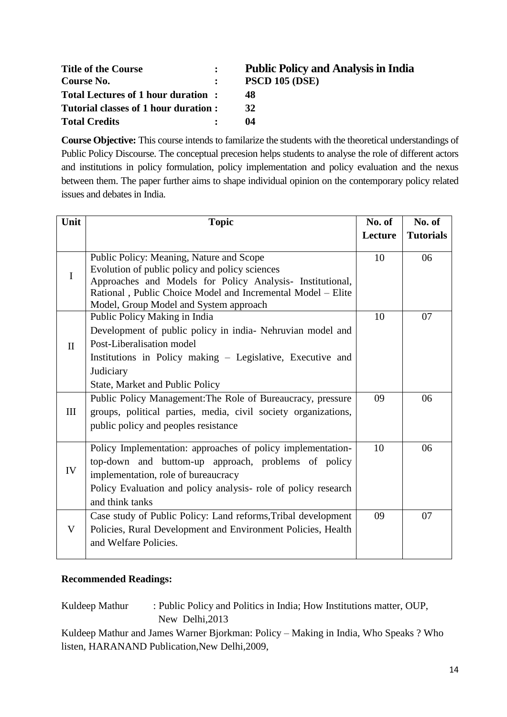| <b>Title of the Course</b>           | <b>Public Policy and Analysis in India</b> |
|--------------------------------------|--------------------------------------------|
| Course No.                           | <b>PSCD 105 (DSE)</b>                      |
| Total Lectures of 1 hour duration:   | 48                                         |
| Tutorial classes of 1 hour duration: | 32                                         |
| <b>Total Credits</b>                 | 04                                         |

**Course Objective:** This course intends to familarize the students with the theoretical understandings of Public Policy Discourse. The conceptual precesion helps students to analyse the role of different actors and institutions in policy formulation, policy implementation and policy evaluation and the nexus between them. The paper further aims to shape individual opinion on the contemporary policy related issues and debates in India.

| Unit         | <b>Topic</b>                                                                                                                                                                                                                                                     | No. of  | No. of           |
|--------------|------------------------------------------------------------------------------------------------------------------------------------------------------------------------------------------------------------------------------------------------------------------|---------|------------------|
|              |                                                                                                                                                                                                                                                                  | Lecture | <b>Tutorials</b> |
| $\mathbf I$  | Public Policy: Meaning, Nature and Scope<br>Evolution of public policy and policy sciences<br>Approaches and Models for Policy Analysis- Institutional,<br>Rational, Public Choice Model and Incremental Model - Elite<br>Model, Group Model and System approach | 10      | 06               |
| $\mathbf{I}$ | Public Policy Making in India<br>Development of public policy in india- Nehruvian model and<br>Post-Liberalisation model<br>Institutions in Policy making – Legislative, Executive and<br>Judiciary<br>State, Market and Public Policy                           | 10      | 07               |
| III          | Public Policy Management: The Role of Bureaucracy, pressure<br>groups, political parties, media, civil society organizations,<br>public policy and peoples resistance                                                                                            | 09      | 06               |
| IV           | Policy Implementation: approaches of policy implementation-<br>top-down and buttom-up approach, problems of policy<br>implementation, role of bureaucracy<br>Policy Evaluation and policy analysis- role of policy research<br>and think tanks                   | 10      | 06               |
| V            | Case study of Public Policy: Land reforms, Tribal development<br>Policies, Rural Development and Environment Policies, Health<br>and Welfare Policies.                                                                                                           | 09      | 07               |

# **Recommended Readings:**

Kuldeep Mathur : Public Policy and Politics in India; How Institutions matter, OUP, New Delhi,2013

Kuldeep Mathur and James Warner Bjorkman: Policy – Making in India, Who Speaks ? Who listen, HARANAND Publication,New Delhi,2009,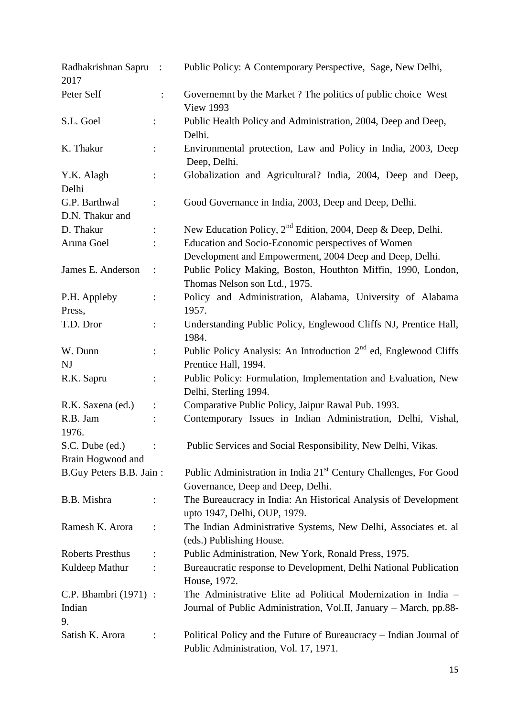| Radhakrishnan Sapru:<br>2017     |                      | Public Policy: A Contemporary Perspective, Sage, New Delhi,                                                   |
|----------------------------------|----------------------|---------------------------------------------------------------------------------------------------------------|
| Peter Self                       | $\ddot{\phantom{a}}$ | Governemnt by the Market ? The politics of public choice West<br><b>View 1993</b>                             |
| S.L. Goel                        |                      | Public Health Policy and Administration, 2004, Deep and Deep,<br>Delhi.                                       |
| K. Thakur                        | $\ddot{\cdot}$       | Environmental protection, Law and Policy in India, 2003, Deep<br>Deep, Delhi.                                 |
| Y.K. Alagh<br>Delhi              | $\ddot{\phantom{a}}$ | Globalization and Agricultural? India, 2004, Deep and Deep,                                                   |
| G.P. Barthwal<br>D.N. Thakur and |                      | Good Governance in India, 2003, Deep and Deep, Delhi.                                                         |
| D. Thakur                        |                      | New Education Policy, $2nd$ Edition, 2004, Deep & Deep, Delhi.                                                |
| Aruna Goel                       |                      | Education and Socio-Economic perspectives of Women<br>Development and Empowerment, 2004 Deep and Deep, Delhi. |
| James E. Anderson                | $\ddot{\cdot}$       | Public Policy Making, Boston, Houthton Miffin, 1990, London,<br>Thomas Nelson son Ltd., 1975.                 |
| P.H. Appleby                     | $\ddot{\cdot}$       | Policy and Administration, Alabama, University of Alabama                                                     |
| Press,                           |                      | 1957.                                                                                                         |
| T.D. Dror                        | $\vdots$             | Understanding Public Policy, Englewood Cliffs NJ, Prentice Hall,<br>1984.                                     |
| W. Dunn                          |                      | Public Policy Analysis: An Introduction 2 <sup>nd</sup> ed, Englewood Cliffs                                  |
| <b>NJ</b>                        |                      | Prentice Hall, 1994.                                                                                          |
| R.K. Sapru                       | $\ddot{\cdot}$       | Public Policy: Formulation, Implementation and Evaluation, New<br>Delhi, Sterling 1994.                       |
| R.K. Saxena (ed.)                |                      | Comparative Public Policy, Jaipur Rawal Pub. 1993.                                                            |
| R.B. Jam<br>1976.                |                      | Contemporary Issues in Indian Administration, Delhi, Vishal,                                                  |
| S.C. Dube (ed.)                  |                      | Public Services and Social Responsibility, New Delhi, Vikas.                                                  |
| Brain Hogwood and                |                      |                                                                                                               |
| B.Guy Peters B.B. Jain:          |                      | Public Administration in India 21 <sup>st</sup> Century Challenges, For Good                                  |
|                                  |                      | Governance, Deep and Deep, Delhi.                                                                             |
| B.B. Mishra                      |                      | The Bureaucracy in India: An Historical Analysis of Development<br>upto 1947, Delhi, OUP, 1979.               |
| Ramesh K. Arora                  | $\ddot{\cdot}$       | The Indian Administrative Systems, New Delhi, Associates et. al<br>(eds.) Publishing House.                   |
| <b>Roberts Presthus</b>          |                      | Public Administration, New York, Ronald Press, 1975.                                                          |
| Kuldeep Mathur                   |                      | Bureaucratic response to Development, Delhi National Publication<br>House, 1972.                              |
| C.P. Bhambri (1971) :            |                      | The Administrative Elite ad Political Modernization in India –                                                |
| Indian<br>9.                     |                      | Journal of Public Administration, Vol.II, January - March, pp.88-                                             |
| Satish K. Arora                  |                      | Political Policy and the Future of Bureaucracy – Indian Journal of<br>Public Administration, Vol. 17, 1971.   |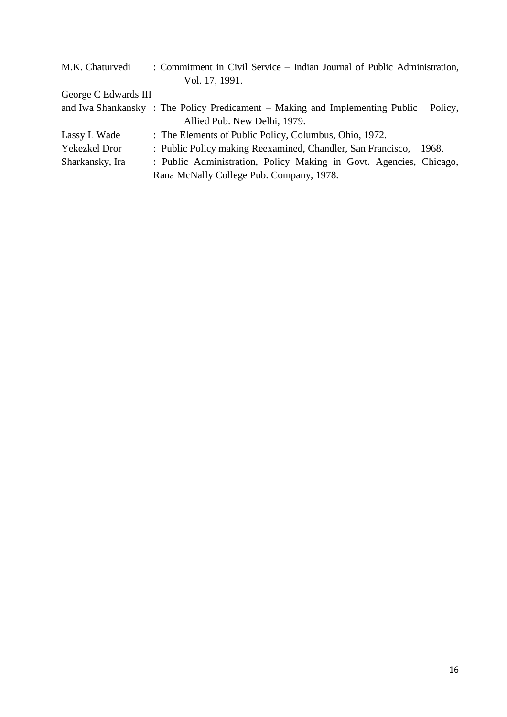| M.K. Chaturvedi      | : Commitment in Civil Service – Indian Journal of Public Administration,               |  |  |
|----------------------|----------------------------------------------------------------------------------------|--|--|
|                      | Vol. 17, 1991.                                                                         |  |  |
| George C Edwards III |                                                                                        |  |  |
|                      | and Iwa Shankansky: The Policy Predicament – Making and Implementing Public<br>Policy, |  |  |
|                      | Allied Pub. New Delhi, 1979.                                                           |  |  |
| Lassy L Wade         | : The Elements of Public Policy, Columbus, Ohio, 1972.                                 |  |  |
| Yekezkel Dror        | : Public Policy making Reexamined, Chandler, San Francisco,<br>-1968.                  |  |  |
| Sharkansky, Ira      | : Public Administration, Policy Making in Govt. Agencies, Chicago,                     |  |  |
|                      | Rana McNally College Pub. Company, 1978.                                               |  |  |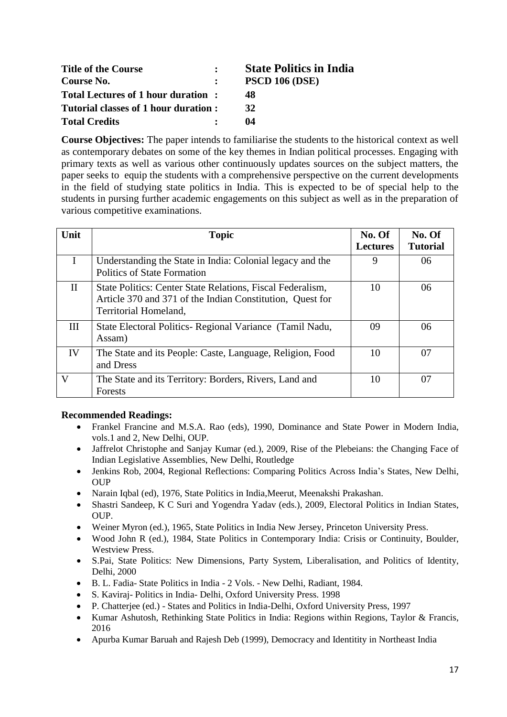| <b>Title of the Course</b>           | $\bullet$ .<br><br><br><br><br> | <b>State Politics in India</b> |
|--------------------------------------|---------------------------------|--------------------------------|
| Course No.                           | $\mathbf{L}$                    | <b>PSCD 106 (DSE)</b>          |
| Total Lectures of 1 hour duration:   |                                 | 48                             |
| Tutorial classes of 1 hour duration: |                                 | 32                             |
| <b>Total Credits</b>                 |                                 | 04                             |

**Course Objectives:** The paper intends to familiarise the students to the historical context as well as contemporary debates on some of the key themes in Indian political processes. Engaging with primary texts as well as various other continuously updates sources on the subject matters, the paper seeks to equip the students with a comprehensive perspective on the current developments in the field of studying state politics in India. This is expected to be of special help to the students in pursing further academic engagements on this subject as well as in the preparation of various competitive examinations.

| Unit         | <b>Topic</b>                                                                                                                                     | No. Of<br><b>Lectures</b> | No. Of<br><b>Tutorial</b> |
|--------------|--------------------------------------------------------------------------------------------------------------------------------------------------|---------------------------|---------------------------|
| I            | Understanding the State in India: Colonial legacy and the<br>Politics of State Formation                                                         | 9                         | 06                        |
| $\mathbf{H}$ | State Politics: Center State Relations, Fiscal Federalism,<br>Article 370 and 371 of the Indian Constitution, Quest for<br>Territorial Homeland, | 10                        | 06                        |
| III          | State Electoral Politics- Regional Variance (Tamil Nadu,<br>Assam)                                                                               | 09                        | 06                        |
| IV           | The State and its People: Caste, Language, Religion, Food<br>and Dress                                                                           | 10                        | 07                        |
| V            | The State and its Territory: Borders, Rivers, Land and<br>Forests                                                                                | 10                        | 07                        |

- Frankel Francine and M.S.A. Rao (eds), 1990, Dominance and State Power in Modern India, vols.1 and 2, New Delhi, OUP.
- Jaffrelot Christophe and Sanjay Kumar (ed.), 2009, Rise of the Plebeians: the Changing Face of Indian Legislative Assemblies, New Delhi, Routledge
- Jenkins Rob, 2004, Regional Reflections: Comparing Politics Across India's States, New Delhi, OUP
- Narain Iqbal (ed), 1976, State Politics in India,Meerut, Meenakshi Prakashan.
- Shastri Sandeep, K C Suri and Yogendra Yadav (eds.), 2009, Electoral Politics in Indian States, OUP.
- Weiner Myron (ed.), 1965, State Politics in India New Jersey, Princeton University Press.
- Wood John R (ed.), 1984, State Politics in Contemporary India: Crisis or Continuity, Boulder, Westview Press.
- S.Pai, State Politics: New Dimensions, Party System, Liberalisation, and Politics of Identity, Delhi, 2000
- B. L. Fadia- State Politics in India 2 Vols. New Delhi, Radiant, 1984.
- S. Kaviraj- Politics in India- Delhi, Oxford University Press. 1998
- P. Chatterjee (ed.) States and Politics in India-Delhi, Oxford University Press, 1997
- Kumar Ashutosh, Rethinking State Politics in India: Regions within Regions, Taylor & Francis, 2016
- Apurba Kumar Baruah and Rajesh Deb (1999), Democracy and Identitity in Northeast India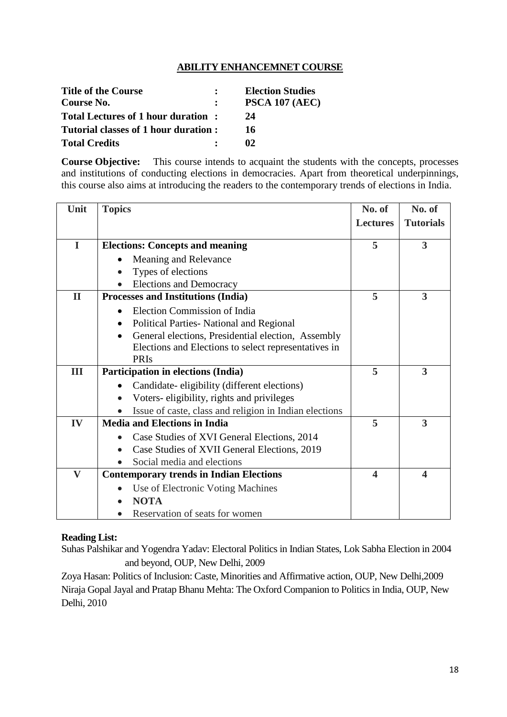# **ABILITY ENHANCEMNET COURSE**

| <b>Title of the Course</b>           | <b>Election Studies</b> |
|--------------------------------------|-------------------------|
| Course No.                           | PSCA 107 (AEC)          |
| Total Lectures of 1 hour duration:   | 24                      |
| Tutorial classes of 1 hour duration: | 16                      |
| <b>Total Credits</b>                 | O2                      |

**Course Objective:** This course intends to acquaint the students with the concepts, processes and institutions of conducting elections in democracies. Apart from theoretical underpinnings, this course also aims at introducing the readers to the contemporary trends of elections in India.

| Unit         | <b>Topics</b>                                                   | No. of                | No. of           |
|--------------|-----------------------------------------------------------------|-----------------------|------------------|
|              |                                                                 | <b>Lectures</b>       | <b>Tutorials</b> |
|              |                                                                 |                       |                  |
| $\mathbf I$  | <b>Elections: Concepts and meaning</b>                          | 5                     | $\overline{3}$   |
|              | Meaning and Relevance                                           |                       |                  |
|              | Types of elections                                              |                       |                  |
|              | <b>Elections and Democracy</b>                                  |                       |                  |
| $\mathbf{I}$ | Processes and Institutions (India)                              | 5                     | 3                |
|              | <b>Election Commission of India</b>                             |                       |                  |
|              | Political Parties- National and Regional                        |                       |                  |
|              | General elections, Presidential election, Assembly<br>$\bullet$ |                       |                  |
|              | Elections and Elections to select representatives in            |                       |                  |
|              | <b>PRIs</b>                                                     |                       |                  |
| III          | Participation in elections (India)                              | 5                     | 3                |
|              | Candidate-eligibility (different elections)                     |                       |                  |
|              | Voters-eligibility, rights and privileges                       |                       |                  |
|              | Issue of caste, class and religion in Indian elections          |                       |                  |
| IV           | <b>Media and Elections in India</b>                             | 5                     | 3                |
|              | Case Studies of XVI General Elections, 2014                     |                       |                  |
|              | Case Studies of XVII General Elections, 2019                    |                       |                  |
|              | Social media and elections                                      |                       |                  |
| $\mathbf{V}$ | <b>Contemporary trends in Indian Elections</b>                  | $\boldsymbol{\Delta}$ | 4                |
|              | Use of Electronic Voting Machines                               |                       |                  |
|              | <b>NOTA</b>                                                     |                       |                  |
|              | Reservation of seats for women                                  |                       |                  |

# **Reading List:**

Suhas Palshikar and Yogendra Yadav: Electoral Politics in Indian States, Lok Sabha Election in 2004 and beyond, OUP, New Delhi, 2009

Zoya Hasan: Politics of Inclusion: Caste, Minorities and Affirmative action, OUP, New Delhi,2009 Niraja Gopal Jayal and Pratap Bhanu Mehta: The Oxford Companion to Politics in India, OUP, New Delhi, 2010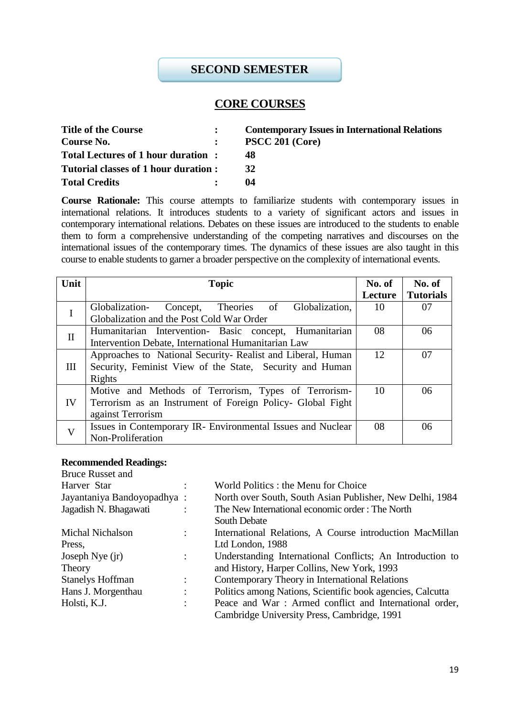# **SECOND SEMESTER**

# **CORE COURSES**

| <b>Title of the Course</b>           | <b>Contemporary Issues in International Relations</b> |
|--------------------------------------|-------------------------------------------------------|
| Course No.                           | <b>PSCC 201 (Core)</b>                                |
| Total Lectures of 1 hour duration:   | 48                                                    |
| Tutorial classes of 1 hour duration: | 32                                                    |
| <b>Total Credits</b>                 | 04                                                    |

**Course Rationale:** This course attempts to familiarize students with contemporary issues in international relations. It introduces students to a variety of significant actors and issues in contemporary international relations. Debates on these issues are introduced to the students to enable them to form a comprehensive understanding of the competing narratives and discourses on the international issues of the contemporary times. The dynamics of these issues are also taught in this course to enable students to garner a broader perspective on the complexity of international events.

| Unit         | <b>Topic</b>                                                                                                                            | No. of<br>Lecture | No. of<br><b>Tutorials</b> |
|--------------|-----------------------------------------------------------------------------------------------------------------------------------------|-------------------|----------------------------|
| I            | Concept, Theories of<br>Globalization,<br>Globalization-<br>Globalization and the Post Cold War Order                                   | 10                | 07                         |
| $\mathbf{I}$ | Humanitarian Intervention- Basic concept, Humanitarian<br>Intervention Debate, International Humanitarian Law                           | 08                | 06                         |
| Ш            | Approaches to National Security-Realist and Liberal, Human<br>Security, Feminist View of the State, Security and Human<br>Rights        | 12                | 07                         |
| IV           | Motive and Methods of Terrorism, Types of Terrorism-<br>Terrorism as an Instrument of Foreign Policy- Global Fight<br>against Terrorism | 10                | 06                         |
| $\mathbf V$  | Issues in Contemporary IR- Environmental Issues and Nuclear<br>Non-Proliferation                                                        | 08                | 06                         |

| <b>Bruce Russet and</b>    |                |                                                            |
|----------------------------|----------------|------------------------------------------------------------|
| Harver Star                | $\ddot{\cdot}$ | World Politics : the Menu for Choice                       |
| Jayantaniya Bandoyopadhya: |                | North over South, South Asian Publisher, New Delhi, 1984   |
| Jagadish N. Bhagawati      |                | The New International economic order: The North            |
|                            |                | South Debate                                               |
| <b>Michal Nichalson</b>    | $\ddot{\cdot}$ | International Relations, A Course introduction MacMillan   |
| Press,                     |                | Ltd London, 1988                                           |
| Joseph Nye $(ir)$          |                | Understanding International Conflicts; An Introduction to  |
| Theory                     |                | and History, Harper Collins, New York, 1993                |
| <b>Stanelys Hoffman</b>    | ٠              | Contemporary Theory in International Relations             |
| Hans J. Morgenthau         | ٠<br>$\cdot$   | Politics among Nations, Scientific book agencies, Calcutta |
| Holsti, K.J.               | ٠              | Peace and War: Armed conflict and International order,     |
|                            |                | Cambridge University Press, Cambridge, 1991                |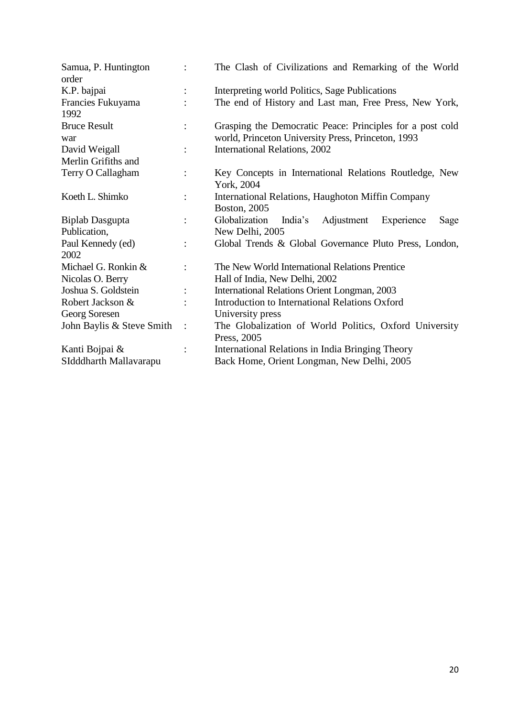| Samua, P. Huntington<br>order | $\ddot{\cdot}$         | The Clash of Civilizations and Remarking of the World                |
|-------------------------------|------------------------|----------------------------------------------------------------------|
| K.P. bajpai                   |                        | Interpreting world Politics, Sage Publications                       |
| Francies Fukuyama<br>1992     |                        | The end of History and Last man, Free Press, New York,               |
| <b>Bruce Result</b>           |                        | Grasping the Democratic Peace: Principles for a post cold            |
| war                           |                        | world, Princeton University Press, Princeton, 1993                   |
| David Weigall                 | $\ddot{\cdot}$         | International Relations, 2002                                        |
| Merlin Grifiths and           |                        |                                                                      |
| Terry O Callagham             | $\ddot{\phantom{a}}$   | Key Concepts in International Relations Routledge, New<br>York, 2004 |
| Koeth L. Shimko               |                        | International Relations, Haughoton Miffin Company<br>Boston, 2005    |
| <b>Biplab Dasgupta</b>        | $\ddot{\cdot}$         | Globalization<br>Adjustment<br>India's<br>Experience<br>Sage         |
| Publication,                  |                        | New Delhi, 2005                                                      |
| Paul Kennedy (ed)             | $\ddot{\cdot}$         | Global Trends & Global Governance Pluto Press, London,               |
| 2002                          |                        |                                                                      |
| Michael G. Ronkin &           |                        | The New World International Relations Prentice                       |
| Nicolas O. Berry              |                        | Hall of India, New Delhi, 2002                                       |
| Joshua S. Goldstein           | $\ddot{\cdot}$         | International Relations Orient Longman, 2003                         |
| Robert Jackson &              |                        | Introduction to International Relations Oxford                       |
| Georg Soresen                 |                        | University press                                                     |
| John Baylis & Steve Smith     | $\ddot{\phantom{1}}$ : | The Globalization of World Politics, Oxford University               |
|                               |                        | Press, 2005                                                          |
| Kanti Bojpai &                |                        | International Relations in India Bringing Theory                     |
| SIdddharth Mallavarapu        |                        | Back Home, Orient Longman, New Delhi, 2005                           |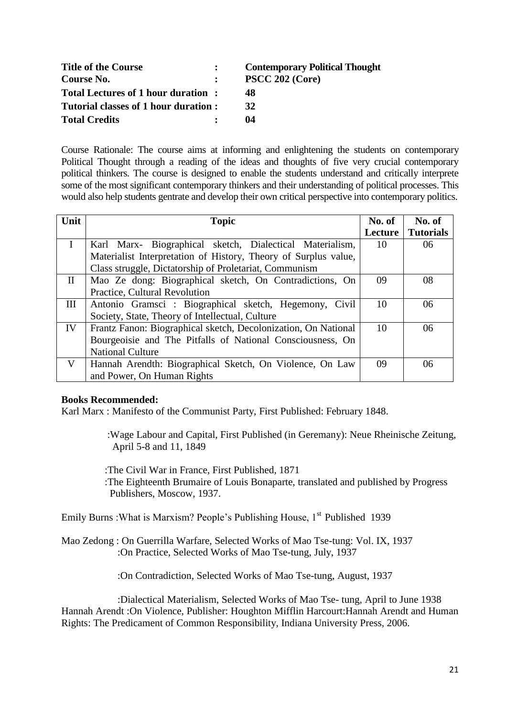| <b>Title of the Course</b>           | <b>Contemporary Political Thought</b> |
|--------------------------------------|---------------------------------------|
| Course No.                           | PSCC 202 (Core)                       |
| Total Lectures of 1 hour duration:   | 48                                    |
| Tutorial classes of 1 hour duration: | 32                                    |
| <b>Total Credits</b>                 | 04                                    |

Course Rationale: The course aims at informing and enlightening the students on contemporary Political Thought through a reading of the ideas and thoughts of five very crucial contemporary political thinkers. The course is designed to enable the students understand and critically interprete some of the most significant contemporary thinkers and their understanding of political processes. This would also help students gentrate and develop their own critical perspective into contemporary politics.

| Unit     | <b>Topic</b>                                                    |         | No. of           |
|----------|-----------------------------------------------------------------|---------|------------------|
|          |                                                                 | Lecture | <b>Tutorials</b> |
|          | Karl Marx- Biographical sketch, Dialectical Materialism,        | 10      | 06               |
|          | Materialist Interpretation of History, Theory of Surplus value, |         |                  |
|          | Class struggle, Dictatorship of Proletariat, Communism          |         |                  |
| $\rm II$ | Mao Ze dong: Biographical sketch, On Contradictions, On         | 09      | 08               |
|          | Practice, Cultural Revolution                                   |         |                  |
| III      | Antonio Gramsci : Biographical sketch, Hegemony, Civil          | 10      | 06               |
|          | Society, State, Theory of Intellectual, Culture                 |         |                  |
| IV       | Frantz Fanon: Biographical sketch, Decolonization, On National  | 10      | 06               |
|          | Bourgeoisie and The Pitfalls of National Consciousness, On      |         |                  |
|          | <b>National Culture</b>                                         |         |                  |
| V        | Hannah Arendth: Biographical Sketch, On Violence, On Law        | 09      | 06               |
|          | and Power, On Human Rights                                      |         |                  |

#### **Books Recommended:**

Karl Marx : Manifesto of the Communist Party, First Published: February 1848.

 :Wage Labour and Capital, First Published (in Geremany): Neue Rheinische Zeitung, April 5-8 and 11, 1849

 :The Civil War in France, First Published, 1871 :The Eighteenth Brumaire of Louis Bonaparte, translated and published by Progress Publishers, Moscow, 1937.

Emily Burns : What is Marxism? People's Publishing House,  $1<sup>st</sup>$  Published 1939

Mao Zedong : On Guerrilla Warfare, [Selected Works of Mao Tse-tung: Vol. IX,](http://www.maoism.org/msw/vol6/mswv6_idx.htm) 1937 :On Practice, [Selected Works of Mao Tse-tung,](https://www.marxists.org/reference/archive/mao/selected-works/index.htm) July, 1937

:On Contradiction, [Selected Works of Mao Tse-tung,](https://www.marxists.org/reference/archive/mao/selected-works/index.htm) August, 1937

 :Dialectical Materialism, [Selected Works of Mao Tse-](https://www.marxists.org/reference/archive/mao/selected-works/index.htm) tung, April to June 1938 Hannah Arendt :On Violence, Publisher: Houghton Mifflin Harcourt:Hannah Arendt and Human Rights: The Predicament of Common Responsibility, Indiana University Press, 2006.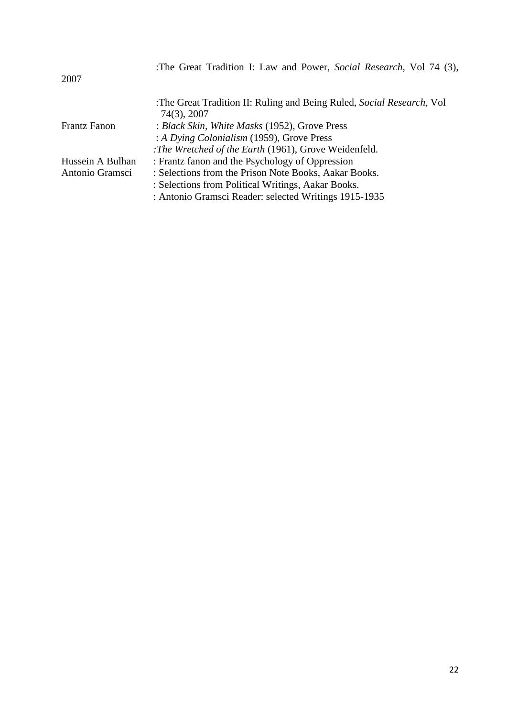| 2007                | :The Great Tradition I: Law and Power, Social Research, Vol 74 (3),                  |
|---------------------|--------------------------------------------------------------------------------------|
|                     | :The Great Tradition II: Ruling and Being Ruled, Social Research, Vol<br>74(3), 2007 |
| <b>Frantz Fanon</b> | : Black Skin, White Masks (1952), Grove Press                                        |
|                     | : A Dying Colonialism (1959), Grove Press                                            |
|                     | : The Wretched of the Earth (1961), Grove Weidenfeld.                                |
| Hussein A Bulhan    | : Frantz fanon and the Psychology of Oppression                                      |
| Antonio Gramsci     | : Selections from the Prison Note Books, Aakar Books.                                |
|                     | : Selections from Political Writings, Aakar Books.                                   |
|                     | : Antonio Gramsci Reader: selected Writings 1915-1935                                |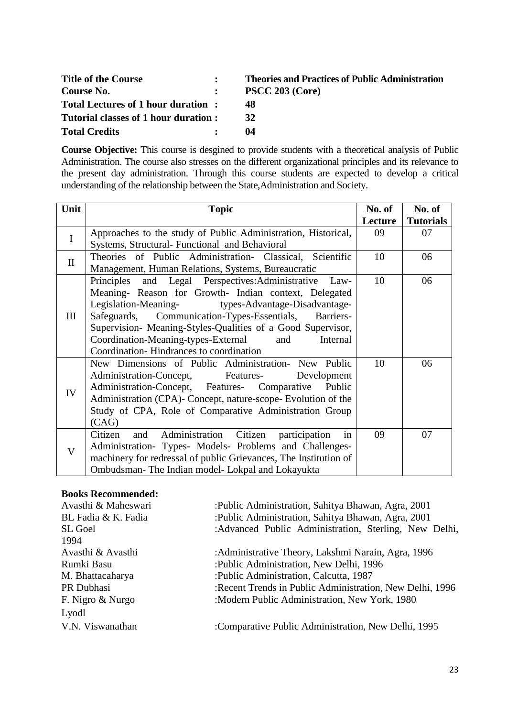| <b>Title of the Course</b>           | <b>Theories and Practices of Public Administration</b> |
|--------------------------------------|--------------------------------------------------------|
| Course No.                           | PSCC 203 (Core)                                        |
| Total Lectures of 1 hour duration:   | 48                                                     |
| Tutorial classes of 1 hour duration: | 32                                                     |
| <b>Total Credits</b>                 | 04                                                     |

**Course Objective:** This course is desgined to provide students with a theoretical analysis of Public Administration. The course also stresses on the different organizational principles and its relevance to the present day administration. Through this course students are expected to develop a critical understanding of the relationship between the State,Administration and Society.

| Unit         | <b>Topic</b>                                                       | No. of  | No. of           |
|--------------|--------------------------------------------------------------------|---------|------------------|
|              |                                                                    | Lecture | <b>Tutorials</b> |
| I            | Approaches to the study of Public Administration, Historical,      | 09      | 07               |
|              | Systems, Structural- Functional and Behavioral                     |         |                  |
| $\mathbf{I}$ | Theories of Public Administration- Classical, Scientific           | 10      | 06               |
|              | Management, Human Relations, Systems, Bureaucratic                 |         |                  |
|              | Principles and Legal Perspectives: Administrative Law-             | 10      | 06               |
|              | Meaning- Reason for Growth- Indian context, Delegated              |         |                  |
|              | Legislation-Meaning-<br>types-Advantage-Disadvantage-              |         |                  |
| Ш            | Safeguards, Communication-Types-Essentials, Barriers-              |         |                  |
|              | Supervision- Meaning-Styles-Qualities of a Good Supervisor,        |         |                  |
|              | Coordination-Meaning-types-External<br>and<br>Internal             |         |                  |
|              | Coordination-Hindrances to coordination                            |         |                  |
|              | New Dimensions of Public Administration- New Public                | 10      | 06               |
|              | Administration-Concept, Features-<br>Development                   |         |                  |
| IV           | Administration-Concept, Features- Comparative Public               |         |                  |
|              | Administration (CPA)- Concept, nature-scope- Evolution of the      |         |                  |
|              | Study of CPA, Role of Comparative Administration Group             |         |                  |
|              | (CAG)                                                              |         |                  |
| V            | Administration<br>Citizen<br>Citizen<br>participation<br>and<br>in | 09      | 07               |
|              | Administration- Types- Models- Problems and Challenges-            |         |                  |
|              | machinery for redressal of public Grievances, The Institution of   |         |                  |
|              | Ombudsman- The Indian model- Lokpal and Lokayukta                  |         |                  |

#### **Books Recommended:**

| Avasthi & Maheswari                                               | :Public Administration, Sahitya Bhawan, Agra, 2001       |  |  |  |
|-------------------------------------------------------------------|----------------------------------------------------------|--|--|--|
| BL Fadia & K. Fadia                                               | :Public Administration, Sahitya Bhawan, Agra, 2001       |  |  |  |
| SL Goel                                                           | :Advanced Public Administration, Sterling, New Delhi,    |  |  |  |
| 1994                                                              |                                                          |  |  |  |
| Avasthi & Avasthi                                                 | :Administrative Theory, Lakshmi Narain, Agra, 1996       |  |  |  |
| Rumki Basu                                                        | :Public Administration, New Delhi, 1996                  |  |  |  |
| M. Bhattacaharya                                                  | :Public Administration, Calcutta, 1987                   |  |  |  |
| PR Dubhasi                                                        | :Recent Trends in Public Administration, New Delhi, 1996 |  |  |  |
| :Modern Public Administration, New York, 1980<br>F. Nigro & Nurgo |                                                          |  |  |  |
| Lyodl                                                             |                                                          |  |  |  |
| V.N. Viswanathan                                                  | :Comparative Public Administration, New Delhi, 1995      |  |  |  |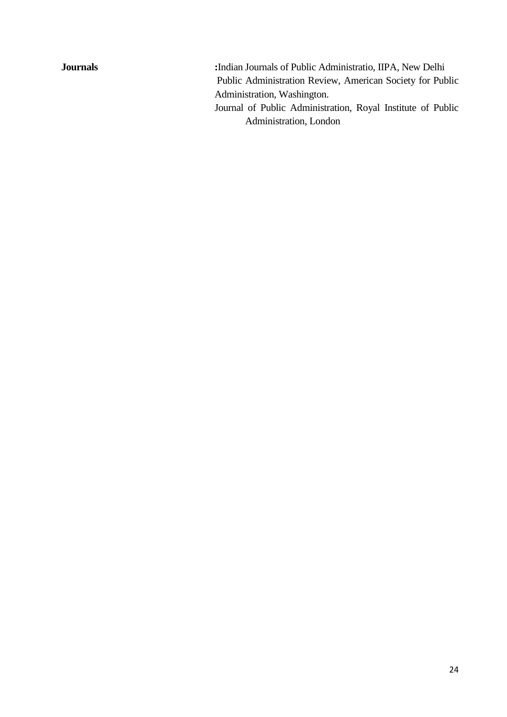**Journals :**Indian Journals of Public Administratio, IIPA, New Delhi Public Administration Review, American Society for Public Administration, Washington. Journal of Public Administration, Royal Institute of Public Administration, London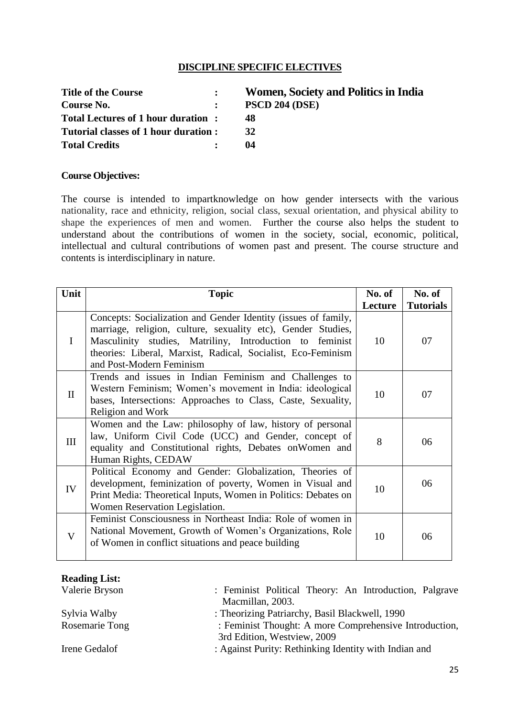# **DISCIPLINE SPECIFIC ELECTIVES**

| <b>Title of the Course</b>           | $\bullet$      | Wo         |
|--------------------------------------|----------------|------------|
| Course No.                           | $\ddot{\cdot}$ | <b>PSC</b> |
| Total Lectures of 1 hour duration:   |                | 48         |
| Tutorial classes of 1 hour duration: |                | 32         |
| <b>Total Credits</b>                 |                | 04         |

**The Title of the Court Section : The Title of Title Section : Contrade Section : Contrade Section : Contrade Section : Contrade Section : Contrade Section : Contrade Section : Contrade Sect**  $CD 204 (DSE)$ 

#### **Course Objectives:**

The course is intended to impartknowledge on how gender intersects with the various nationality, race and ethnicity, religion, social class, sexual orientation, and physical ability to shape the experiences of men and women. Further the course also helps the student to understand about the contributions of women in the society, social, economic, political, intellectual and cultural contributions of women past and present. The course structure and contents is interdisciplinary in nature.

| Unit         | <b>Topic</b>                                                                                                                                                                                                                                                                           | No. of<br>Lecture | No. of<br><b>Tutorials</b> |
|--------------|----------------------------------------------------------------------------------------------------------------------------------------------------------------------------------------------------------------------------------------------------------------------------------------|-------------------|----------------------------|
| I            | Concepts: Socialization and Gender Identity (issues of family,<br>marriage, religion, culture, sexuality etc), Gender Studies,<br>Masculinity studies, Matriliny, Introduction to feminist<br>theories: Liberal, Marxist, Radical, Socialist, Eco-Feminism<br>and Post-Modern Feminism | 10                | 07                         |
| $\mathbf{I}$ | Trends and issues in Indian Feminism and Challenges to<br>Western Feminism; Women's movement in India: ideological<br>bases, Intersections: Approaches to Class, Caste, Sexuality,<br>Religion and Work                                                                                | 10                | 07                         |
| III          | Women and the Law: philosophy of law, history of personal<br>law, Uniform Civil Code (UCC) and Gender, concept of<br>equality and Constitutional rights, Debates on Women and<br>Human Rights, CEDAW                                                                                   | 8                 | 06                         |
| IV           | Political Economy and Gender: Globalization, Theories of<br>development, feminization of poverty, Women in Visual and<br>Print Media: Theoretical Inputs, Women in Politics: Debates on<br>Women Reservation Legislation.                                                              | 10                | 06                         |
| V            | Feminist Consciousness in Northeast India: Role of women in<br>National Movement, Growth of Women's Organizations, Role<br>of Women in conflict situations and peace building                                                                                                          | 10                | 06                         |

### **Reading List:**

| Valerie Bryson | : Feminist Political Theory: An Introduction, Palgrave |  |
|----------------|--------------------------------------------------------|--|
|                | Macmillan, 2003.                                       |  |
| Sylvia Walby   | : Theorizing Patriarchy, Basil Blackwell, 1990         |  |
| Rosemarie Tong | : Feminist Thought: A more Comprehensive Introduction, |  |
|                | 3rd Edition, Westview, 2009                            |  |
| Irene Gedalof  | : Against Purity: Rethinking Identity with Indian and  |  |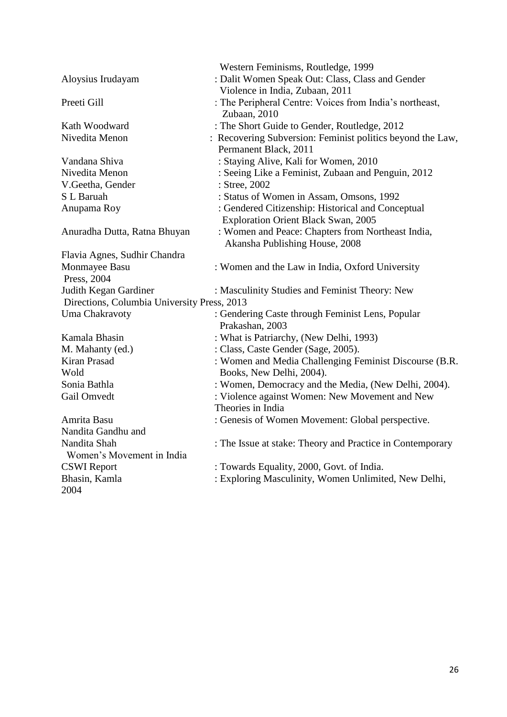|                                             | Western Feminisms, Routledge, 1999                         |
|---------------------------------------------|------------------------------------------------------------|
| Aloysius Irudayam                           | : Dalit Women Speak Out: Class, Class and Gender           |
|                                             | Violence in India, Zubaan, 2011                            |
| Preeti Gill                                 | : The Peripheral Centre: Voices from India's northeast,    |
|                                             | Zubaan, 2010                                               |
| Kath Woodward                               | : The Short Guide to Gender, Routledge, 2012               |
| Nivedita Menon                              | : Recovering Subversion: Feminist politics beyond the Law, |
|                                             | Permanent Black, 2011                                      |
| Vandana Shiva                               | : Staying Alive, Kali for Women, 2010                      |
| Nivedita Menon                              | : Seeing Like a Feminist, Zubaan and Penguin, 2012         |
| V.Geetha, Gender                            | : Stree, 2002                                              |
| S L Baruah                                  | : Status of Women in Assam, Omsons, 1992                   |
| Anupama Roy                                 | : Gendered Citizenship: Historical and Conceptual          |
|                                             | <b>Exploration Orient Black Swan, 2005</b>                 |
| Anuradha Dutta, Ratna Bhuyan                | : Women and Peace: Chapters from Northeast India,          |
|                                             | Akansha Publishing House, 2008                             |
| Flavia Agnes, Sudhir Chandra                |                                                            |
| Monmayee Basu                               | : Women and the Law in India, Oxford University            |
| Press, 2004                                 |                                                            |
| Judith Kegan Gardiner                       | : Masculinity Studies and Feminist Theory: New             |
| Directions, Columbia University Press, 2013 |                                                            |
| Uma Chakravoty                              | : Gendering Caste through Feminist Lens, Popular           |
|                                             | Prakashan, 2003                                            |
| Kamala Bhasin                               | : What is Patriarchy, (New Delhi, 1993)                    |
| M. Mahanty (ed.)                            | : Class, Caste Gender (Sage, 2005).                        |
| Kiran Prasad                                | : Women and Media Challenging Feminist Discourse (B.R.     |
| Wold                                        | Books, New Delhi, 2004).                                   |
| Sonia Bathla                                | : Women, Democracy and the Media, (New Delhi, 2004).       |
| Gail Omvedt                                 | : Violence against Women: New Movement and New             |
|                                             | Theories in India                                          |
| Amrita Basu                                 | : Genesis of Women Movement: Global perspective.           |
| Nandita Gandhu and                          |                                                            |
| Nandita Shah                                | : The Issue at stake: Theory and Practice in Contemporary  |
| Women's Movement in India                   |                                                            |
| <b>CSWI</b> Report                          | : Towards Equality, 2000, Govt. of India.                  |
| Bhasin, Kamla                               | : Exploring Masculinity, Women Unlimited, New Delhi,       |
| 2004                                        |                                                            |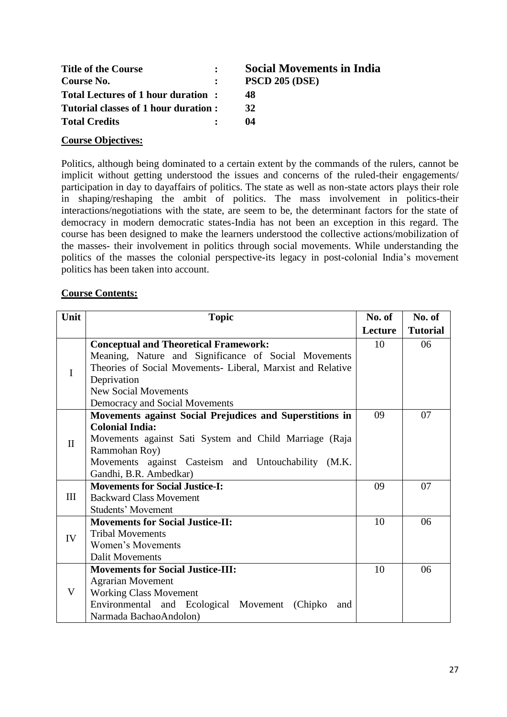| <b>Title of the Course</b>           | <b>Social Movements in India</b> |
|--------------------------------------|----------------------------------|
| Course No.                           | <b>PSCD 205 (DSE)</b>            |
| Total Lectures of 1 hour duration:   | 48                               |
| Tutorial classes of 1 hour duration: | 32                               |
| <b>Total Credits</b>                 | 04                               |

# **Course Objectives:**

Politics, although being dominated to a certain extent by the commands of the rulers, cannot be implicit without getting understood the issues and concerns of the ruled-their engagements/ participation in day to dayaffairs of politics. The state as well as non-state actors plays their role in shaping/reshaping the ambit of politics. The mass involvement in politics-their interactions/negotiations with the state, are seem to be, the determinant factors for the state of democracy in modern democratic states-India has not been an exception in this regard. The course has been designed to make the learners understood the collective actions/mobilization of the masses- their involvement in politics through social movements. While understanding the politics of the masses the colonial perspective-its legacy in post-colonial India's movement politics has been taken into account.

#### **Course Contents:**

| Unit         | <b>Topic</b>                                                | No. of  | No. of          |
|--------------|-------------------------------------------------------------|---------|-----------------|
|              |                                                             | Lecture | <b>Tutorial</b> |
|              | <b>Conceptual and Theoretical Framework:</b>                | 10      | 06              |
|              | Meaning, Nature and Significance of Social Movements        |         |                 |
| $\bf{I}$     | Theories of Social Movements- Liberal, Marxist and Relative |         |                 |
|              | Deprivation                                                 |         |                 |
|              | <b>New Social Movements</b>                                 |         |                 |
|              | Democracy and Social Movements                              |         |                 |
|              | Movements against Social Prejudices and Superstitions in    | 09      | 07              |
|              | <b>Colonial India:</b>                                      |         |                 |
| $\mathbf{I}$ | Movements against Sati System and Child Marriage (Raja      |         |                 |
|              | Rammohan Roy)                                               |         |                 |
|              | Movements against Casteism and Untouchability (M.K.         |         |                 |
|              | Gandhi, B.R. Ambedkar)                                      |         |                 |
|              | <b>Movements for Social Justice-I:</b>                      | 09      | 07              |
| III          | <b>Backward Class Movement</b>                              |         |                 |
|              | <b>Students' Movement</b>                                   |         |                 |
|              | <b>Movements for Social Justice-II:</b>                     | 10      | 06              |
| IV           | <b>Tribal Movements</b>                                     |         |                 |
|              | Women's Movements                                           |         |                 |
|              | <b>Dalit Movements</b>                                      |         |                 |
|              | <b>Movements for Social Justice-III:</b>                    | 10      | 06              |
|              | <b>Agrarian Movement</b>                                    |         |                 |
| V            | <b>Working Class Movement</b>                               |         |                 |
|              | Environmental and Ecological Movement (Chipko<br>and        |         |                 |
|              | Narmada BachaoAndolon)                                      |         |                 |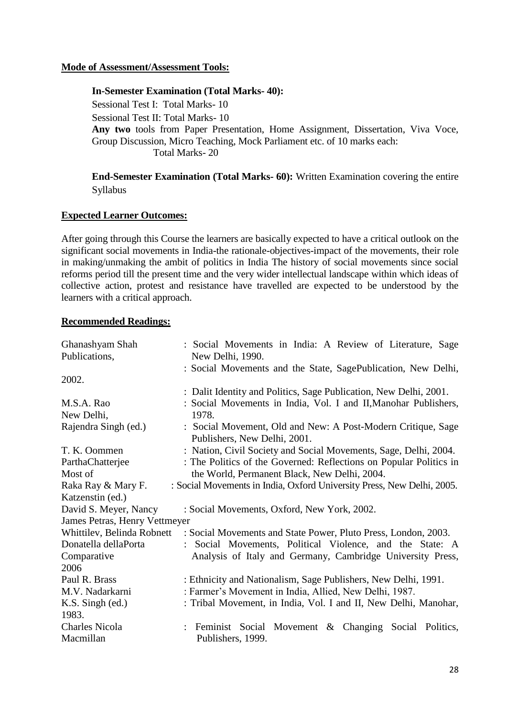### **Mode of Assessment/Assessment Tools:**

#### **In-Semester Examination (Total Marks- 40):**

Sessional Test I: Total Marks- 10 Sessional Test II: Total Marks- 10 **Any two** tools from Paper Presentation, Home Assignment, Dissertation, Viva Voce, Group Discussion, Micro Teaching, Mock Parliament etc. of 10 marks each: Total Marks- 20

**End-Semester Examination (Total Marks- 60):** Written Examination covering the entire Syllabus

#### **Expected Learner Outcomes:**

After going through this Course the learners are basically expected to have a critical outlook on the significant social movements in India-the rationale-objectives-impact of the movements, their role in making/unmaking the ambit of politics in India The history of social movements since social reforms period till the present time and the very wider intellectual landscape within which ideas of collective action, protest and resistance have travelled are expected to be understood by the learners with a critical approach.

| Ghanashyam Shah               | : Social Movements in India: A Review of Literature, Sage                                    |  |  |
|-------------------------------|----------------------------------------------------------------------------------------------|--|--|
| Publications,                 | New Delhi, 1990.                                                                             |  |  |
|                               | : Social Movements and the State, SagePublication, New Delhi,                                |  |  |
| 2002.                         |                                                                                              |  |  |
|                               | : Dalit Identity and Politics, Sage Publication, New Delhi, 2001.                            |  |  |
| M.S.A. Rao                    | : Social Movements in India, Vol. I and II, Manohar Publishers,                              |  |  |
| New Delhi,                    | 1978.                                                                                        |  |  |
| Rajendra Singh (ed.)          | : Social Movement, Old and New: A Post-Modern Critique, Sage<br>Publishers, New Delhi, 2001. |  |  |
| T. K. Oommen                  | : Nation, Civil Society and Social Movements, Sage, Delhi, 2004.                             |  |  |
| ParthaChatterjee              | : The Politics of the Governed: Reflections on Popular Politics in                           |  |  |
| Most of                       | the World, Permanent Black, New Delhi, 2004.                                                 |  |  |
| Raka Ray & Mary F.            | : Social Movements in India, Oxford University Press, New Delhi, 2005.                       |  |  |
| Katzenstin (ed.)              |                                                                                              |  |  |
| David S. Meyer, Nancy         | : Social Movements, Oxford, New York, 2002.                                                  |  |  |
| James Petras, Henry Vettmeyer |                                                                                              |  |  |
|                               | Whittilev, Belinda Robnett : Social Movements and State Power, Pluto Press, London, 2003.    |  |  |
| Donatella dellaPorta          | Social Movements, Political Violence, and the State: A                                       |  |  |
| Comparative                   | Analysis of Italy and Germany, Cambridge University Press,                                   |  |  |
| 2006                          |                                                                                              |  |  |
| Paul R. Brass                 | : Ethnicity and Nationalism, Sage Publishers, New Delhi, 1991.                               |  |  |
| M.V. Nadarkarni               | : Farmer's Movement in India, Allied, New Delhi, 1987.                                       |  |  |
| $K.S.$ Singh (ed.)            | : Tribal Movement, in India, Vol. I and II, New Delhi, Manohar,                              |  |  |
| 1983.                         |                                                                                              |  |  |
| <b>Charles Nicola</b>         | : Feminist Social Movement & Changing Social Politics,                                       |  |  |
| Macmillan                     | Publishers, 1999.                                                                            |  |  |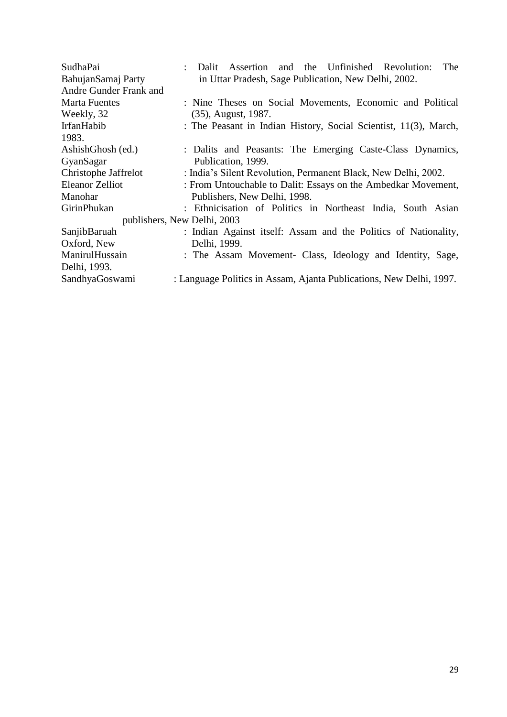| SudhaPai               | The<br>and the Unfinished Revolution:<br>Dalit Assertion            |
|------------------------|---------------------------------------------------------------------|
| BahujanSamaj Party     | in Uttar Pradesh, Sage Publication, New Delhi, 2002.                |
| Andre Gunder Frank and |                                                                     |
| <b>Marta Fuentes</b>   | : Nine Theses on Social Movements, Economic and Political           |
| Weekly, 32             | $(35)$ , August, 1987.                                              |
| IrfanHabib             | : The Peasant in Indian History, Social Scientist, 11(3), March,    |
| 1983.                  |                                                                     |
| AshishGhosh (ed.)      | : Dalits and Peasants: The Emerging Caste-Class Dynamics,           |
| GyanSagar              | Publication, 1999.                                                  |
| Christophe Jaffrelot   | : India's Silent Revolution, Permanent Black, New Delhi, 2002.      |
| <b>Eleanor Zelliot</b> | : From Untouchable to Dalit: Essays on the Ambedkar Movement,       |
| Manohar                | Publishers, New Delhi, 1998.                                        |
| GirinPhukan            | : Ethnicisation of Politics in Northeast India, South Asian         |
|                        | publishers, New Delhi, 2003                                         |
| SanjibBaruah           | : Indian Against itself: Assam and the Politics of Nationality,     |
| Oxford, New            | Delhi, 1999.                                                        |
| ManirulHussain         | : The Assam Movement- Class, Ideology and Identity, Sage,           |
| Delhi, 1993.           |                                                                     |
| SandhyaGoswami         | : Language Politics in Assam, Ajanta Publications, New Delhi, 1997. |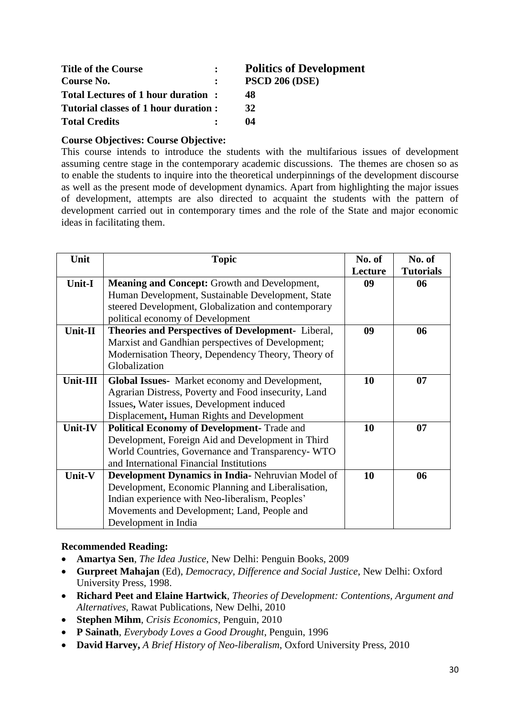| <b>Title of the Course</b>            | <b>Politics of Development</b> |
|---------------------------------------|--------------------------------|
| Course No.                            | <b>PSCD 206 (DSE)</b>          |
| Total Lectures of 1 hour duration:    | 48                             |
| Tutorial classes of 1 hour duration : | 32                             |
| <b>Total Credits</b>                  | 04                             |

# **Course Objectives: Course Objective:**

This course intends to introduce the students with the multifarious issues of development assuming centre stage in the contemporary academic discussions. The themes are chosen so as to enable the students to inquire into the theoretical underpinnings of the development discourse as well as the present mode of development dynamics. Apart from highlighting the major issues of development, attempts are also directed to acquaint the students with the pattern of development carried out in contemporary times and the role of the State and major economic ideas in facilitating them.

| Unit     | <b>Topic</b>                                         | No. of  | No. of           |
|----------|------------------------------------------------------|---------|------------------|
|          |                                                      | Lecture | <b>Tutorials</b> |
| Unit-I   | <b>Meaning and Concept:</b> Growth and Development,  | 09      | 06               |
|          | Human Development, Sustainable Development, State    |         |                  |
|          | steered Development, Globalization and contemporary  |         |                  |
|          | political economy of Development                     |         |                  |
| Unit-II  | Theories and Perspectives of Development- Liberal,   | 09      | 06               |
|          | Marxist and Gandhian perspectives of Development;    |         |                  |
|          | Modernisation Theory, Dependency Theory, Theory of   |         |                  |
|          | Globalization                                        |         |                  |
| Unit-III | Global Issues- Market economy and Development,       | 10      | 07               |
|          | Agrarian Distress, Poverty and Food insecurity, Land |         |                  |
|          | Issues, Water issues, Development induced            |         |                  |
|          | Displacement, Human Rights and Development           |         |                  |
| Unit-IV  | <b>Political Economy of Development- Trade and</b>   | 10      | 07               |
|          | Development, Foreign Aid and Development in Third    |         |                  |
|          | World Countries, Governance and Transparency-WTO     |         |                  |
|          | and International Financial Institutions             |         |                  |
| Unit-V   | Development Dynamics in India-Nehruvian Model of     | 10      | 06               |
|          | Development, Economic Planning and Liberalisation,   |         |                  |
|          | Indian experience with Neo-liberalism, Peoples'      |         |                  |
|          | Movements and Development; Land, People and          |         |                  |
|          | Development in India                                 |         |                  |

- **Amartya Sen**, *The Idea Justice*, New Delhi: Penguin Books, 2009
- **Gurpreet Mahajan** (Ed), *Democracy, Difference and Social Justice*, New Delhi: Oxford University Press, 1998.
- **Richard Peet and Elaine Hartwick**, *Theories of Development: Contentions, Argument and Alternatives*, Rawat Publications, New Delhi, 2010
- **Stephen Mihm**, *Crisis Economics*, Penguin, 2010
- **P Sainath**, *Everybody Loves a Good Drought*, Penguin, 1996
- **David Harvey,** *A Brief History of Neo-liberalism*, Oxford University Press, 2010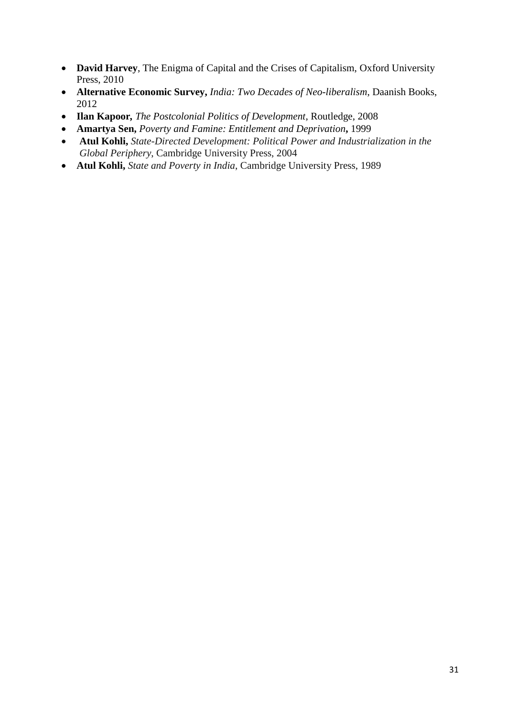- **David Harvey**, The Enigma of Capital and the Crises of Capitalism, Oxford University Press, 2010
- **Alternative Economic Survey,** *India: Two Decades of Neo-liberalism*, Daanish Books, 2012
- **Ilan Kapoor***, The Postcolonial Politics of Development*, Routledge, 2008
- **Amartya Sen,** *Poverty and Famine: Entitlement and Deprivation***,** 1999
- **Atul Kohli,** *State-Directed Development: Political Power and Industrialization in the Global Periphery*, Cambridge University Press, 2004
- **Atul Kohli,** *State and Poverty in India*, Cambridge University Press, 1989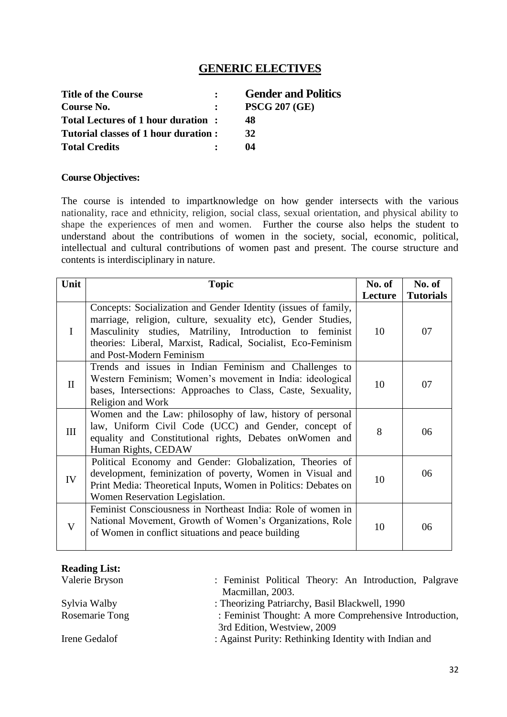# **GENERIC ELECTIVES**

| <b>Title of the Course</b>           |              | <b>Gender and Politics</b> |
|--------------------------------------|--------------|----------------------------|
| Course No.                           | $\mathbf{L}$ | <b>PSCG 207 (GE)</b>       |
| Total Lectures of 1 hour duration:   |              | 48                         |
| Tutorial classes of 1 hour duration: |              | 32                         |
| <b>Total Credits</b>                 |              | 04                         |

#### **Course Objectives:**

The course is intended to impartknowledge on how gender intersects with the various nationality, race and ethnicity, religion, social class, sexual orientation, and physical ability to shape the experiences of men and women. Further the course also helps the student to understand about the contributions of women in the society, social, economic, political, intellectual and cultural contributions of women past and present. The course structure and contents is interdisciplinary in nature.

| Unit         | <b>Topic</b>                                                                                                                                                                                                                                                                           | No. of  | No. of           |
|--------------|----------------------------------------------------------------------------------------------------------------------------------------------------------------------------------------------------------------------------------------------------------------------------------------|---------|------------------|
|              |                                                                                                                                                                                                                                                                                        | Lecture | <b>Tutorials</b> |
| I            | Concepts: Socialization and Gender Identity (issues of family,<br>marriage, religion, culture, sexuality etc), Gender Studies,<br>Masculinity studies, Matriliny, Introduction to feminist<br>theories: Liberal, Marxist, Radical, Socialist, Eco-Feminism<br>and Post-Modern Feminism | 10      | 07               |
| $\mathbf{I}$ | Trends and issues in Indian Feminism and Challenges to<br>Western Feminism; Women's movement in India: ideological<br>bases, Intersections: Approaches to Class, Caste, Sexuality,<br>Religion and Work                                                                                | 10      | 07               |
| III          | Women and the Law: philosophy of law, history of personal<br>law, Uniform Civil Code (UCC) and Gender, concept of<br>equality and Constitutional rights, Debates on Women and<br>Human Rights, CEDAW                                                                                   | 8       | 06               |
| IV           | Political Economy and Gender: Globalization, Theories of<br>development, feminization of poverty, Women in Visual and<br>Print Media: Theoretical Inputs, Women in Politics: Debates on<br>Women Reservation Legislation.                                                              | 10      | 06               |
| V            | Feminist Consciousness in Northeast India: Role of women in<br>National Movement, Growth of Women's Organizations, Role<br>of Women in conflict situations and peace building                                                                                                          | 10      | 06               |

| <b>Reading List:</b> |  |
|----------------------|--|
|----------------------|--|

| Valerie Bryson | : Feminist Political Theory: An Introduction, Palgrave |
|----------------|--------------------------------------------------------|
|                | Macmillan, 2003.                                       |
| Sylvia Walby   | : Theorizing Patriarchy, Basil Blackwell, 1990         |
| Rosemarie Tong | : Feminist Thought: A more Comprehensive Introduction, |
|                | 3rd Edition, Westview, 2009                            |
| Irene Gedalof  | : Against Purity: Rethinking Identity with Indian and  |
|                |                                                        |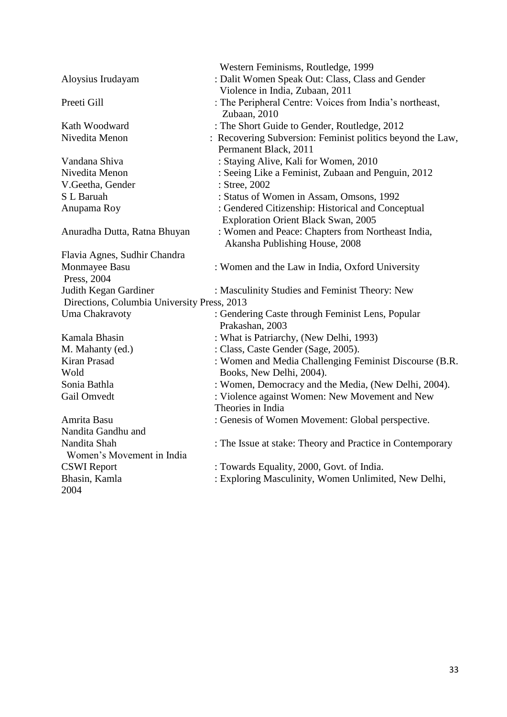|                                             | Western Feminisms, Routledge, 1999                         |
|---------------------------------------------|------------------------------------------------------------|
| Aloysius Irudayam                           | : Dalit Women Speak Out: Class, Class and Gender           |
|                                             | Violence in India, Zubaan, 2011                            |
| Preeti Gill                                 | : The Peripheral Centre: Voices from India's northeast,    |
|                                             | Zubaan, 2010                                               |
| Kath Woodward                               | : The Short Guide to Gender, Routledge, 2012               |
| Nivedita Menon                              | : Recovering Subversion: Feminist politics beyond the Law, |
|                                             | Permanent Black, 2011                                      |
| Vandana Shiva                               | : Staying Alive, Kali for Women, 2010                      |
| Nivedita Menon                              | : Seeing Like a Feminist, Zubaan and Penguin, 2012         |
| V.Geetha, Gender                            | : Stree, 2002                                              |
| S L Baruah                                  | : Status of Women in Assam, Omsons, 1992                   |
| Anupama Roy                                 | : Gendered Citizenship: Historical and Conceptual          |
|                                             | <b>Exploration Orient Black Swan, 2005</b>                 |
| Anuradha Dutta, Ratna Bhuyan                | : Women and Peace: Chapters from Northeast India,          |
|                                             | Akansha Publishing House, 2008                             |
| Flavia Agnes, Sudhir Chandra                |                                                            |
| Monmayee Basu                               | : Women and the Law in India, Oxford University            |
| Press, 2004                                 |                                                            |
| Judith Kegan Gardiner                       | : Masculinity Studies and Feminist Theory: New             |
| Directions, Columbia University Press, 2013 |                                                            |
| Uma Chakravoty                              | : Gendering Caste through Feminist Lens, Popular           |
|                                             | Prakashan, 2003                                            |
| Kamala Bhasin                               | : What is Patriarchy, (New Delhi, 1993)                    |
| M. Mahanty (ed.)                            | : Class, Caste Gender (Sage, 2005).                        |
| Kiran Prasad                                | : Women and Media Challenging Feminist Discourse (B.R.     |
| Wold                                        | Books, New Delhi, 2004).                                   |
| Sonia Bathla                                | : Women, Democracy and the Media, (New Delhi, 2004).       |
| Gail Omvedt                                 | : Violence against Women: New Movement and New             |
|                                             | Theories in India                                          |
| Amrita Basu                                 | : Genesis of Women Movement: Global perspective.           |
| Nandita Gandhu and                          |                                                            |
| Nandita Shah                                | : The Issue at stake: Theory and Practice in Contemporary  |
| Women's Movement in India                   |                                                            |
| <b>CSWI</b> Report                          | : Towards Equality, 2000, Govt. of India.                  |
| Bhasin, Kamla                               | : Exploring Masculinity, Women Unlimited, New Delhi,       |
| 2004                                        |                                                            |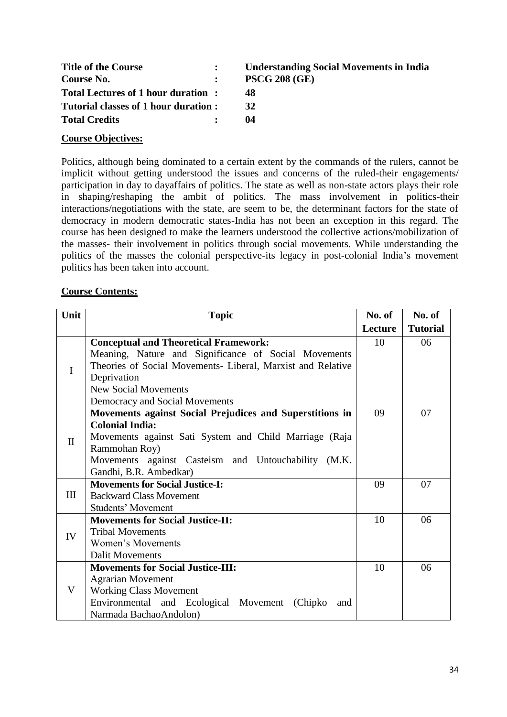| <b>Title of the Course</b>           | <b>Understanding Social Movements in India</b> |
|--------------------------------------|------------------------------------------------|
| Course No.                           | <b>PSCG 208 (GE)</b>                           |
| Total Lectures of 1 hour duration:   | 48                                             |
| Tutorial classes of 1 hour duration: | 32                                             |
| <b>Total Credits</b>                 | 04                                             |

# **Course Objectives:**

Politics, although being dominated to a certain extent by the commands of the rulers, cannot be implicit without getting understood the issues and concerns of the ruled-their engagements/ participation in day to dayaffairs of politics. The state as well as non-state actors plays their role in shaping/reshaping the ambit of politics. The mass involvement in politics-their interactions/negotiations with the state, are seem to be, the determinant factors for the state of democracy in modern democratic states-India has not been an exception in this regard. The course has been designed to make the learners understood the collective actions/mobilization of the masses- their involvement in politics through social movements. While understanding the politics of the masses the colonial perspective-its legacy in post-colonial India's movement politics has been taken into account.

#### **Course Contents:**

| Unit         | <b>Topic</b>                                                | No. of  | No. of          |
|--------------|-------------------------------------------------------------|---------|-----------------|
|              |                                                             | Lecture | <b>Tutorial</b> |
|              | <b>Conceptual and Theoretical Framework:</b>                | 10      | 06              |
|              | Meaning, Nature and Significance of Social Movements        |         |                 |
| $\mathbf I$  | Theories of Social Movements- Liberal, Marxist and Relative |         |                 |
|              | Deprivation                                                 |         |                 |
|              | <b>New Social Movements</b>                                 |         |                 |
|              | Democracy and Social Movements                              |         |                 |
|              | Movements against Social Prejudices and Superstitions in    | 09      | 07              |
| $\mathbf{I}$ | <b>Colonial India:</b>                                      |         |                 |
|              | Movements against Sati System and Child Marriage (Raja      |         |                 |
|              | Rammohan Roy)                                               |         |                 |
|              | Movements against Casteism and Untouchability (M.K.         |         |                 |
|              | Gandhi, B.R. Ambedkar)                                      |         |                 |
|              | <b>Movements for Social Justice-I:</b>                      | 09      | 07              |
| III          | <b>Backward Class Movement</b>                              |         |                 |
|              | <b>Students' Movement</b>                                   |         |                 |
|              | <b>Movements for Social Justice-II:</b>                     | 10      | 06              |
| IV           | <b>Tribal Movements</b>                                     |         |                 |
|              | Women's Movements                                           |         |                 |
|              | <b>Dalit Movements</b>                                      |         |                 |
|              | <b>Movements for Social Justice-III:</b>                    | 10      | 06              |
|              | <b>Agrarian Movement</b>                                    |         |                 |
| V            | <b>Working Class Movement</b>                               |         |                 |
|              | Environmental and Ecological Movement<br>(Chipko)<br>and    |         |                 |
|              | Narmada BachaoAndolon)                                      |         |                 |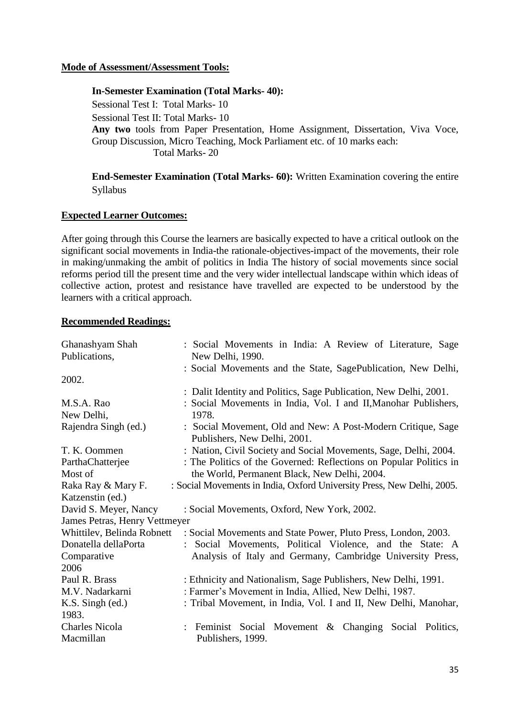### **Mode of Assessment/Assessment Tools:**

#### **In-Semester Examination (Total Marks- 40):**

Sessional Test I: Total Marks- 10 Sessional Test II: Total Marks- 10 **Any two** tools from Paper Presentation, Home Assignment, Dissertation, Viva Voce, Group Discussion, Micro Teaching, Mock Parliament etc. of 10 marks each: Total Marks- 20

**End-Semester Examination (Total Marks- 60):** Written Examination covering the entire Syllabus

#### **Expected Learner Outcomes:**

After going through this Course the learners are basically expected to have a critical outlook on the significant social movements in India-the rationale-objectives-impact of the movements, their role in making/unmaking the ambit of politics in India The history of social movements since social reforms period till the present time and the very wider intellectual landscape within which ideas of collective action, protest and resistance have travelled are expected to be understood by the learners with a critical approach.

| Ghanashyam Shah               | : Social Movements in India: A Review of Literature, Sage                                    |
|-------------------------------|----------------------------------------------------------------------------------------------|
| Publications,                 | New Delhi, 1990.                                                                             |
|                               | : Social Movements and the State, SagePublication, New Delhi,                                |
| 2002.                         |                                                                                              |
|                               | : Dalit Identity and Politics, Sage Publication, New Delhi, 2001.                            |
| M.S.A. Rao                    | : Social Movements in India, Vol. I and II, Manohar Publishers,                              |
| New Delhi,                    | 1978.                                                                                        |
| Rajendra Singh (ed.)          | : Social Movement, Old and New: A Post-Modern Critique, Sage<br>Publishers, New Delhi, 2001. |
| T. K. Oommen                  | : Nation, Civil Society and Social Movements, Sage, Delhi, 2004.                             |
| ParthaChatterjee              | : The Politics of the Governed: Reflections on Popular Politics in                           |
| Most of                       | the World, Permanent Black, New Delhi, 2004.                                                 |
| Raka Ray & Mary F.            | : Social Movements in India, Oxford University Press, New Delhi, 2005.                       |
| Katzenstin (ed.)              |                                                                                              |
| David S. Meyer, Nancy         | : Social Movements, Oxford, New York, 2002.                                                  |
| James Petras, Henry Vettmeyer |                                                                                              |
|                               | Whittilev, Belinda Robnett : Social Movements and State Power, Pluto Press, London, 2003.    |
| Donatella dellaPorta          | Social Movements, Political Violence, and the State: A                                       |
| Comparative                   | Analysis of Italy and Germany, Cambridge University Press,                                   |
| 2006                          |                                                                                              |
| Paul R. Brass                 | : Ethnicity and Nationalism, Sage Publishers, New Delhi, 1991.                               |
| M.V. Nadarkarni               | : Farmer's Movement in India, Allied, New Delhi, 1987.                                       |
| $K.S.$ Singh (ed.)            | : Tribal Movement, in India, Vol. I and II, New Delhi, Manohar,                              |
| 1983.                         |                                                                                              |
| <b>Charles Nicola</b>         | : Feminist Social Movement & Changing Social Politics,                                       |
| Macmillan                     | Publishers, 1999.                                                                            |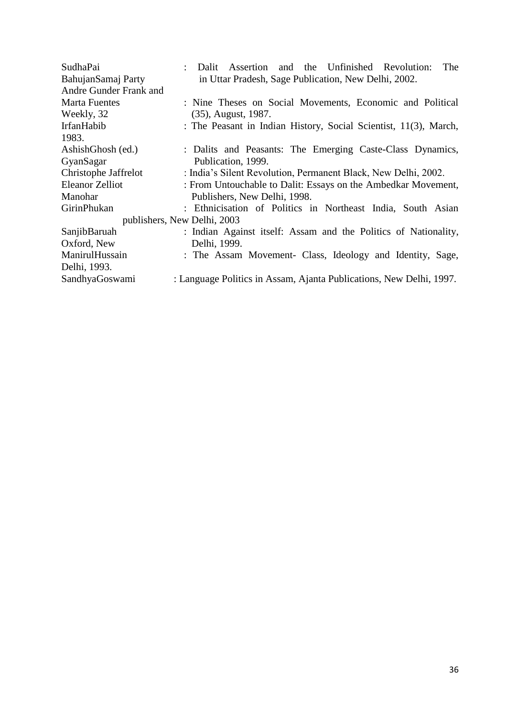| SudhaPai               | and the Unfinished Revolution:<br>The<br>Dalit Assertion            |
|------------------------|---------------------------------------------------------------------|
| BahujanSamaj Party     | in Uttar Pradesh, Sage Publication, New Delhi, 2002.                |
| Andre Gunder Frank and |                                                                     |
| <b>Marta Fuentes</b>   | : Nine Theses on Social Movements, Economic and Political           |
| Weekly, 32             | $(35)$ , August, 1987.                                              |
| IrfanHabib             | : The Peasant in Indian History, Social Scientist, 11(3), March,    |
| 1983.                  |                                                                     |
| AshishGhosh (ed.)      | : Dalits and Peasants: The Emerging Caste-Class Dynamics,           |
| GyanSagar              | Publication, 1999.                                                  |
| Christophe Jaffrelot   | : India's Silent Revolution, Permanent Black, New Delhi, 2002.      |
| <b>Eleanor Zelliot</b> | : From Untouchable to Dalit: Essays on the Ambedkar Movement,       |
| Manohar                | Publishers, New Delhi, 1998.                                        |
| GirinPhukan            | : Ethnicisation of Politics in Northeast India, South Asian         |
|                        | publishers, New Delhi, 2003                                         |
| SanjibBaruah           | : Indian Against itself: Assam and the Politics of Nationality,     |
| Oxford, New            | Delhi, 1999.                                                        |
| ManirulHussain         | : The Assam Movement- Class, Ideology and Identity, Sage,           |
| Delhi, 1993.           |                                                                     |
| SandhyaGoswami         | : Language Politics in Assam, Ajanta Publications, New Delhi, 1997. |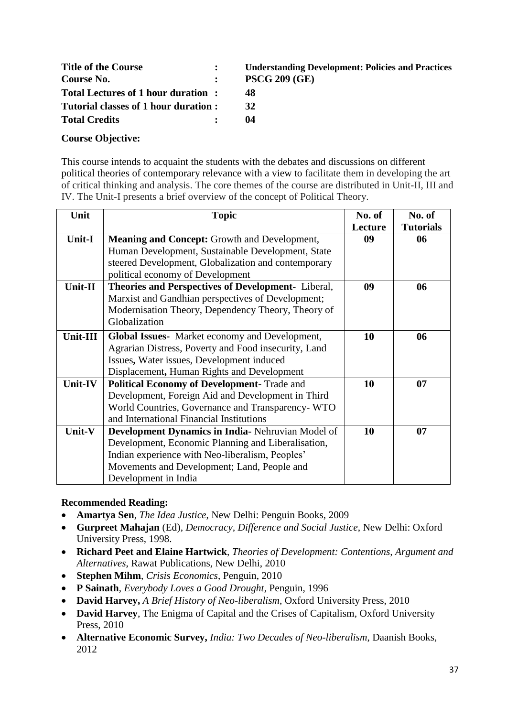| <b>Title of the Course</b>           | $\mathbf{L}$ | <b>Understanding Development: Policies and Practices</b> |
|--------------------------------------|--------------|----------------------------------------------------------|
| Course No.                           | $\mathbf{L}$ | <b>PSCG 209 (GE)</b>                                     |
| Total Lectures of 1 hour duration:   |              | 48                                                       |
| Tutorial classes of 1 hour duration: |              | 32                                                       |
| <b>Total Credits</b>                 |              | 04                                                       |

### **Course Objective:**

This course intends to acquaint the students with the debates and discussions on different political theories of contemporary relevance with a view to facilitate them in developing the art of critical thinking and analysis. The core themes of the course are distributed in Unit-II, III and IV. The Unit-I presents a brief overview of the concept of Political Theory.

| Unit          | <b>Topic</b>                                             | No. of  | No. of           |
|---------------|----------------------------------------------------------|---------|------------------|
|               |                                                          | Lecture | <b>Tutorials</b> |
| <b>Unit-I</b> | <b>Meaning and Concept:</b> Growth and Development,      | 09      | 06               |
|               | Human Development, Sustainable Development, State        |         |                  |
|               | steered Development, Globalization and contemporary      |         |                  |
|               | political economy of Development                         |         |                  |
| Unit-II       | Theories and Perspectives of Development- Liberal,       | 09      | 06               |
|               | Marxist and Gandhian perspectives of Development;        |         |                  |
|               | Modernisation Theory, Dependency Theory, Theory of       |         |                  |
|               | Globalization                                            |         |                  |
| Unit-III      | <b>Global Issues-</b> Market economy and Development,    | 10      | 06               |
|               | Agrarian Distress, Poverty and Food insecurity, Land     |         |                  |
|               | Issues, Water issues, Development induced                |         |                  |
|               | Displacement, Human Rights and Development               |         |                  |
| Unit-IV       | <b>Political Economy of Development- Trade and</b>       | 10      | 07               |
|               | Development, Foreign Aid and Development in Third        |         |                  |
|               | World Countries, Governance and Transparency- WTO        |         |                  |
|               | and International Financial Institutions                 |         |                  |
| Unit-V        | <b>Development Dynamics in India-</b> Nehruvian Model of | 10      | 07               |
|               | Development, Economic Planning and Liberalisation,       |         |                  |
|               | Indian experience with Neo-liberalism, Peoples'          |         |                  |
|               | Movements and Development; Land, People and              |         |                  |
|               | Development in India                                     |         |                  |

- **Amartya Sen**, *The Idea Justice*, New Delhi: Penguin Books, 2009
- **Gurpreet Mahajan** (Ed), *Democracy, Difference and Social Justice*, New Delhi: Oxford University Press, 1998.
- **Richard Peet and Elaine Hartwick**, *Theories of Development: Contentions, Argument and Alternatives*, Rawat Publications, New Delhi, 2010
- **Stephen Mihm**, *Crisis Economics*, Penguin, 2010
- **P Sainath**, *Everybody Loves a Good Drought*, Penguin, 1996
- **David Harvey,** *A Brief History of Neo-liberalism*, Oxford University Press, 2010
- **David Harvey**, The Enigma of Capital and the Crises of Capitalism, Oxford University Press, 2010
- **Alternative Economic Survey,** *India: Two Decades of Neo-liberalism*, Daanish Books, 2012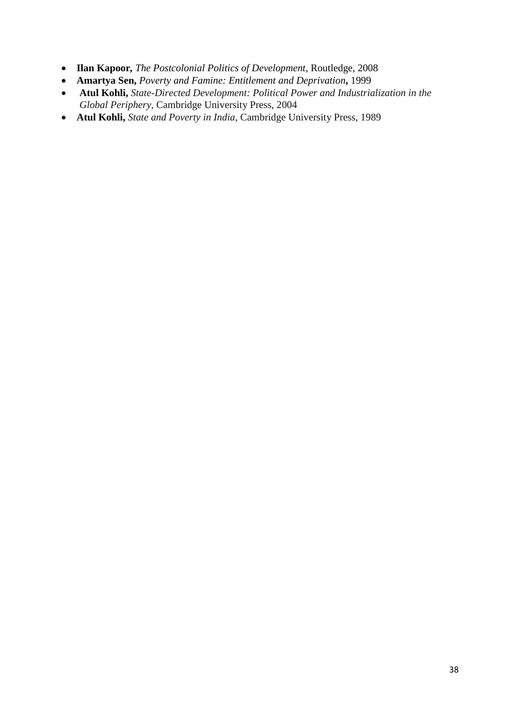- **Ilan Kapoor***, The Postcolonial Politics of Development*, Routledge, 2008
- **Amartya Sen,** *Poverty and Famine: Entitlement and Deprivation***,** 1999
- **Atul Kohli,** *State-Directed Development: Political Power and Industrialization in the Global Periphery*, Cambridge University Press, 2004
- **Atul Kohli,** *State and Poverty in India*, Cambridge University Press, 1989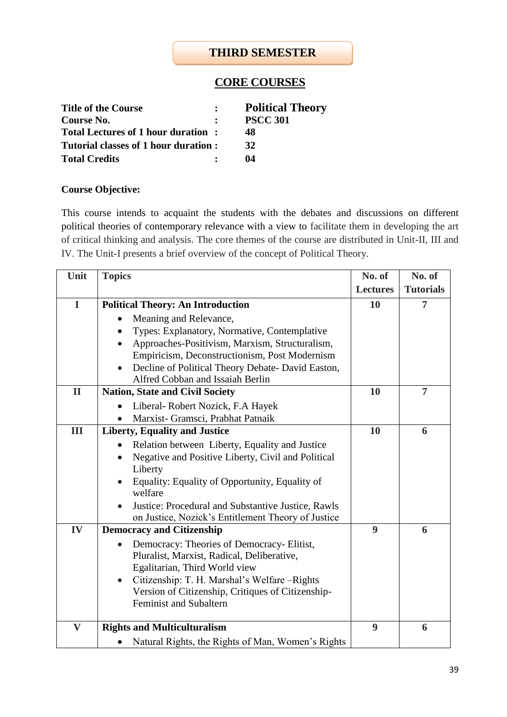## **THIRD SEMESTER**

# **CORE COURSES**

| <b>Title of the Course</b>           | <b>Political Theory</b> |
|--------------------------------------|-------------------------|
| Course No.                           | <b>PSCC 301</b>         |
| Total Lectures of 1 hour duration:   | 48                      |
| Tutorial classes of 1 hour duration: | 32                      |
| <b>Total Credits</b>                 | 04                      |

## **Course Objective:**

This course intends to acquaint the students with the debates and discussions on different political theories of contemporary relevance with a view to facilitate them in developing the art of critical thinking and analysis. The core themes of the course are distributed in Unit-II, III and IV. The Unit-I presents a brief overview of the concept of Political Theory.

| Unit         | <b>Topics</b>                                               | No. of          | No. of           |
|--------------|-------------------------------------------------------------|-----------------|------------------|
|              |                                                             | <b>Lectures</b> | <b>Tutorials</b> |
| $\mathbf I$  | <b>Political Theory: An Introduction</b>                    | 10              | 7                |
|              | Meaning and Relevance,                                      |                 |                  |
|              | Types: Explanatory, Normative, Contemplative                |                 |                  |
|              | Approaches-Positivism, Marxism, Structuralism,<br>$\bullet$ |                 |                  |
|              | Empiricism, Deconstructionism, Post Modernism               |                 |                  |
|              | Decline of Political Theory Debate- David Easton,           |                 |                  |
|              | Alfred Cobban and Issaiah Berlin                            |                 |                  |
| $\mathbf{I}$ | <b>Nation, State and Civil Society</b>                      | 10              | $\overline{7}$   |
|              | Liberal-Robert Nozick, F.A Hayek                            |                 |                  |
|              | Marxist- Gramsci, Prabhat Patnaik                           |                 |                  |
| Ш            | <b>Liberty, Equality and Justice</b>                        | 10              | 6                |
|              | Relation between Liberty, Equality and Justice              |                 |                  |
|              | Negative and Positive Liberty, Civil and Political          |                 |                  |
|              | Liberty                                                     |                 |                  |
|              | Equality: Equality of Opportunity, Equality of<br>welfare   |                 |                  |
|              | Justice: Procedural and Substantive Justice, Rawls          |                 |                  |
|              | on Justice, Nozick's Entitlement Theory of Justice          |                 |                  |
| IV           | <b>Democracy and Citizenship</b>                            | 9               | 6                |
|              | Democracy: Theories of Democracy- Elitist,                  |                 |                  |
|              | Pluralist, Marxist, Radical, Deliberative,                  |                 |                  |
|              | Egalitarian, Third World view                               |                 |                  |
|              | Citizenship: T. H. Marshal's Welfare - Rights<br>$\bullet$  |                 |                  |
|              | Version of Citizenship, Critiques of Citizenship-           |                 |                  |
|              | <b>Feminist and Subaltern</b>                               |                 |                  |
|              |                                                             |                 |                  |
| $\mathbf{V}$ | <b>Rights and Multiculturalism</b>                          | 9               | 6                |
|              | Natural Rights, the Rights of Man, Women's Rights           |                 |                  |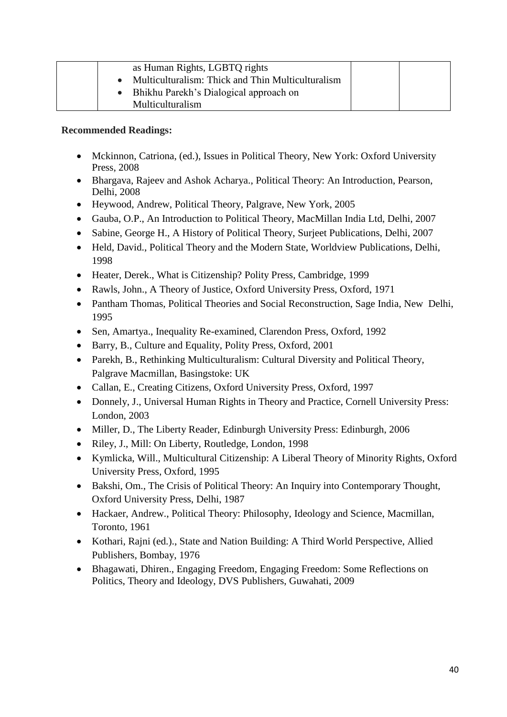|  | as Human Rights, LGBTQ rights                     |  |
|--|---------------------------------------------------|--|
|  | Multiculturalism: Thick and Thin Multiculturalism |  |
|  | Bhikhu Parekh's Dialogical approach on            |  |
|  | Multiculturalism                                  |  |

- Mckinnon, Catriona, (ed.), Issues in Political Theory, New York: Oxford University Press, 2008
- Bhargava, Rajeev and Ashok Acharya., Political Theory: An Introduction, Pearson, Delhi, 2008
- Heywood, Andrew, Political Theory, Palgrave, New York, 2005
- Gauba, O.P., An Introduction to Political Theory, MacMillan India Ltd, Delhi, 2007
- Sabine, George H., A History of Political Theory, Surjeet Publications, Delhi, 2007
- Held, David., Political Theory and the Modern State, Worldview Publications, Delhi, 1998
- Heater, Derek., What is Citizenship? Polity Press, Cambridge, 1999
- Rawls, John., A Theory of Justice, Oxford University Press, Oxford, 1971
- Pantham Thomas, Political Theories and Social Reconstruction, Sage India, New Delhi, 1995
- Sen, Amartya., Inequality Re-examined, Clarendon Press, Oxford, 1992
- Barry, B., Culture and Equality, Polity Press, Oxford, 2001
- Parekh, B., Rethinking Multiculturalism: Cultural Diversity and Political Theory, Palgrave Macmillan, Basingstoke: UK
- Callan, E., Creating Citizens, Oxford University Press, Oxford, 1997
- Donnely, J., Universal Human Rights in Theory and Practice, Cornell University Press: London, 2003
- Miller, D., The Liberty Reader, Edinburgh University Press: Edinburgh, 2006
- Riley, J., Mill: On Liberty, Routledge, London, 1998
- Kymlicka, Will., Multicultural Citizenship: A Liberal Theory of Minority Rights, Oxford University Press, Oxford, 1995
- Bakshi, Om., The Crisis of Political Theory: An Inquiry into Contemporary Thought, Oxford University Press, Delhi, 1987
- Hackaer, Andrew., Political Theory: Philosophy, Ideology and Science, Macmillan, Toronto, 1961
- Kothari, Rajni (ed.)., State and Nation Building: A Third World Perspective, Allied Publishers, Bombay, 1976
- Bhagawati, Dhiren., Engaging Freedom, Engaging Freedom: Some Reflections on Politics, Theory and Ideology, DVS Publishers, Guwahati, 2009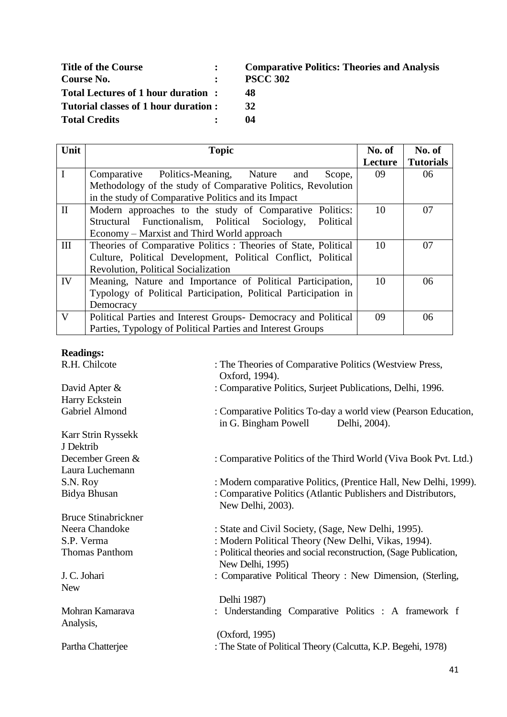| <b>Title of the Course</b>           | Comparati       |
|--------------------------------------|-----------------|
| Course No.                           | <b>PSCC 302</b> |
| Total Lectures of 1 hour duration:   | 48              |
| Tutorial classes of 1 hour duration: | 32              |
| <b>Total Credits</b>                 | 04              |

**Title of the Course : Comparative Politics: Theories and Analysis**

- 
- 

| Unit         | <b>Topic</b>                                                    | No. of  | No. of           |
|--------------|-----------------------------------------------------------------|---------|------------------|
|              |                                                                 | Lecture | <b>Tutorials</b> |
| $\mathbf I$  | Comparative Politics-Meaning, Nature<br>Scope,<br>and           | 09      | 06               |
|              | Methodology of the study of Comparative Politics, Revolution    |         |                  |
|              | in the study of Comparative Politics and its Impact             |         |                  |
| $\mathbf{I}$ | Modern approaches to the study of Comparative Politics:         | 10      | 07               |
|              | Structural Functionalism, Political Sociology,<br>Political     |         |                  |
|              | Economy – Marxist and Third World approach                      |         |                  |
| III          | Theories of Comparative Politics: Theories of State, Political  | 10      | 07               |
|              | Culture, Political Development, Political Conflict, Political   |         |                  |
|              | <b>Revolution, Political Socialization</b>                      |         |                  |
| IV           | Meaning, Nature and Importance of Political Participation,      | 10      | 06               |
|              | Typology of Political Participation, Political Participation in |         |                  |
|              | Democracy                                                       |         |                  |
| $\mathbf{V}$ | Political Parties and Interest Groups- Democracy and Political  | 09      | 06               |
|              | Parties, Typology of Political Parties and Interest Groups      |         |                  |

# **Readings:**

| : The Theories of Comparative Politics (Westview Press,<br>Oxford, 1994).                               |
|---------------------------------------------------------------------------------------------------------|
| : Comparative Politics, Surjeet Publications, Delhi, 1996.                                              |
|                                                                                                         |
| : Comparative Politics To-day a world view (Pearson Education,<br>in G. Bingham Powell<br>Delhi, 2004). |
|                                                                                                         |
|                                                                                                         |
| : Comparative Politics of the Third World (Viva Book Pvt. Ltd.)                                         |
|                                                                                                         |
| : Modern comparative Politics, (Prentice Hall, New Delhi, 1999).                                        |
| : Comparative Politics (Atlantic Publishers and Distributors,<br>New Delhi, 2003).                      |
|                                                                                                         |
| : State and Civil Society, (Sage, New Delhi, 1995).                                                     |
| : Modern Political Theory (New Delhi, Vikas, 1994).                                                     |
| : Political theories and social reconstruction, (Sage Publication,<br>New Delhi, 1995)                  |
| : Comparative Political Theory : New Dimension, (Sterling,                                              |
|                                                                                                         |
| Delhi 1987)                                                                                             |
| : Understanding Comparative Politics : A framework f                                                    |
| (Oxford, 1995)                                                                                          |
| : The State of Political Theory (Calcutta, K.P. Begehi, 1978)                                           |
|                                                                                                         |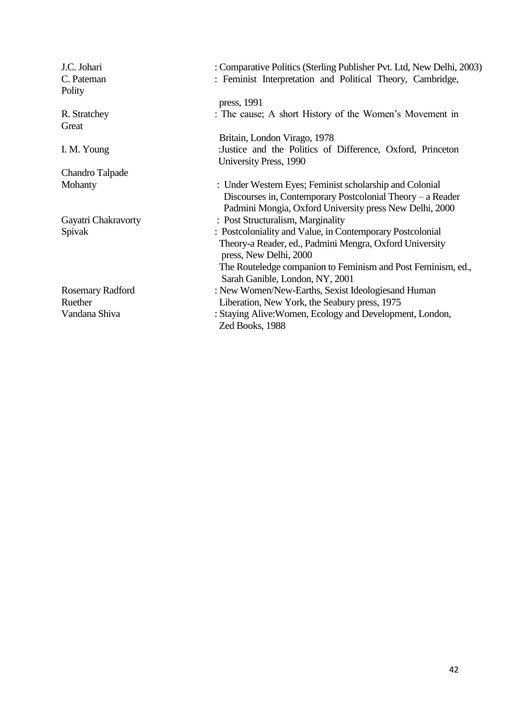| J.C. Johari<br>C. Pateman<br>Polity | : Comparative Politics (Sterling Publisher Pvt. Ltd, New Delhi, 2003)<br>: Feminist Interpretation and Political Theory, Cambridge,                                              |
|-------------------------------------|----------------------------------------------------------------------------------------------------------------------------------------------------------------------------------|
|                                     | press, 1991                                                                                                                                                                      |
| R. Stratchey<br>Great               | : The cause; A short History of the Women's Movement in                                                                                                                          |
|                                     | Britain, London Virago, 1978                                                                                                                                                     |
| I. M. Young                         | :Justice and the Politics of Difference, Oxford, Princeton<br>University Press, 1990                                                                                             |
| Chandro Talpade                     |                                                                                                                                                                                  |
| Mohanty                             | : Under Western Eyes; Feminist scholarship and Colonial<br>Discourses in, Contemporary Postcolonial Theory – a Reader<br>Padmini Mongia, Oxford University press New Delhi, 2000 |
| Gayatri Chakravorty                 | : Post Structuralism, Marginality                                                                                                                                                |
| Spivak                              | : Postcoloniality and Value, in Contemporary Postcolonial                                                                                                                        |
|                                     | Theory-a Reader, ed., Padmini Mengra, Oxford University<br>press, New Delhi, 2000                                                                                                |
|                                     | The Routeledge companion to Feminism and Post Feminism, ed.,<br>Sarah Ganible, London, NY, 2001                                                                                  |
| <b>Rosemary Radford</b>             | : New Women/New-Earths, Sexist Ideologies and Human                                                                                                                              |
| Ruether                             | Liberation, New York, the Seabury press, 1975                                                                                                                                    |
| Vandana Shiva                       | : Staying Alive: Women, Ecology and Development, London,<br>Zed Books, 1988                                                                                                      |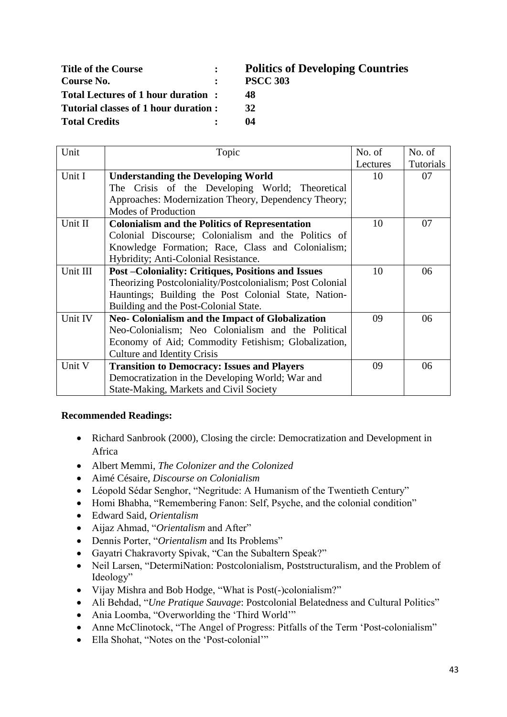| <b>Title of the Course</b>           | P  |
|--------------------------------------|----|
| Course No.                           | P۶ |
| Total Lectures of 1 hour duration:   | 48 |
| Tutorial classes of 1 hour duration: | 32 |
| <b>Total Credits</b>                 | 04 |

# **Title of the Course : Politics of Developing Countries Course No. : PSCC 303**

- 
- 

| Unit     | Topic                                                     | No. of   | No. of    |
|----------|-----------------------------------------------------------|----------|-----------|
|          |                                                           | Lectures | Tutorials |
| Unit I   | <b>Understanding the Developing World</b>                 | 10       | 07        |
|          | The Crisis of the Developing World; Theoretical           |          |           |
|          | Approaches: Modernization Theory, Dependency Theory;      |          |           |
|          | Modes of Production                                       |          |           |
| Unit II  | <b>Colonialism and the Politics of Representation</b>     | 10       | 07        |
|          | Colonial Discourse; Colonialism and the Politics of       |          |           |
|          | Knowledge Formation; Race, Class and Colonialism;         |          |           |
|          | Hybridity; Anti-Colonial Resistance.                      |          |           |
| Unit III | <b>Post-Coloniality: Critiques, Positions and Issues</b>  | 10       | 06        |
|          | Theorizing Postcoloniality/Postcolonialism; Post Colonial |          |           |
|          | Hauntings; Building the Post Colonial State, Nation-      |          |           |
|          | Building and the Post-Colonial State.                     |          |           |
| Unit IV  | Neo- Colonialism and the Impact of Globalization          | 09       | 06        |
|          | Neo-Colonialism; Neo Colonialism and the Political        |          |           |
|          | Economy of Aid; Commodity Fetishism; Globalization,       |          |           |
|          | Culture and Identity Crisis                               |          |           |
| Unit V   | <b>Transition to Democracy: Issues and Players</b>        | 09       | 06        |
|          | Democratization in the Developing World; War and          |          |           |
|          | State-Making, Markets and Civil Society                   |          |           |

- Richard Sanbrook (2000), Closing the circle: Democratization and Development in Africa
- Albert Memmi, *The Colonizer and the Colonized*
- Aimé Césaire, *Discourse on Colonialism*
- Léopold Sédar Senghor, "Negritude: A Humanism of the Twentieth Century"
- Homi Bhabha, "Remembering Fanon: Self, Psyche, and the colonial condition"
- Edward Said, *Orientalism*
- Aijaz Ahmad, "*Orientalism* and After"
- Dennis Porter, "*Orientalism* and Its Problems"
- Gayatri Chakravorty Spivak, "Can the Subaltern Speak?"
- Neil Larsen, "DetermiNation: Postcolonialism, Poststructuralism, and the Problem of Ideology"
- Vijay Mishra and Bob Hodge, "What is Post(-)colonialism?"
- Ali Behdad, "*Une Pratique Sauvage*: Postcolonial Belatedness and Cultural Politics"
- Ania Loomba, "Overworlding the 'Third World'"
- Anne McClinotock, "The Angel of Progress: Pitfalls of the Term 'Post-colonialism"
- Ella Shohat, "Notes on the 'Post-colonial'"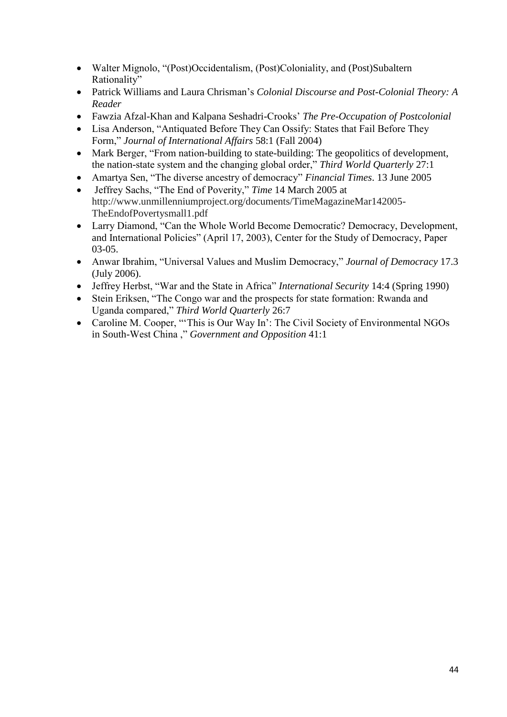- Walter Mignolo, "(Post)Occidentalism, (Post)Coloniality, and (Post)Subaltern Rationality"
- Patrick Williams and Laura Chrisman's *Colonial Discourse and Post-Colonial Theory: A Reader*
- Fawzia Afzal-Khan and Kalpana Seshadri-Crooks' *The Pre-Occupation of Postcolonial*
- Lisa Anderson, "Antiquated Before They Can Ossify: States that Fail Before They Form," *Journal of International Affairs* 58:1 (Fall 2004)
- Mark Berger, "From nation-building to state-building: The geopolitics of development, the nation-state system and the changing global order," *Third World Quarterly* 27:1
- Amartya Sen, "The diverse ancestry of democracy" *Financial Times*. 13 June 2005
- Jeffrey Sachs, "The End of Poverity," *Time* 14 March 2005 at http://www.unmillenniumproject.org/documents/TimeMagazineMar142005- TheEndofPovertysmall1.pdf
- Larry Diamond, "Can the Whole World Become Democratic? Democracy, Development, and International Policies" (April 17, 2003), Center for the Study of Democracy, Paper 03-05.
- Anwar Ibrahim, "Universal Values and Muslim Democracy," *Journal of Democracy* 17.3 (July 2006).
- Jeffrey Herbst, "War and the State in Africa" *International Security* 14:4 (Spring 1990)
- Stein Eriksen, "The Congo war and the prospects for state formation: Rwanda and Uganda compared," *Third World Quarterly* 26:7
- Caroline M. Cooper, "This is Our Way In': The Civil Society of Environmental NGOs in South-West China ," *Government and Opposition* 41:1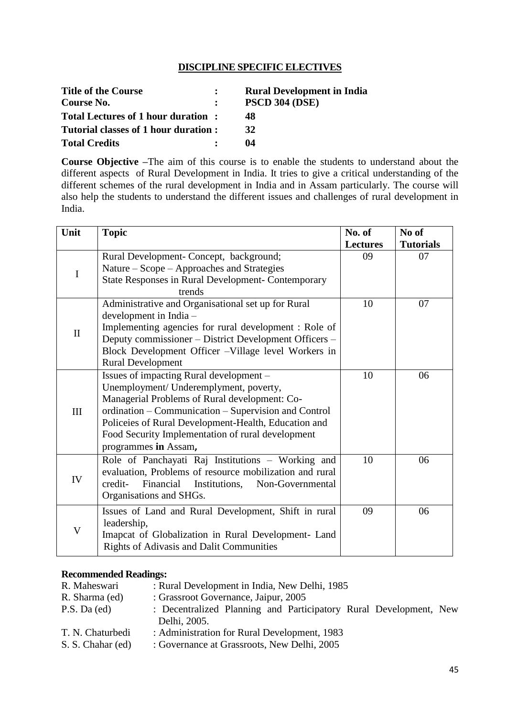## **DISCIPLINE SPECIFIC ELECTIVES**

| <b>Title of the Course</b>           | <b>Rural Development in India</b> |
|--------------------------------------|-----------------------------------|
| Course No.                           | <b>PSCD 304 (DSE)</b>             |
| Total Lectures of 1 hour duration:   | 48                                |
| Tutorial classes of 1 hour duration: | 32                                |
| <b>Total Credits</b>                 | 04                                |

**Course Objective –**The aim of this course is to enable the students to understand about the different aspects of Rural Development in India. It tries to give a critical understanding of the different schemes of the rural development in India and in Assam particularly. The course will also help the students to understand the different issues and challenges of rural development in India.

| Unit         | <b>Topic</b>                                                                     | No. of                | No of                  |
|--------------|----------------------------------------------------------------------------------|-----------------------|------------------------|
|              | Rural Development- Concept, background;                                          | <b>Lectures</b><br>09 | <b>Tutorials</b><br>07 |
| $\mathbf I$  | Nature – Scope – Approaches and Strategies                                       |                       |                        |
|              | <b>State Responses in Rural Development- Contemporary</b><br>trends              |                       |                        |
|              | Administrative and Organisational set up for Rural                               | 10                    | 07                     |
|              | development in India -                                                           |                       |                        |
| $\mathbf{I}$ | Implementing agencies for rural development : Role of                            |                       |                        |
|              | Deputy commissioner – District Development Officers –                            |                       |                        |
|              | Block Development Officer - Village level Workers in<br><b>Rural Development</b> |                       |                        |
|              | Issues of impacting Rural development –                                          | 10                    | 06                     |
|              | Unemployment/ Underemplyment, poverty,                                           |                       |                        |
|              | Managerial Problems of Rural development: Co-                                    |                       |                        |
| III          | ordination – Communication – Supervision and Control                             |                       |                        |
|              | Policeies of Rural Development-Health, Education and                             |                       |                        |
|              | Food Security Implementation of rural development                                |                       |                        |
|              | programmes in Assam,                                                             |                       |                        |
|              | Role of Panchayati Raj Institutions - Working and                                | 10                    | 06                     |
| IV           | evaluation, Problems of resource mobilization and rural                          |                       |                        |
|              | Financial<br>credit-<br>Institutions,<br>Non-Governmental                        |                       |                        |
|              | Organisations and SHGs.                                                          |                       |                        |
|              | Issues of Land and Rural Development, Shift in rural                             | 09                    | 06                     |
| V            | leadership,                                                                      |                       |                        |
|              | Imapcat of Globalization in Rural Development- Land                              |                       |                        |
|              | <b>Rights of Adivasis and Dalit Communities</b>                                  |                       |                        |

| R. Maheswari      | : Rural Development in India, New Delhi, 1985                     |  |  |  |
|-------------------|-------------------------------------------------------------------|--|--|--|
| R. Sharma (ed)    | : Grassroot Governance, Jaipur, 2005                              |  |  |  |
| P.S. Da (ed)      | : Decentralized Planning and Participatory Rural Development, New |  |  |  |
|                   | Delhi, 2005.                                                      |  |  |  |
| T. N. Chaturbedi  | : Administration for Rural Development, 1983                      |  |  |  |
| S. S. Chahar (ed) | : Governance at Grassroots, New Delhi, 2005                       |  |  |  |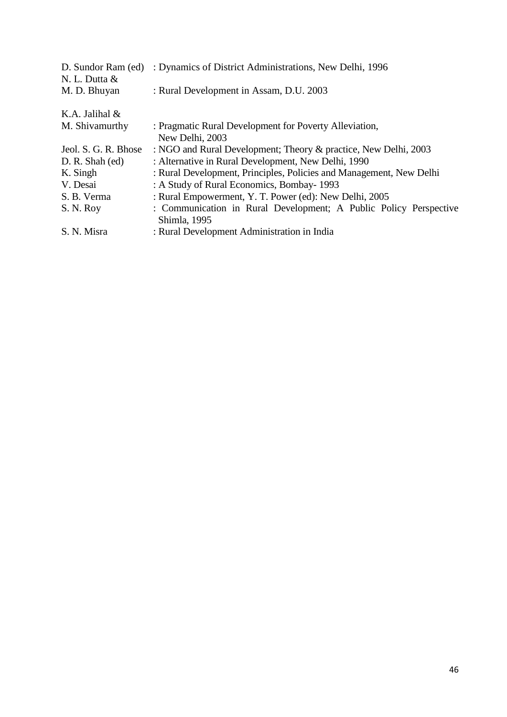| D. Sundor Ram (ed)<br>N. L. Dutta & | : Dynamics of District Administrations, New Delhi, 1996                           |
|-------------------------------------|-----------------------------------------------------------------------------------|
| M. D. Bhuyan                        | : Rural Development in Assam, D.U. 2003                                           |
| K.A. Jalihal $&$                    |                                                                                   |
| M. Shivamurthy                      | : Pragmatic Rural Development for Poverty Alleviation,<br>New Delhi, 2003         |
| Jeol. S. G. R. Bhose                | : NGO and Rural Development; Theory & practice, New Delhi, 2003                   |
| D. R. Shah (ed)                     | : Alternative in Rural Development, New Delhi, 1990                               |
| K. Singh                            | : Rural Development, Principles, Policies and Management, New Delhi               |
| V. Desai                            | : A Study of Rural Economics, Bombay-1993                                         |
| S. B. Verma                         | : Rural Empowerment, Y. T. Power (ed): New Delhi, 2005                            |
| S. N. Roy                           | : Communication in Rural Development; A Public Policy Perspective<br>Shimla, 1995 |
| S. N. Misra                         | : Rural Development Administration in India                                       |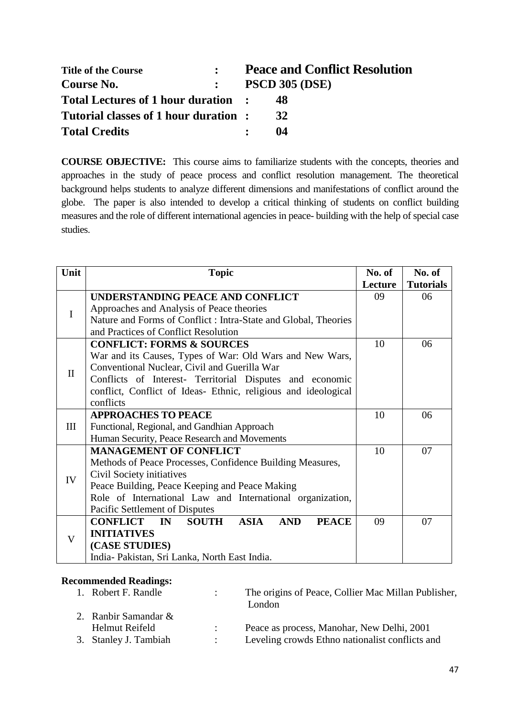| <b>Title of the Course</b>           |              | <b>Peace and Conflict Resolution</b> |
|--------------------------------------|--------------|--------------------------------------|
| Course No.                           | $\mathbf{L}$ | <b>PSCD 305 (DSE)</b>                |
| Total Lectures of 1 hour duration :  |              | 48                                   |
| Tutorial classes of 1 hour duration: |              | 32                                   |
| <b>Total Credits</b>                 |              | 04                                   |

**COURSE OBJECTIVE:** This course aims to familiarize students with the concepts, theories and approaches in the study of peace process and conflict resolution management. The theoretical background helps students to analyze different dimensions and manifestations of conflict around the globe. The paper is also intended to develop a critical thinking of students on conflict building measures and the role of different international agencies in peace- building with the help of special case studies.

| Unit         | <b>Topic</b>                                                                                  |         | No. of           |
|--------------|-----------------------------------------------------------------------------------------------|---------|------------------|
|              |                                                                                               | Lecture | <b>Tutorials</b> |
|              | UNDERSTANDING PEACE AND CONFLICT                                                              | 09      | 06               |
| I            | Approaches and Analysis of Peace theories                                                     |         |                  |
|              | Nature and Forms of Conflict : Intra-State and Global, Theories                               |         |                  |
|              | and Practices of Conflict Resolution                                                          |         |                  |
|              | <b>CONFLICT: FORMS &amp; SOURCES</b>                                                          | 10      | 06               |
|              | War and its Causes, Types of War: Old Wars and New Wars,                                      |         |                  |
| $\mathbf{I}$ | Conventional Nuclear, Civil and Guerilla War                                                  |         |                  |
|              | Conflicts of Interest- Territorial Disputes and economic                                      |         |                  |
|              | conflict, Conflict of Ideas- Ethnic, religious and ideological                                |         |                  |
|              | conflicts                                                                                     |         |                  |
|              | <b>APPROACHES TO PEACE</b>                                                                    | 10      | 06               |
| III          | Functional, Regional, and Gandhian Approach                                                   |         |                  |
|              | Human Security, Peace Research and Movements                                                  |         |                  |
|              | <b>MANAGEMENT OF CONFLICT</b>                                                                 | 10      | 07               |
|              | Methods of Peace Processes, Confidence Building Measures,                                     |         |                  |
| IV           | Civil Society initiatives                                                                     |         |                  |
|              | Peace Building, Peace Keeping and Peace Making                                                |         |                  |
|              | Role of International Law and International organization,                                     |         |                  |
|              | Pacific Settlement of Disputes                                                                |         |                  |
|              | <b>ASIA</b><br><b>CONFLICT</b><br><b>SOUTH</b><br><b>AND</b><br><b>PEACE</b><br>$\mathbf{IN}$ | 09      | 07               |
| V            | <b>INITIATIVES</b>                                                                            |         |                  |
|              | (CASE STUDIES)                                                                                |         |                  |
|              | India-Pakistan, Sri Lanka, North East India.                                                  |         |                  |

| 1. Robert F. Randle     | The origins of Peace, Collier Mac Millan Publisher,<br>London |
|-------------------------|---------------------------------------------------------------|
| 2. Ranbir Samandar $\&$ |                                                               |
| Helmut Reifeld          | Peace as process, Manohar, New Delhi, 2001                    |
| 3. Stanley J. Tambiah   | Leveling crowds Ethno nationalist conflicts and               |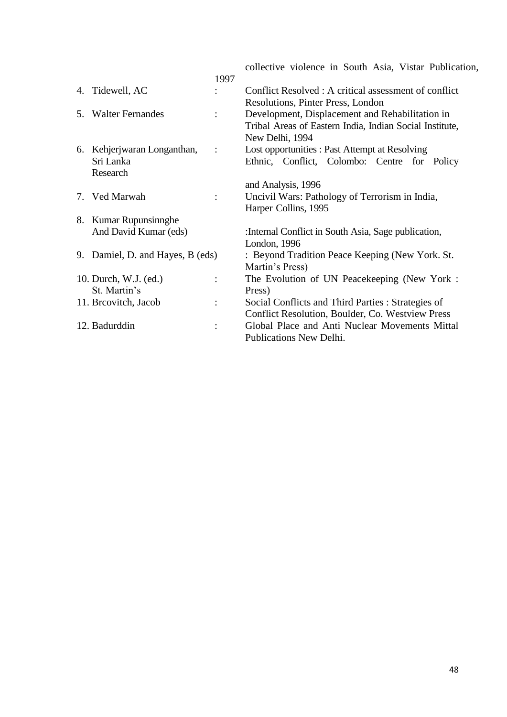|                                  |                      | collective violence in South Asia, Vistar Publication,  |
|----------------------------------|----------------------|---------------------------------------------------------|
|                                  | 1997                 |                                                         |
| 4. Tidewell, AC                  |                      | Conflict Resolved : A critical assessment of conflict   |
|                                  |                      | Resolutions, Pinter Press, London                       |
| 5. Walter Fernandes              | $\ddot{\cdot}$       | Development, Displacement and Rehabilitation in         |
|                                  |                      | Tribal Areas of Eastern India, Indian Social Institute, |
|                                  |                      | New Delhi, 1994                                         |
| 6. Kehjerjwaran Longanthan,      | $\ddot{\cdot}$       | Lost opportunities : Past Attempt at Resolving          |
| Sri Lanka                        |                      | Ethnic, Conflict, Colombo: Centre for Policy            |
| Research                         |                      |                                                         |
|                                  |                      | and Analysis, 1996                                      |
| 7. Ved Marwah                    | $\ddot{\cdot}$       | Uncivil Wars: Pathology of Terrorism in India,          |
|                                  |                      | Harper Collins, 1995                                    |
| 8. Kumar Rupunsinnghe            |                      |                                                         |
| And David Kumar (eds)            |                      | : Internal Conflict in South Asia, Sage publication,    |
|                                  |                      | London, 1996                                            |
| 9. Damiel, D. and Hayes, B (eds) |                      | : Beyond Tradition Peace Keeping (New York. St.         |
|                                  |                      | Martin's Press)                                         |
| 10. Durch, W.J. (ed.)            | $\ddot{\cdot}$       | The Evolution of UN Peacekeeping (New York:             |
| St. Martin's                     |                      | Press)                                                  |
| 11. Breovitch, Jacob             | $\ddot{\phantom{a}}$ | Social Conflicts and Third Parties : Strategies of      |
|                                  |                      | Conflict Resolution, Boulder, Co. Westview Press        |
| 12. Badurddin                    | $\ddot{\cdot}$       | Global Place and Anti Nuclear Movements Mittal          |
|                                  |                      | Publications New Delhi.                                 |
|                                  |                      |                                                         |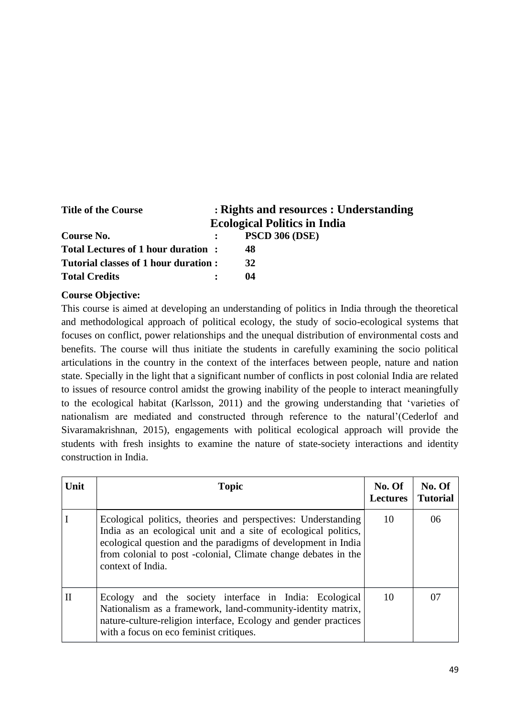| <b>Title of the Course</b>           | : Rights and resources : Understanding |
|--------------------------------------|----------------------------------------|
|                                      | <b>Ecological Politics in India</b>    |
| Course No.                           | <b>PSCD 306 (DSE)</b>                  |
| Total Lectures of 1 hour duration:   | 48                                     |
| Tutorial classes of 1 hour duration: | 32                                     |
| <b>Total Credits</b>                 | 04                                     |

#### **Course Objective:**

This course is aimed at developing an understanding of politics in India through the theoretical and methodological approach of political ecology, the study of socio-ecological systems that focuses on conflict, power relationships and the unequal distribution of environmental costs and benefits. The course will thus initiate the students in carefully examining the socio political articulations in the country in the context of the interfaces between people, nature and nation state. Specially in the light that a significant number of conflicts in post colonial India are related to issues of resource control amidst the growing inability of the people to interact meaningfully to the ecological habitat (Karlsson, 2011) and the growing understanding that 'varieties of nationalism are mediated and constructed through reference to the natural'(Cederlof and Sivaramakrishnan, 2015), engagements with political ecological approach will provide the students with fresh insights to examine the nature of state-society interactions and identity construction in India.

| Unit         | <b>Topic</b>                                                                                                                                                                                                                                                                            | No. Of<br><b>Lectures</b> | No. Of<br><b>Tutorial</b> |
|--------------|-----------------------------------------------------------------------------------------------------------------------------------------------------------------------------------------------------------------------------------------------------------------------------------------|---------------------------|---------------------------|
|              | Ecological politics, theories and perspectives: Understanding<br>India as an ecological unit and a site of ecological politics,<br>ecological question and the paradigms of development in India<br>from colonial to post -colonial, Climate change debates in the<br>context of India. | 10                        | 06                        |
| $\mathbf{I}$ | Ecology and the society interface in India: Ecological<br>Nationalism as a framework, land-community-identity matrix,<br>nature-culture-religion interface, Ecology and gender practices<br>with a focus on eco feminist critiques.                                                     | 10                        | 07                        |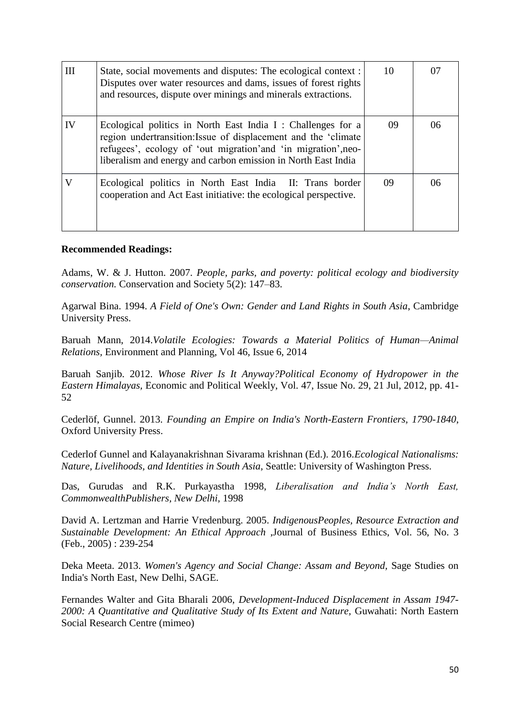| III | State, social movements and disputes: The ecological context :<br>Disputes over water resources and dams, issues of forest rights<br>and resources, dispute over minings and minerals extractions.                                                                | 10 | 07 |
|-----|-------------------------------------------------------------------------------------------------------------------------------------------------------------------------------------------------------------------------------------------------------------------|----|----|
| IV  | Ecological politics in North East India I : Challenges for a<br>region undertransition: Issue of displacement and the 'climate<br>refugees', ecology of 'out migration' and 'in migration', neo-<br>liberalism and energy and carbon emission in North East India | 09 | 06 |
| V   | Ecological politics in North East India II: Trans border<br>cooperation and Act East initiative: the ecological perspective.                                                                                                                                      | 09 | 06 |

Adams, W. & J. Hutton. 2007. *People, parks, and poverty: political ecology and biodiversity conservation.* Conservation and Society 5(2): 147–83.

Agarwal Bina. 1994. *A Field of One's Own: Gender and Land Rights in South Asia*, Cambridge University Press.

Baruah Mann, 2014.*Volatile Ecologies: Towards a Material Politics of Human—Animal Relations,* Environment and Planning, Vol 46, Issue 6, 2014

Baruah Sanjib. 2012. *Whose River Is It Anyway?Political Economy of Hydropower in the Eastern Himalayas,* Economic and Political Weekly, Vol. 47, Issue No. 29, 21 Jul, 2012, pp. 41- 52

Cederlöf, Gunnel. 2013. *Founding an Empire on India's North-Eastern Frontiers, 1790-1840*, Oxford University Press.

Cederlof Gunnel and Kalayanakrishnan Sivarama krishnan (Ed.). 2016.*Ecological Nationalisms: Nature, Livelihoods, and Identities in South Asia,* Seattle: University of Washington Press.

Das, Gurudas and R.K. Purkayastha 1998, *Liberalisation and India's North East, CommonwealthPublishers, New Delhi,* 1998

David A. Lertzman and Harrie Vredenburg. 2005. *IndigenousPeoples, Resource Extraction and Sustainable Development: An Ethical Approach* ,Journal of Business Ethics, Vol. 56, No. 3 (Feb., 2005) : 239-254

Deka Meeta. 2013. *Women's Agency and Social Change: Assam and Beyond,* Sage Studies on India's North East, New Delhi, SAGE.

Fernandes Walter and Gita Bharali 2006, *Development-Induced Displacement in Assam 1947- 2000: A Quantitative and Qualitative Study of Its Extent and Nature,* Guwahati: North Eastern Social Research Centre (mimeo)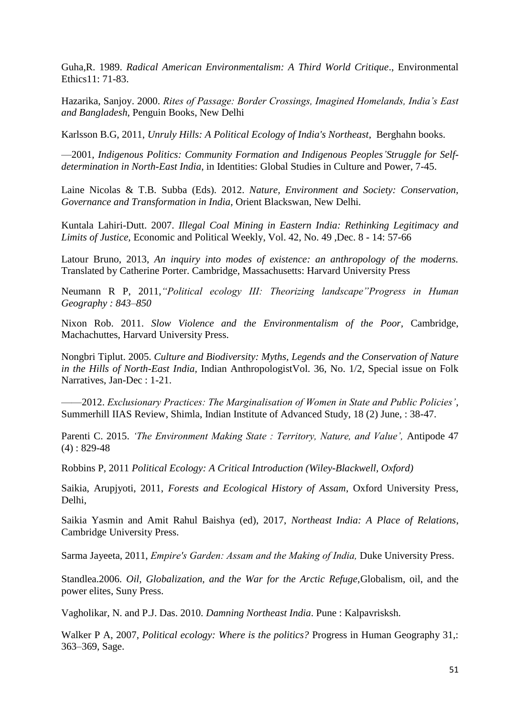Guha,R. 1989. *Radical American Environmentalism: A Third World Critique*., Environmental Ethics11: 71-83.

Hazarika, Sanjoy. 2000. *Rites of Passage: Border Crossings, Imagined Homelands, India's East and Bangladesh*, Penguin Books, New Delhi

Karlsson B.G, 2011, *Unruly Hills: A Political Ecology of India's Northeast*, Berghahn books.

—2001, *Indigenous Politics: Community Formation and Indigenous Peoples'Struggle for Selfdetermination in North-East India*, in Identities: Global Studies in Culture and Power, 7-45.

Laine Nicolas & T.B. Subba (Eds). 2012. *Nature, Environment and Society: Conservation, Governance and Transformation in India,* Orient Blackswan, New Delhi*.*

Kuntala Lahiri-Dutt. 2007. *Illegal Coal Mining in Eastern India: Rethinking Legitimacy and Limits of Justice,* Economic and Political Weekly, Vol. 42, No. 49 ,Dec. 8 - 14: 57-66

Latour Bruno, 2013, *An inquiry into modes of existence: an anthropology of the moderns.* Translated by Catherine Porter. Cambridge, Massachusetts: Harvard University Press

Neumann R P, 2011,*"Political ecology III: Theorizing landscape"Progress in Human Geography : 843–850*

Nixon Rob. 2011. *Slow Violence and the Environmentalism of the Poor,* Cambridge, Machachuttes, Harvard University Press.

Nongbri Tiplut. 2005. *Culture and Biodiversity: Myths, Legends and the Conservation of Nature in the Hills of North-East India,* Indian AnthropologistVol. 36, No. 1/2, Special issue on Folk Narratives, Jan-Dec : 1-21.

——2012. *Exclusionary Practices: The Marginalisation of Women in State and Public Policies'*, Summerhill IIAS Review, Shimla, Indian Institute of Advanced Study, 18 (2) June, : 38-47.

Parenti C. 2015. *'The Environment Making State : Territory, Nature, and Value', Antipode 47*  $(4) : 829-48$ 

Robbins P, 2011 *Political Ecology: A Critical Introduction (Wiley-Blackwell, Oxford)*

Saikia, Arupjyoti, 2011, *Forests and Ecological History of Assam*, Oxford University Press, Delhi,

Saikia Yasmin and Amit Rahul Baishya (ed), 2017, *Northeast India: A Place of Relations*, Cambridge University Press.

Sarma Jayeeta, 2011, *Empire′s Garden: Assam and the Making of India,* Duke University Press.

Standlea.2006. *Oil, Globalization, and the War for the Arctic Refuge,*Globalism, oil, and the power elites, Suny Press.

Vagholikar, N. and P.J. Das. 2010. *Damning Northeast India*. Pune : Kalpavrisksh.

Walker P A, 2007, *Political ecology: Where is the politics?* Progress in Human Geography 31,: 363–369, Sage.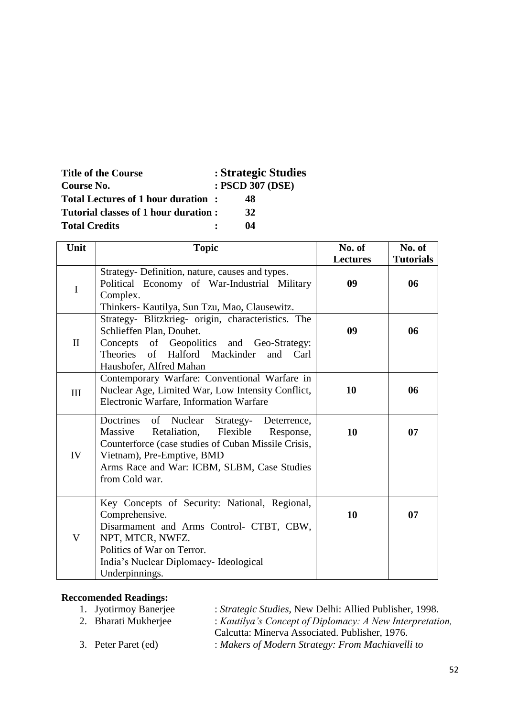| <b>Title of the Course</b><br>Course No. | : Strategic Studies<br>: PSCD 307 (DSE) |
|------------------------------------------|-----------------------------------------|
| Total Lectures of 1 hour duration:       | 48                                      |
| Tutorial classes of 1 hour duration :    | 32                                      |
| <b>Total Credits</b>                     | 04                                      |

| Unit         | <b>Topic</b>                                                                                                                                                                                                                                                  | No. of          | No. of           |
|--------------|---------------------------------------------------------------------------------------------------------------------------------------------------------------------------------------------------------------------------------------------------------------|-----------------|------------------|
|              |                                                                                                                                                                                                                                                               | <b>Lectures</b> | <b>Tutorials</b> |
| $\mathbf I$  | Strategy- Definition, nature, causes and types.<br>Political Economy of War-Industrial Military<br>Complex.<br>Thinkers- Kautilya, Sun Tzu, Mao, Clausewitz.                                                                                                  | 09              | 06               |
| $\mathbf{I}$ | Strategy- Blitzkrieg- origin, characteristics. The<br>Schlieffen Plan, Douhet.<br>Concepts of Geopolitics and Geo-Strategy:<br>of Halford Mackinder<br>Theories<br>and<br>Carl<br>Haushofer, Alfred Mahan                                                     | 09              | 06               |
| III          | Contemporary Warfare: Conventional Warfare in<br>Nuclear Age, Limited War, Low Intensity Conflict,<br>Electronic Warfare, Information Warfare                                                                                                                 | 10              | 06               |
| IV           | Doctrines<br>of Nuclear<br>Strategy-<br>Deterrence,<br>Retaliation,<br>Flexible<br>Massive<br>Response,<br>Counterforce (case studies of Cuban Missile Crisis,<br>Vietnam), Pre-Emptive, BMD<br>Arms Race and War: ICBM, SLBM, Case Studies<br>from Cold war. | 10              | 07               |
| V            | Key Concepts of Security: National, Regional,<br>Comprehensive.<br>Disarmament and Arms Control- CTBT, CBW,<br>NPT, MTCR, NWFZ.<br>Politics of War on Terror.<br>India's Nuclear Diplomacy-Ideological<br>Underpinnings.                                      | 10              | 07               |

| 1. Jyotirmoy Banerjee | : <i>Strategic Studies</i> , New Delhi: Allied Publisher, 1998. |
|-----------------------|-----------------------------------------------------------------|
| 2. Bharati Mukherjee  | : Kautilya's Concept of Diplomacy: A New Interpretation,        |
|                       | Calcutta: Minerva Associated. Publisher, 1976.                  |

3. Peter Paret (ed) : *Makers of Modern Strategy: From Machiavelli to*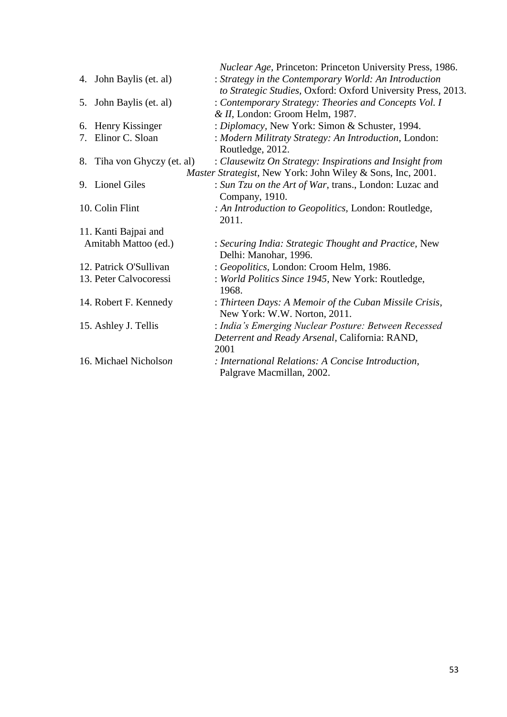| : Strategy in the Contemporary World: An Introduction<br>4. John Baylis (et. al)<br>: Contemporary Strategy: Theories and Concepts Vol. I<br>5. John Baylis (et. al)<br>& II, London: Groom Helm, 1987.<br>: Diplomacy, New York: Simon & Schuster, 1994.<br>Henry Kissinger<br>6.<br>Elinor C. Sloan<br>: Modern Militraty Strategy: An Introduction, London:<br>7.<br>Routledge, 2012.<br>8. Tiha von Ghyczy (et. al)<br>: Clausewitz On Strategy: Inspirations and Insight from<br><i>Master Strategist</i> , New York: John Wiley & Sons, Inc, 2001.<br>9. Lionel Giles<br>: Sun Tzu on the Art of War, trans., London: Luzac and<br>Company, 1910.<br>10. Colin Flint<br>: An Introduction to Geopolitics, London: Routledge,<br>2011.<br>11. Kanti Bajpai and<br>Amitabh Mattoo (ed.)<br>: Securing India: Strategic Thought and Practice, New<br>Delhi: Manohar, 1996.<br>12. Patrick O'Sullivan<br>: Geopolitics, London: Croom Helm, 1986.<br>13. Peter Calvocoressi<br>: World Politics Since 1945, New York: Routledge,<br>1968.<br>14. Robert F. Kennedy<br>: Thirteen Days: A Memoir of the Cuban Missile Crisis,<br>New York: W.W. Norton, 2011.<br>: India's Emerging Nuclear Posture: Between Recessed<br>15. Ashley J. Tellis<br>Deterrent and Ready Arsenal, California: RAND,<br>2001<br>16. Michael Nicholson<br>: International Relations: A Concise Introduction,<br>Palgrave Macmillan, 2002. |  | Nuclear Age, Princeton: Princeton University Press, 1986.    |
|----------------------------------------------------------------------------------------------------------------------------------------------------------------------------------------------------------------------------------------------------------------------------------------------------------------------------------------------------------------------------------------------------------------------------------------------------------------------------------------------------------------------------------------------------------------------------------------------------------------------------------------------------------------------------------------------------------------------------------------------------------------------------------------------------------------------------------------------------------------------------------------------------------------------------------------------------------------------------------------------------------------------------------------------------------------------------------------------------------------------------------------------------------------------------------------------------------------------------------------------------------------------------------------------------------------------------------------------------------------------------------------------------------------------|--|--------------------------------------------------------------|
|                                                                                                                                                                                                                                                                                                                                                                                                                                                                                                                                                                                                                                                                                                                                                                                                                                                                                                                                                                                                                                                                                                                                                                                                                                                                                                                                                                                                                      |  |                                                              |
|                                                                                                                                                                                                                                                                                                                                                                                                                                                                                                                                                                                                                                                                                                                                                                                                                                                                                                                                                                                                                                                                                                                                                                                                                                                                                                                                                                                                                      |  | to Strategic Studies, Oxford: Oxford University Press, 2013. |
|                                                                                                                                                                                                                                                                                                                                                                                                                                                                                                                                                                                                                                                                                                                                                                                                                                                                                                                                                                                                                                                                                                                                                                                                                                                                                                                                                                                                                      |  |                                                              |
|                                                                                                                                                                                                                                                                                                                                                                                                                                                                                                                                                                                                                                                                                                                                                                                                                                                                                                                                                                                                                                                                                                                                                                                                                                                                                                                                                                                                                      |  |                                                              |
|                                                                                                                                                                                                                                                                                                                                                                                                                                                                                                                                                                                                                                                                                                                                                                                                                                                                                                                                                                                                                                                                                                                                                                                                                                                                                                                                                                                                                      |  |                                                              |
|                                                                                                                                                                                                                                                                                                                                                                                                                                                                                                                                                                                                                                                                                                                                                                                                                                                                                                                                                                                                                                                                                                                                                                                                                                                                                                                                                                                                                      |  |                                                              |
|                                                                                                                                                                                                                                                                                                                                                                                                                                                                                                                                                                                                                                                                                                                                                                                                                                                                                                                                                                                                                                                                                                                                                                                                                                                                                                                                                                                                                      |  |                                                              |
|                                                                                                                                                                                                                                                                                                                                                                                                                                                                                                                                                                                                                                                                                                                                                                                                                                                                                                                                                                                                                                                                                                                                                                                                                                                                                                                                                                                                                      |  |                                                              |
|                                                                                                                                                                                                                                                                                                                                                                                                                                                                                                                                                                                                                                                                                                                                                                                                                                                                                                                                                                                                                                                                                                                                                                                                                                                                                                                                                                                                                      |  |                                                              |
|                                                                                                                                                                                                                                                                                                                                                                                                                                                                                                                                                                                                                                                                                                                                                                                                                                                                                                                                                                                                                                                                                                                                                                                                                                                                                                                                                                                                                      |  |                                                              |
|                                                                                                                                                                                                                                                                                                                                                                                                                                                                                                                                                                                                                                                                                                                                                                                                                                                                                                                                                                                                                                                                                                                                                                                                                                                                                                                                                                                                                      |  |                                                              |
|                                                                                                                                                                                                                                                                                                                                                                                                                                                                                                                                                                                                                                                                                                                                                                                                                                                                                                                                                                                                                                                                                                                                                                                                                                                                                                                                                                                                                      |  |                                                              |
|                                                                                                                                                                                                                                                                                                                                                                                                                                                                                                                                                                                                                                                                                                                                                                                                                                                                                                                                                                                                                                                                                                                                                                                                                                                                                                                                                                                                                      |  |                                                              |
|                                                                                                                                                                                                                                                                                                                                                                                                                                                                                                                                                                                                                                                                                                                                                                                                                                                                                                                                                                                                                                                                                                                                                                                                                                                                                                                                                                                                                      |  |                                                              |
|                                                                                                                                                                                                                                                                                                                                                                                                                                                                                                                                                                                                                                                                                                                                                                                                                                                                                                                                                                                                                                                                                                                                                                                                                                                                                                                                                                                                                      |  |                                                              |
|                                                                                                                                                                                                                                                                                                                                                                                                                                                                                                                                                                                                                                                                                                                                                                                                                                                                                                                                                                                                                                                                                                                                                                                                                                                                                                                                                                                                                      |  |                                                              |
|                                                                                                                                                                                                                                                                                                                                                                                                                                                                                                                                                                                                                                                                                                                                                                                                                                                                                                                                                                                                                                                                                                                                                                                                                                                                                                                                                                                                                      |  |                                                              |
|                                                                                                                                                                                                                                                                                                                                                                                                                                                                                                                                                                                                                                                                                                                                                                                                                                                                                                                                                                                                                                                                                                                                                                                                                                                                                                                                                                                                                      |  |                                                              |
|                                                                                                                                                                                                                                                                                                                                                                                                                                                                                                                                                                                                                                                                                                                                                                                                                                                                                                                                                                                                                                                                                                                                                                                                                                                                                                                                                                                                                      |  |                                                              |
|                                                                                                                                                                                                                                                                                                                                                                                                                                                                                                                                                                                                                                                                                                                                                                                                                                                                                                                                                                                                                                                                                                                                                                                                                                                                                                                                                                                                                      |  |                                                              |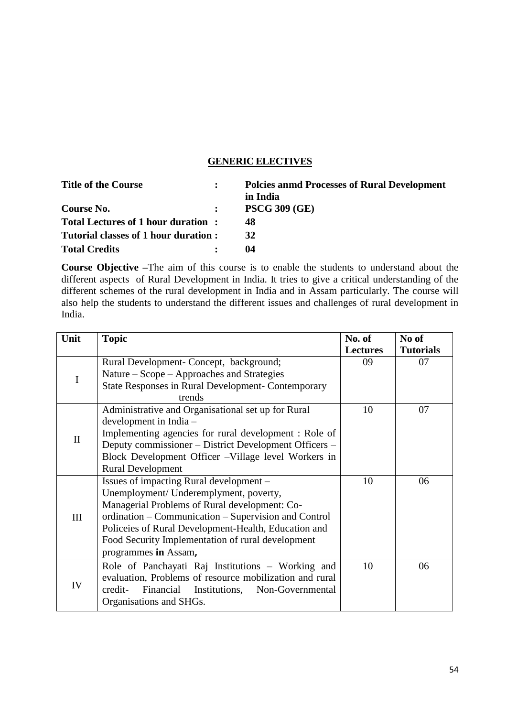#### **GENERIC ELECTIVES**

| <b>Title of the Course</b>           | <b>Polcies anmd Processes of Rural Development</b><br>in India |
|--------------------------------------|----------------------------------------------------------------|
| Course No.                           | <b>PSCG 309 (GE)</b>                                           |
| Total Lectures of 1 hour duration:   | 48                                                             |
| Tutorial classes of 1 hour duration: | 32                                                             |
| <b>Total Credits</b>                 | 04                                                             |

**Course Objective –**The aim of this course is to enable the students to understand about the different aspects of Rural Development in India. It tries to give a critical understanding of the different schemes of the rural development in India and in Assam particularly. The course will also help the students to understand the different issues and challenges of rural development in India.

| Unit         | <b>Topic</b>                                              | No. of          | No of            |
|--------------|-----------------------------------------------------------|-----------------|------------------|
|              |                                                           | <b>Lectures</b> | <b>Tutorials</b> |
|              | Rural Development- Concept, background;                   | 09              | 07               |
| I            | Nature – Scope – Approaches and Strategies                |                 |                  |
|              | <b>State Responses in Rural Development- Contemporary</b> |                 |                  |
|              | trends                                                    |                 |                  |
|              | Administrative and Organisational set up for Rural        | 10              | 07               |
|              | development in India -                                    |                 |                  |
| $\mathbf{I}$ | Implementing agencies for rural development : Role of     |                 |                  |
|              | Deputy commissioner – District Development Officers –     |                 |                  |
|              | Block Development Officer - Village level Workers in      |                 |                  |
|              | <b>Rural Development</b>                                  |                 |                  |
|              | Issues of impacting Rural development -                   | 10              | 06               |
|              | Unemployment/ Underemplyment, poverty,                    |                 |                  |
|              | Managerial Problems of Rural development: Co-             |                 |                  |
| III          | ordination – Communication – Supervision and Control      |                 |                  |
|              | Policeies of Rural Development-Health, Education and      |                 |                  |
|              | Food Security Implementation of rural development         |                 |                  |
|              | programmes in Assam,                                      |                 |                  |
|              | Role of Panchayati Raj Institutions - Working and         | 10              | 06               |
|              | evaluation, Problems of resource mobilization and rural   |                 |                  |
| IV           | Financial<br>Non-Governmental<br>credit-<br>Institutions, |                 |                  |
|              | Organisations and SHGs.                                   |                 |                  |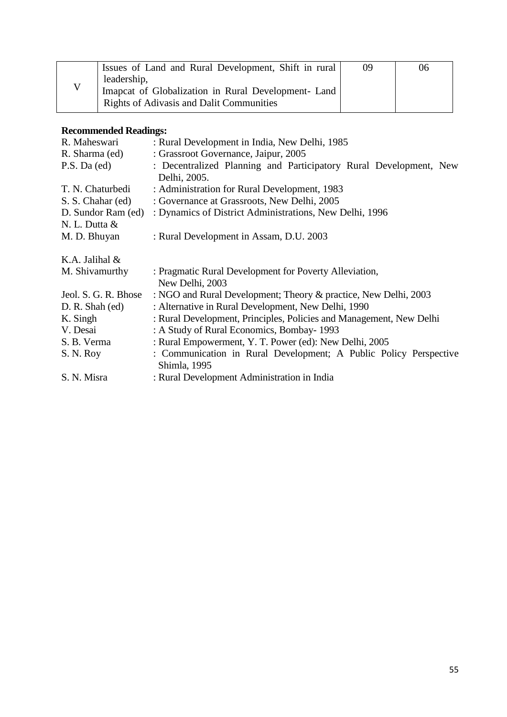| Issues of Land and Rural Development, Shift in rural | 09 | 06 |
|------------------------------------------------------|----|----|
| leadership,                                          |    |    |
| Imapcat of Globalization in Rural Development- Land  |    |    |
| <b>Rights of Adivasis and Dalit Communities</b>      |    |    |

| R. Maheswari         | : Rural Development in India, New Delhi, 1985                                     |  |  |  |  |  |
|----------------------|-----------------------------------------------------------------------------------|--|--|--|--|--|
| R. Sharma (ed)       | : Grassroot Governance, Jaipur, 2005                                              |  |  |  |  |  |
| P.S. Da (ed)         | : Decentralized Planning and Participatory Rural Development, New                 |  |  |  |  |  |
|                      | Delhi, 2005.                                                                      |  |  |  |  |  |
| T. N. Chaturbedi     | : Administration for Rural Development, 1983                                      |  |  |  |  |  |
| S. S. Chahar (ed)    | : Governance at Grassroots, New Delhi, 2005                                       |  |  |  |  |  |
| D. Sundor Ram (ed)   | : Dynamics of District Administrations, New Delhi, 1996                           |  |  |  |  |  |
| N. L. Dutta &        |                                                                                   |  |  |  |  |  |
| M. D. Bhuyan         | : Rural Development in Assam, D.U. 2003                                           |  |  |  |  |  |
| K.A. Jalihal &       |                                                                                   |  |  |  |  |  |
| M. Shivamurthy       | : Pragmatic Rural Development for Poverty Alleviation,                            |  |  |  |  |  |
|                      | New Delhi, 2003                                                                   |  |  |  |  |  |
| Jeol. S. G. R. Bhose | : NGO and Rural Development; Theory & practice, New Delhi, 2003                   |  |  |  |  |  |
| D. R. Shah (ed)      | : Alternative in Rural Development, New Delhi, 1990                               |  |  |  |  |  |
| K. Singh             | : Rural Development, Principles, Policies and Management, New Delhi               |  |  |  |  |  |
| V. Desai             | : A Study of Rural Economics, Bombay-1993                                         |  |  |  |  |  |
| S. B. Verma          | : Rural Empowerment, Y. T. Power (ed): New Delhi, 2005                            |  |  |  |  |  |
| S. N. Roy            | : Communication in Rural Development; A Public Policy Perspective<br>Shimla, 1995 |  |  |  |  |  |
| S. N. Misra          | : Rural Development Administration in India                                       |  |  |  |  |  |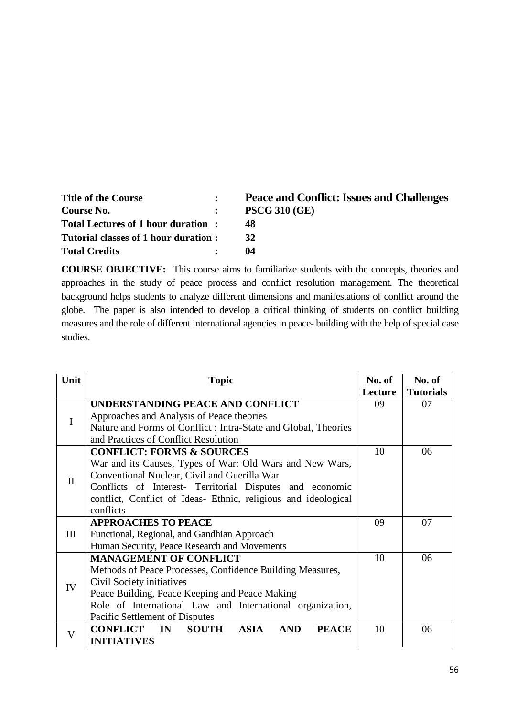| <b>Title of the Course</b>           | Peace and Conflict: Issues and Challenges |
|--------------------------------------|-------------------------------------------|
| Course No.                           | <b>PSCG 310 (GE)</b>                      |
| Total Lectures of 1 hour duration:   | 48                                        |
| Tutorial classes of 1 hour duration: | 32                                        |
| <b>Total Credits</b>                 | 04                                        |

**COURSE OBJECTIVE:** This course aims to familiarize students with the concepts, theories and approaches in the study of peace process and conflict resolution management. The theoretical background helps students to analyze different dimensions and manifestations of conflict around the globe. The paper is also intended to develop a critical thinking of students on conflict building measures and the role of different international agencies in peace- building with the help of special case studies.

| Unit         | <b>Topic</b>                                                                       | No. of  | No. of           |
|--------------|------------------------------------------------------------------------------------|---------|------------------|
|              |                                                                                    | Lecture | <b>Tutorials</b> |
|              | UNDERSTANDING PEACE AND CONFLICT                                                   | 09      | 07               |
| $\bf{I}$     | Approaches and Analysis of Peace theories                                          |         |                  |
|              | Nature and Forms of Conflict : Intra-State and Global, Theories                    |         |                  |
|              | and Practices of Conflict Resolution                                               |         |                  |
|              | <b>CONFLICT: FORMS &amp; SOURCES</b>                                               | 10      | 06               |
|              | War and its Causes, Types of War: Old Wars and New Wars,                           |         |                  |
| $\mathbf{I}$ | Conventional Nuclear, Civil and Guerilla War                                       |         |                  |
|              | Conflicts of Interest- Territorial Disputes and economic                           |         |                  |
|              | conflict, Conflict of Ideas- Ethnic, religious and ideological                     |         |                  |
|              | conflicts                                                                          |         |                  |
|              | <b>APPROACHES TO PEACE</b>                                                         | 09      | 07               |
| Ш            | Functional, Regional, and Gandhian Approach                                        |         |                  |
|              | Human Security, Peace Research and Movements                                       |         |                  |
|              | <b>MANAGEMENT OF CONFLICT</b>                                                      | 10      | 06               |
|              | Methods of Peace Processes, Confidence Building Measures,                          |         |                  |
| IV           | Civil Society initiatives                                                          |         |                  |
|              | Peace Building, Peace Keeping and Peace Making                                     |         |                  |
|              | Role of International Law and International organization,                          |         |                  |
|              | Pacific Settlement of Disputes                                                     |         |                  |
| V            | <b>PEACE</b><br><b>CONFLICT</b><br>IN<br><b>SOUTH</b><br><b>ASIA</b><br><b>AND</b> | 10      | 06               |
|              | <b>INITIATIVES</b>                                                                 |         |                  |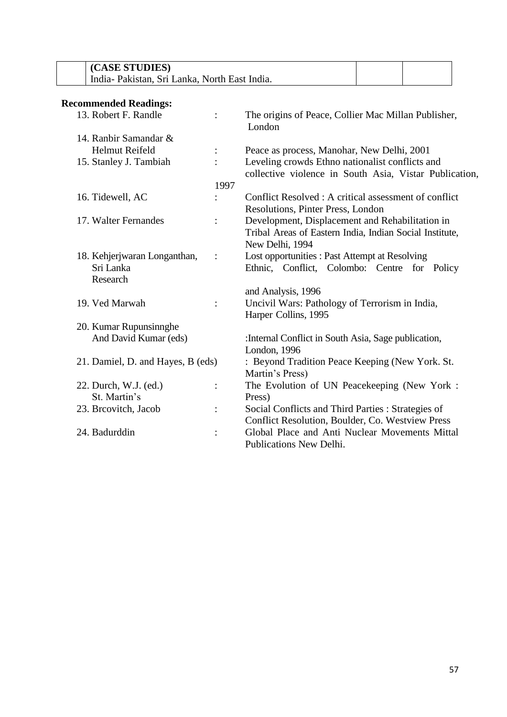| (CASE STUDIES)                               |  |
|----------------------------------------------|--|
| Holia-Pakistan, Sri Lanka, North East India. |  |

| 13. Robert F. Randle              | $\ddot{\cdot}$ | The origins of Peace, Collier Mac Millan Publisher,<br>London                                              |
|-----------------------------------|----------------|------------------------------------------------------------------------------------------------------------|
| 14. Ranbir Samandar &             |                |                                                                                                            |
| <b>Helmut Reifeld</b>             | $\ddot{\cdot}$ | Peace as process, Manohar, New Delhi, 2001                                                                 |
| 15. Stanley J. Tambiah            | $\bullet$      | Leveling crowds Ethno nationalist conflicts and<br>collective violence in South Asia, Vistar Publication,  |
|                                   | 1997           |                                                                                                            |
| 16. Tidewell, AC                  |                | Conflict Resolved: A critical assessment of conflict<br>Resolutions, Pinter Press, London                  |
| 17. Walter Fernandes              | $\ddot{\cdot}$ | Development, Displacement and Rehabilitation in<br>Tribal Areas of Eastern India, Indian Social Institute, |
|                                   |                | New Delhi, 1994                                                                                            |
| 18. Kehjerjwaran Longanthan,      | $\ddot{\cdot}$ | Lost opportunities : Past Attempt at Resolving                                                             |
| Sri Lanka<br>Research             |                | Ethnic, Conflict, Colombo: Centre for Policy                                                               |
|                                   |                | and Analysis, 1996                                                                                         |
| 19. Ved Marwah                    | $\ddot{\cdot}$ | Uncivil Wars: Pathology of Terrorism in India,<br>Harper Collins, 1995                                     |
| 20. Kumar Rupunsinnghe            |                |                                                                                                            |
| And David Kumar (eds)             |                | : Internal Conflict in South Asia, Sage publication,<br>London, 1996                                       |
| 21. Damiel, D. and Hayes, B (eds) |                | : Beyond Tradition Peace Keeping (New York. St.<br>Martin's Press)                                         |
| 22. Durch, W.J. (ed.)             |                | The Evolution of UN Peacekeeping (New York:                                                                |
| St. Martin's                      |                | Press)                                                                                                     |
| 23. Breovitch, Jacob              | $\ddot{\cdot}$ | Social Conflicts and Third Parties : Strategies of<br>Conflict Resolution, Boulder, Co. Westview Press     |
| 24. Badurddin                     | $\ddot{\cdot}$ | Global Place and Anti Nuclear Movements Mittal<br>Publications New Delhi.                                  |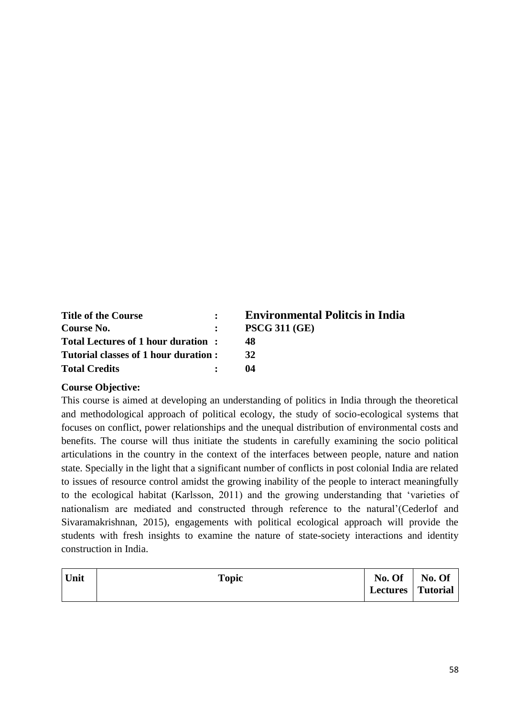| <b>Title of the Course</b>            | <b>Environmental Politcis in India</b> |
|---------------------------------------|----------------------------------------|
| Course No.                            | <b>PSCG 311 (GE)</b>                   |
| Total Lectures of 1 hour duration:    | 48                                     |
| Tutorial classes of 1 hour duration : | 32                                     |
| <b>Total Credits</b>                  | 04                                     |

#### **Course Objective:**

This course is aimed at developing an understanding of politics in India through the theoretical and methodological approach of political ecology, the study of socio-ecological systems that focuses on conflict, power relationships and the unequal distribution of environmental costs and benefits. The course will thus initiate the students in carefully examining the socio political articulations in the country in the context of the interfaces between people, nature and nation state. Specially in the light that a significant number of conflicts in post colonial India are related to issues of resource control amidst the growing inability of the people to interact meaningfully to the ecological habitat (Karlsson, 2011) and the growing understanding that 'varieties of nationalism are mediated and constructed through reference to the natural'(Cederlof and Sivaramakrishnan, 2015), engagements with political ecological approach will provide the students with fresh insights to examine the nature of state-society interactions and identity construction in India.

| Unit | <b>Topic</b> | No. Of              | No. Of |
|------|--------------|---------------------|--------|
|      |              | Lectures   Tutorial |        |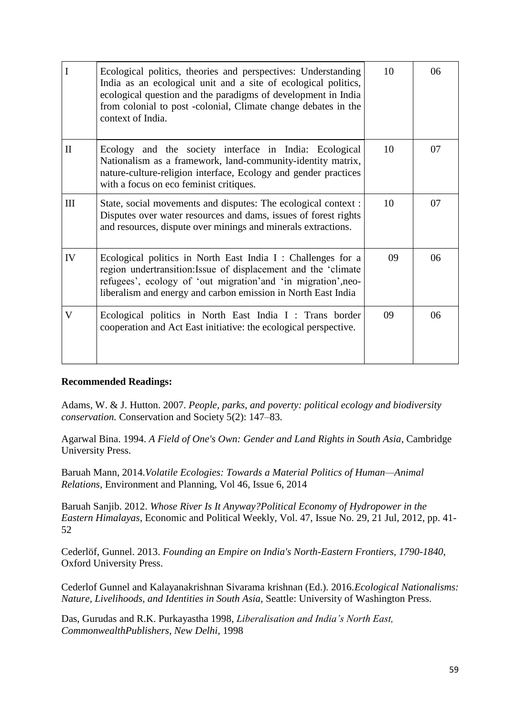| $\mathbf I$  | Ecological politics, theories and perspectives: Understanding<br>India as an ecological unit and a site of ecological politics,<br>ecological question and the paradigms of development in India<br>from colonial to post -colonial, Climate change debates in the<br>context of India. | 10 | 06 |
|--------------|-----------------------------------------------------------------------------------------------------------------------------------------------------------------------------------------------------------------------------------------------------------------------------------------|----|----|
| $\mathbf{I}$ | Ecology and the society interface in India: Ecological<br>Nationalism as a framework, land-community-identity matrix,<br>nature-culture-religion interface, Ecology and gender practices<br>with a focus on eco feminist critiques.                                                     | 10 | 07 |
| III          | State, social movements and disputes: The ecological context :<br>Disputes over water resources and dams, issues of forest rights<br>and resources, dispute over minings and minerals extractions.                                                                                      | 10 | 07 |
| IV           | Ecological politics in North East India I: Challenges for a<br>region undertransition: Issue of displacement and the 'climate<br>refugees', ecology of 'out migration'and 'in migration', neo-<br>liberalism and energy and carbon emission in North East India                         | 09 | 06 |
| V            | Ecological politics in North East India I : Trans border<br>cooperation and Act East initiative: the ecological perspective.                                                                                                                                                            | 09 | 06 |

Adams, W. & J. Hutton. 2007. *People, parks, and poverty: political ecology and biodiversity conservation.* Conservation and Society 5(2): 147–83.

Agarwal Bina. 1994. *A Field of One's Own: Gender and Land Rights in South Asia*, Cambridge University Press.

Baruah Mann, 2014.*Volatile Ecologies: Towards a Material Politics of Human—Animal Relations,* Environment and Planning, Vol 46, Issue 6, 2014

Baruah Sanjib. 2012. *Whose River Is It Anyway?Political Economy of Hydropower in the Eastern Himalayas,* Economic and Political Weekly, Vol. 47, Issue No. 29, 21 Jul, 2012, pp. 41- 52

Cederlöf, Gunnel. 2013. *Founding an Empire on India's North-Eastern Frontiers, 1790-1840*, Oxford University Press.

Cederlof Gunnel and Kalayanakrishnan Sivarama krishnan (Ed.). 2016.*Ecological Nationalisms: Nature, Livelihoods, and Identities in South Asia,* Seattle: University of Washington Press.

Das, Gurudas and R.K. Purkayastha 1998, *Liberalisation and India's North East, CommonwealthPublishers, New Delhi,* 1998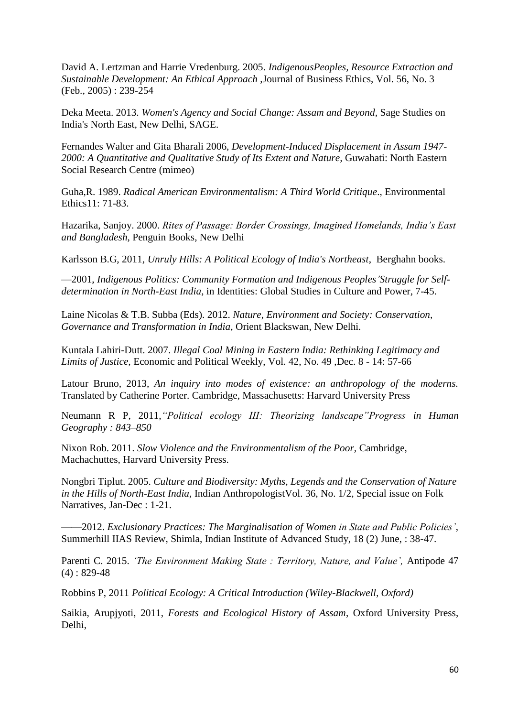David A. Lertzman and Harrie Vredenburg. 2005. *IndigenousPeoples, Resource Extraction and Sustainable Development: An Ethical Approach* ,Journal of Business Ethics, Vol. 56, No. 3 (Feb., 2005) : 239-254

Deka Meeta. 2013. *Women's Agency and Social Change: Assam and Beyond,* Sage Studies on India's North East, New Delhi, SAGE.

Fernandes Walter and Gita Bharali 2006, *Development-Induced Displacement in Assam 1947- 2000: A Quantitative and Qualitative Study of Its Extent and Nature,* Guwahati: North Eastern Social Research Centre (mimeo)

Guha,R. 1989. *Radical American Environmentalism: A Third World Critique*., Environmental Ethics11: 71-83.

Hazarika, Sanjoy. 2000. *Rites of Passage: Border Crossings, Imagined Homelands, India's East and Bangladesh*, Penguin Books, New Delhi

Karlsson B.G, 2011, *Unruly Hills: A Political Ecology of India's Northeast*, Berghahn books.

—2001, *Indigenous Politics: Community Formation and Indigenous Peoples'Struggle for Selfdetermination in North-East India*, in Identities: Global Studies in Culture and Power, 7-45.

Laine Nicolas & T.B. Subba (Eds). 2012. *Nature, Environment and Society: Conservation, Governance and Transformation in India,* Orient Blackswan, New Delhi*.*

Kuntala Lahiri-Dutt. 2007. *Illegal Coal Mining in Eastern India: Rethinking Legitimacy and Limits of Justice,* Economic and Political Weekly, Vol. 42, No. 49 ,Dec. 8 - 14: 57-66

Latour Bruno, 2013, *An inquiry into modes of existence: an anthropology of the moderns.* Translated by Catherine Porter. Cambridge, Massachusetts: Harvard University Press

Neumann R P, 2011,*"Political ecology III: Theorizing landscape"Progress in Human Geography : 843–850*

Nixon Rob. 2011. *Slow Violence and the Environmentalism of the Poor,* Cambridge, Machachuttes, Harvard University Press.

Nongbri Tiplut. 2005. *Culture and Biodiversity: Myths, Legends and the Conservation of Nature in the Hills of North-East India,* Indian AnthropologistVol. 36, No. 1/2, Special issue on Folk Narratives, Jan-Dec : 1-21.

——2012. *Exclusionary Practices: The Marginalisation of Women in State and Public Policies'*, Summerhill IIAS Review, Shimla, Indian Institute of Advanced Study, 18 (2) June, : 38-47.

Parenti C. 2015. *'The Environment Making State : Territory, Nature, and Value',* Antipode 47  $(4) : 829-48$ 

Robbins P, 2011 *Political Ecology: A Critical Introduction (Wiley-Blackwell, Oxford)*

Saikia, Arupjyoti, 2011, *Forests and Ecological History of Assam*, Oxford University Press, Delhi,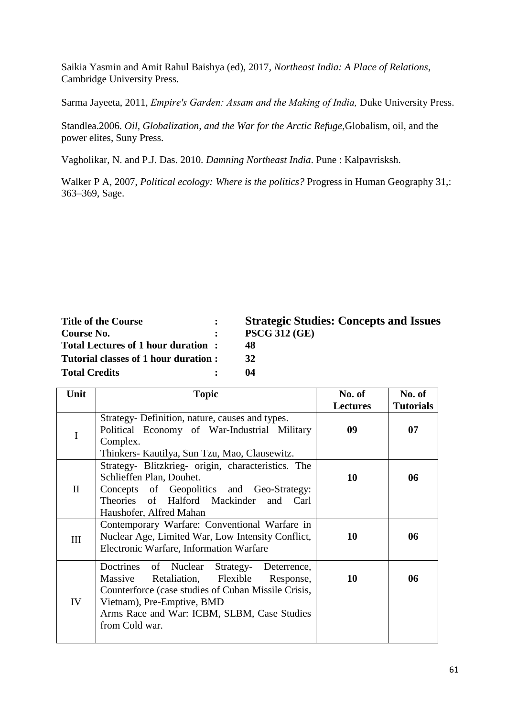Saikia Yasmin and Amit Rahul Baishya (ed), 2017, *Northeast India: A Place of Relations*, Cambridge University Press.

Sarma Jayeeta, 2011, *Empire′s Garden: Assam and the Making of India,* Duke University Press.

Standlea.2006. *Oil, Globalization, and the War for the Arctic Refuge,*Globalism, oil, and the power elites, Suny Press.

Vagholikar, N. and P.J. Das. 2010. *Damning Northeast India*. Pune : Kalpavrisksh.

Walker P A, 2007, *Political ecology: Where is the politics?* Progress in Human Geography 31,: 363–369, Sage.

| <b>Title of the Course</b>           | $\mathbf{r}$ | <b>Strategic Studies: Concepts and Issues</b> |
|--------------------------------------|--------------|-----------------------------------------------|
| Course No.                           |              | <b>PSCG 312 (GE)</b>                          |
| Total Lectures of 1 hour duration:   |              | 48                                            |
| Tutorial classes of 1 hour duration: |              | 32                                            |
| <b>Total Credits</b>                 |              | 04                                            |
|                                      |              |                                               |

| Unit         | <b>Topic</b>                                                                                                                                                                                                                                            | No. of          | No. of           |
|--------------|---------------------------------------------------------------------------------------------------------------------------------------------------------------------------------------------------------------------------------------------------------|-----------------|------------------|
|              |                                                                                                                                                                                                                                                         | <b>Lectures</b> | <b>Tutorials</b> |
|              | Strategy-Definition, nature, causes and types.<br>Political Economy of War-Industrial Military<br>Complex.<br>Thinkers- Kautilya, Sun Tzu, Mao, Clausewitz.                                                                                             | 09              | 07               |
| $\mathbf{I}$ | Strategy- Blitzkrieg- origin, characteristics. The<br>Schlieffen Plan, Douhet.<br>Concepts of Geopolitics and Geo-Strategy:<br>Theories of Halford Mackinder and Carl<br>Haushofer, Alfred Mahan                                                        | 10              | 06               |
| III          | Contemporary Warfare: Conventional Warfare in<br>Nuclear Age, Limited War, Low Intensity Conflict,<br>Electronic Warfare, Information Warfare                                                                                                           | 10              | 06               |
| IV           | Doctrines of Nuclear<br>Strategy-<br>Deterrence,<br>Retaliation, Flexible<br>Massive<br>Response,<br>Counterforce (case studies of Cuban Missile Crisis,<br>Vietnam), Pre-Emptive, BMD<br>Arms Race and War: ICBM, SLBM, Case Studies<br>from Cold war. | 10              | 06               |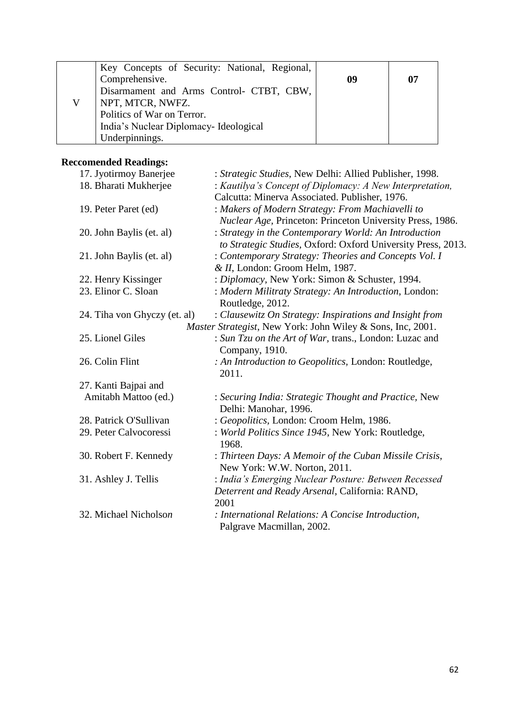| Key Concepts of Security: National, Regional, |    |    |
|-----------------------------------------------|----|----|
| Comprehensive.                                | 09 | 07 |
| Disarmament and Arms Control- CTBT, CBW,      |    |    |
| NPT, MTCR, NWFZ.                              |    |    |
| Politics of War on Terror.                    |    |    |
| India's Nuclear Diplomacy-Ideological         |    |    |
| Underpinnings.                                |    |    |

| 17. Jyotirmoy Banerjee       | : Strategic Studies, New Delhi: Allied Publisher, 1998.            |
|------------------------------|--------------------------------------------------------------------|
| 18. Bharati Mukherjee        | : Kautilya's Concept of Diplomacy: A New Interpretation,           |
|                              | Calcutta: Minerva Associated. Publisher, 1976.                     |
| 19. Peter Paret (ed)         | : Makers of Modern Strategy: From Machiavelli to                   |
|                              | Nuclear Age, Princeton: Princeton University Press, 1986.          |
| 20. John Baylis (et. al)     | : Strategy in the Contemporary World: An Introduction              |
|                              | to Strategic Studies, Oxford: Oxford University Press, 2013.       |
| 21. John Baylis (et. al)     | : Contemporary Strategy: Theories and Concepts Vol. I              |
|                              | & II, London: Groom Helm, 1987.                                    |
| 22. Henry Kissinger          | : Diplomacy, New York: Simon & Schuster, 1994.                     |
| 23. Elinor C. Sloan          | : Modern Militraty Strategy: An Introduction, London:              |
|                              | Routledge, 2012.                                                   |
| 24. Tiha von Ghyczy (et. al) | : Clausewitz On Strategy: Inspirations and Insight from            |
|                              | <i>Master Strategist</i> , New York: John Wiley & Sons, Inc, 2001. |
| 25. Lionel Giles             | : Sun Tzu on the Art of War, trans., London: Luzac and             |
|                              | Company, 1910.                                                     |
| 26. Colin Flint              | : An Introduction to Geopolitics, London: Routledge,               |
|                              | 2011.                                                              |
| 27. Kanti Bajpai and         |                                                                    |
| Amitabh Mattoo (ed.)         | : Securing India: Strategic Thought and Practice, New              |
|                              | Delhi: Manohar, 1996.                                              |
| 28. Patrick O'Sullivan       | : Geopolitics, London: Croom Helm, 1986.                           |
| 29. Peter Calvocoressi       | : World Politics Since 1945, New York: Routledge,                  |
|                              | 1968.                                                              |
| 30. Robert F. Kennedy        | : Thirteen Days: A Memoir of the Cuban Missile Crisis,             |
|                              | New York: W.W. Norton, 2011.                                       |
| 31. Ashley J. Tellis         | : India's Emerging Nuclear Posture: Between Recessed               |
|                              | Deterrent and Ready Arsenal, California: RAND,                     |
|                              | 2001                                                               |
| 32. Michael Nicholson        | : International Relations: A Concise Introduction,                 |
|                              | Palgrave Macmillan, 2002.                                          |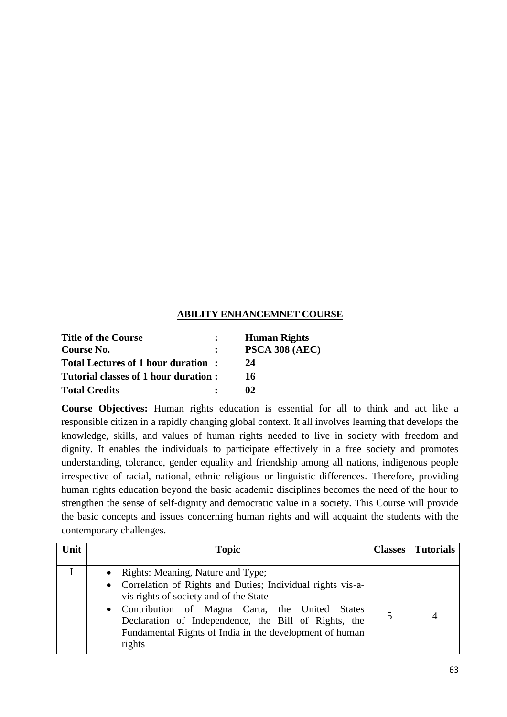#### **ABILITY ENHANCEMNET COURSE**

| <b>Title of the Course</b>           |                | <b>Human Rights</b>   |
|--------------------------------------|----------------|-----------------------|
| Course No.                           |                | <b>PSCA 308 (AEC)</b> |
| Total Lectures of 1 hour duration:   |                | 24                    |
| Tutorial classes of 1 hour duration: |                | 16                    |
| <b>Total Credits</b>                 | $\ddot{\cdot}$ | 02                    |

**Course Objectives:** Human rights education is essential for all to think and act like a responsible citizen in a rapidly changing global context. It all involves learning that develops the knowledge, skills, and values of human rights needed to live in society with freedom and dignity. It enables the individuals to participate effectively in a free society and promotes understanding, tolerance, gender equality and friendship among all nations, indigenous people irrespective of racial, national, ethnic religious or linguistic differences. Therefore, providing human rights education beyond the basic academic disciplines becomes the need of the hour to strengthen the sense of self-dignity and democratic value in a society. This Course will provide the basic concepts and issues concerning human rights and will acquaint the students with the contemporary challenges.

| Unit | <b>Topic</b>                                                                                                                                                                                                                                                                                                                   | <b>Classes</b>   <b>Tutorials</b> |
|------|--------------------------------------------------------------------------------------------------------------------------------------------------------------------------------------------------------------------------------------------------------------------------------------------------------------------------------|-----------------------------------|
|      | • Rights: Meaning, Nature and Type;<br>• Correlation of Rights and Duties; Individual rights vis-a-<br>vis rights of society and of the State<br>• Contribution of Magna Carta, the United States<br>Declaration of Independence, the Bill of Rights, the<br>Fundamental Rights of India in the development of human<br>rights |                                   |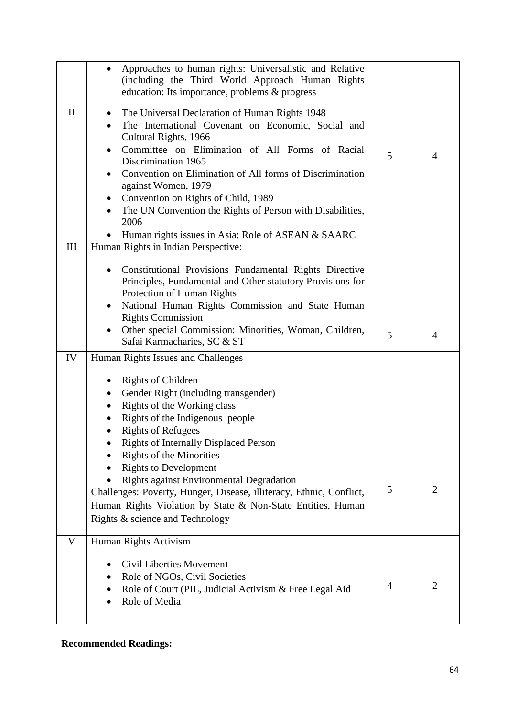|              | Approaches to human rights: Universalistic and Relative<br>(including the Third World Approach Human Rights<br>education: Its importance, problems & progress                                                                                                                                                                                                                                                                                                                                                                                  |                |                |
|--------------|------------------------------------------------------------------------------------------------------------------------------------------------------------------------------------------------------------------------------------------------------------------------------------------------------------------------------------------------------------------------------------------------------------------------------------------------------------------------------------------------------------------------------------------------|----------------|----------------|
| $\mathbf{I}$ | The Universal Declaration of Human Rights 1948<br>$\bullet$<br>The International Covenant on Economic, Social and<br>Cultural Rights, 1966<br>Committee on Elimination of All Forms of Racial<br>Discrimination 1965<br>Convention on Elimination of All forms of Discrimination<br>against Women, 1979<br>Convention on Rights of Child, 1989<br>The UN Convention the Rights of Person with Disabilities,<br>2006<br>Human rights issues in Asia: Role of ASEAN & SAARC                                                                      | 5              | 4              |
| III          | Human Rights in Indian Perspective:<br>Constitutional Provisions Fundamental Rights Directive<br>Principles, Fundamental and Other statutory Provisions for<br>Protection of Human Rights<br>National Human Rights Commission and State Human<br><b>Rights Commission</b><br>Other special Commission: Minorities, Woman, Children,<br>Safai Karmacharies, SC & ST                                                                                                                                                                             | 5              | 4              |
| IV           | Human Rights Issues and Challenges<br><b>Rights of Children</b><br>Gender Right (including transgender)<br>Rights of the Working class<br>Rights of the Indigenous people<br><b>Rights of Refugees</b><br><b>Rights of Internally Displaced Person</b><br><b>Rights of the Minorities</b><br><b>Rights to Development</b><br>Rights against Environmental Degradation<br>Challenges: Poverty, Hunger, Disease, illiteracy, Ethnic, Conflict,<br>Human Rights Violation by State & Non-State Entities, Human<br>Rights & science and Technology | 5              | $\overline{2}$ |
| V            | Human Rights Activism<br>Civil Liberties Movement<br>Role of NGOs, Civil Societies<br>Role of Court (PIL, Judicial Activism & Free Legal Aid<br>Role of Media                                                                                                                                                                                                                                                                                                                                                                                  | $\overline{4}$ | $\overline{2}$ |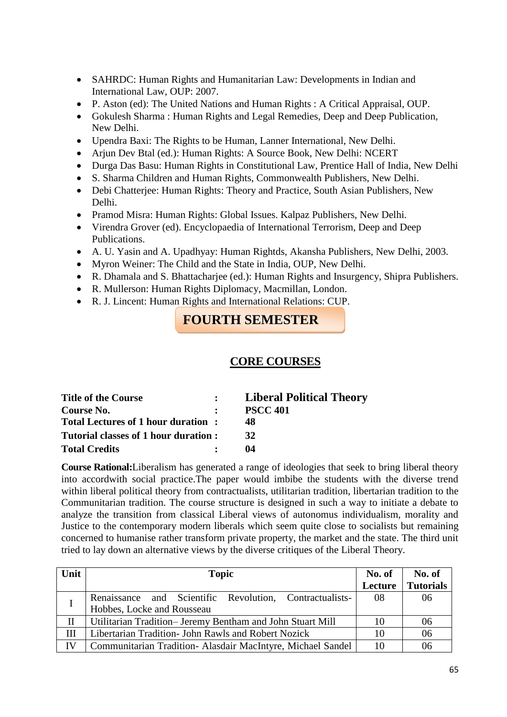- SAHRDC: Human Rights and Humanitarian Law: Developments in Indian and International Law, OUP: 2007.
- P. Aston (ed): The United Nations and Human Rights : A Critical Appraisal, OUP.
- Gokulesh Sharma : Human Rights and Legal Remedies, Deep and Deep Publication, New Delhi.
- Upendra Baxi: The Rights to be Human, Lanner International, New Delhi.
- Arjun Dev Btal (ed.): Human Rights: A Source Book, New Delhi: NCERT
- Durga Das Basu: Human Rights in Constitutional Law, Prentice Hall of India, New Delhi
- S. Sharma Children and Human Rights, Commonwealth Publishers, New Delhi.
- Debi Chatterjee: Human Rights: Theory and Practice, South Asian Publishers, New Delhi.
- Pramod Misra: Human Rights: Global Issues. Kalpaz Publishers, New Delhi.
- Virendra Grover (ed). Encyclopaedia of International Terrorism, Deep and Deep Publications.
- A. U. Yasin and A. Upadhyay: Human Rightds, Akansha Publishers, New Delhi, 2003.
- Myron Weiner: The Child and the State in India, OUP, New Delhi.
- R. Dhamala and S. Bhattacharjee (ed.): Human Rights and Insurgency, Shipra Publishers.
- R. Mullerson: Human Rights Diplomacy, Macmillan, London.
- R. J. Lincent: Human Rights and International Relations: CUP.

# **FOURTH SEMESTER**

# **CORE COURSES**

| <b>Title of the Course</b>           | <b>Liberal Political Theory</b> |
|--------------------------------------|---------------------------------|
| Course No.                           | <b>PSCC 401</b>                 |
| Total Lectures of 1 hour duration:   | 48                              |
| Tutorial classes of 1 hour duration: | 32                              |
| <b>Total Credits</b>                 | 04                              |

**Course Rational:**Liberalism has generated a range of ideologies that seek to bring liberal theory into accordwith social practice.The paper would imbibe the students with the diverse trend within liberal political theory from contractualists, utilitarian tradition, libertarian tradition to the Communitarian tradition. The course structure is designed in such a way to initiate a debate to analyze the transition from classical Liberal views of autonomus individualism, morality and Justice to the contemporary modern liberals which seem quite close to socialists but remaining concerned to humanise rather transform private property, the market and the state. The third unit tried to lay down an alternative views by the diverse critiques of the Liberal Theory.

| Unit        | <b>Topic</b>                                                            | No. of  | No. of           |
|-------------|-------------------------------------------------------------------------|---------|------------------|
|             |                                                                         | Lecture | <b>Tutorials</b> |
|             | Renaissance and Scientific Revolution, Contractualists-                 | 08      | 06               |
|             | Hobbes, Locke and Rousseau                                              |         |                  |
| $_{\rm II}$ | Utilitarian Tradition-Jeremy Bentham and John Stuart Mill               | 10      | 06               |
| Ш           | 06<br>Libertarian Tradition- John Rawls and Robert Nozick<br>10         |         |                  |
| IV          | 06<br>Communitarian Tradition- Alasdair MacIntyre, Michael Sandel<br>10 |         |                  |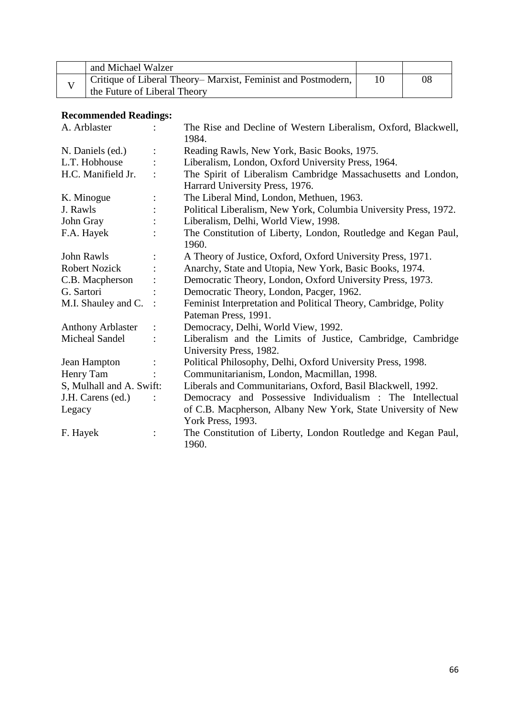| and Michael Walzer                                           |    |
|--------------------------------------------------------------|----|
| Critique of Liberal Theory–Marxist, Feminist and Postmodern, | 08 |
| the Future of Liberal Theory                                 |    |

| A. Arblaster             | $\ddot{\cdot}$ | The Rise and Decline of Western Liberalism, Oxford, Blackwell,<br>1984.                         |
|--------------------------|----------------|-------------------------------------------------------------------------------------------------|
| N. Daniels (ed.)         |                | Reading Rawls, New York, Basic Books, 1975.                                                     |
| L.T. Hobhouse            |                | Liberalism, London, Oxford University Press, 1964.                                              |
| H.C. Manifield Jr.       |                | The Spirit of Liberalism Cambridge Massachusetts and London,<br>Harrard University Press, 1976. |
| K. Minogue               |                | The Liberal Mind, London, Methuen, 1963.                                                        |
| J. Rawls                 |                | Political Liberalism, New York, Columbia University Press, 1972.                                |
| John Gray                |                | Liberalism, Delhi, World View, 1998.                                                            |
| F.A. Hayek               |                | The Constitution of Liberty, London, Routledge and Kegan Paul,<br>1960.                         |
| John Rawls               |                | A Theory of Justice, Oxford, Oxford University Press, 1971.                                     |
| <b>Robert Nozick</b>     |                | Anarchy, State and Utopia, New York, Basic Books, 1974.                                         |
| C.B. Macpherson          |                | Democratic Theory, London, Oxford University Press, 1973.                                       |
| G. Sartori               |                | Democratic Theory, London, Pacger, 1962.                                                        |
| M.I. Shauley and C.      |                | Feminist Interpretation and Political Theory, Cambridge, Polity<br>Pateman Press, 1991.         |
| <b>Anthony Arblaster</b> |                | Democracy, Delhi, World View, 1992.                                                             |
| <b>Micheal Sandel</b>    |                |                                                                                                 |
|                          |                | Liberalism and the Limits of Justice, Cambridge, Cambridge<br>University Press, 1982.           |
| Jean Hampton             |                | Political Philosophy, Delhi, Oxford University Press, 1998.                                     |
| Henry Tam                |                | Communitarianism, London, Macmillan, 1998.                                                      |
| S, Mulhall and A. Swift: |                | Liberals and Communitarians, Oxford, Basil Blackwell, 1992.                                     |
| J.H. Carens (ed.)        |                | Democracy and Possessive Individualism : The Intellectual                                       |
| Legacy                   |                | of C.B. Macpherson, Albany New York, State University of New                                    |
|                          |                | York Press, 1993.                                                                               |
| F. Hayek                 |                | The Constitution of Liberty, London Routledge and Kegan Paul,<br>1960.                          |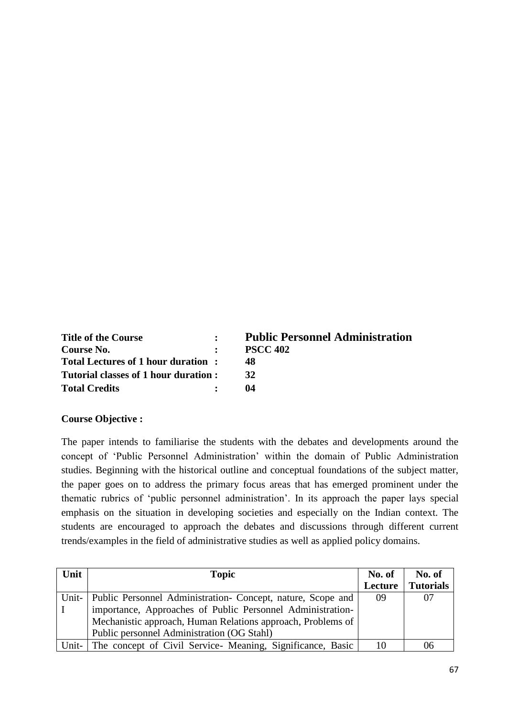| <b>Title of the Course</b>           | $\mathbf{R}$   | <b>Public Personnel Administration</b> |
|--------------------------------------|----------------|----------------------------------------|
| Course No.                           |                | <b>PSCC 402</b>                        |
| Total Lectures of 1 hour duration:   |                | 48                                     |
| Tutorial classes of 1 hour duration: |                | 32                                     |
| <b>Total Credits</b>                 | $\ddot{\cdot}$ | 04                                     |

#### **Course Objective :**

The paper intends to familiarise the students with the debates and developments around the concept of 'Public Personnel Administration' within the domain of Public Administration studies. Beginning with the historical outline and conceptual foundations of the subject matter, the paper goes on to address the primary focus areas that has emerged prominent under the thematic rubrics of 'public personnel administration'. In its approach the paper lays special emphasis on the situation in developing societies and especially on the Indian context. The students are encouraged to approach the debates and discussions through different current trends/examples in the field of administrative studies as well as applied policy domains.

| Unit  | <b>Topic</b>                                                        |         | No. of           |
|-------|---------------------------------------------------------------------|---------|------------------|
|       |                                                                     | Lecture | <b>Tutorials</b> |
|       | Unit-   Public Personnel Administration- Concept, nature, Scope and | 09      | 07               |
|       | importance, Approaches of Public Personnel Administration-          |         |                  |
|       | Mechanistic approach, Human Relations approach, Problems of         |         |                  |
|       | Public personnel Administration (OG Stahl)                          |         |                  |
| Unit- | The concept of Civil Service Meaning, Significance, Basic           | 10      | 06               |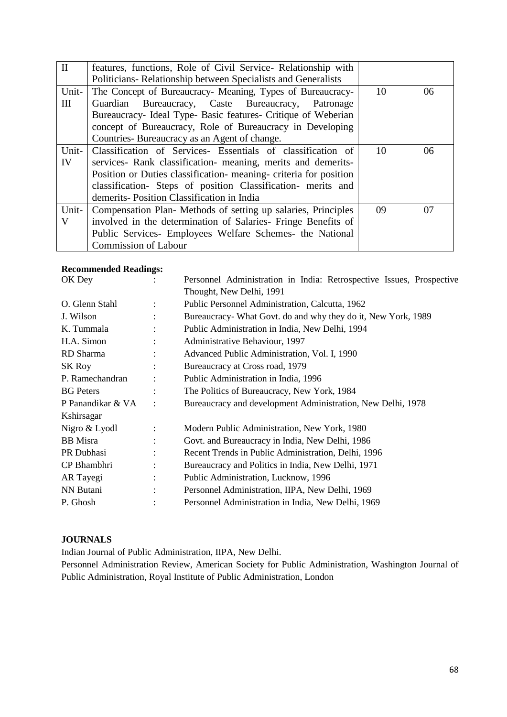| $\mathbf{I}$ | features, functions, Role of Civil Service- Relationship with     |    |    |
|--------------|-------------------------------------------------------------------|----|----|
|              | Politicians-Relationship between Specialists and Generalists      |    |    |
| Unit-        | The Concept of Bureaucracy- Meaning, Types of Bureaucracy-        | 10 | 06 |
| Ш            | Guardian Bureaucracy, Caste Bureaucracy, Patronage                |    |    |
|              | Bureaucracy- Ideal Type- Basic features- Critique of Weberian     |    |    |
|              | concept of Bureaucracy, Role of Bureaucracy in Developing         |    |    |
|              | Countries-Bureaucracy as an Agent of change.                      |    |    |
| Unit-        | Classification of Services- Essentials of classification of       | 10 | 06 |
| IV           | services- Rank classification- meaning, merits and demerits-      |    |    |
|              | Position or Duties classification- meaning- criteria for position |    |    |
|              | classification- Steps of position Classification- merits and      |    |    |
|              | demerits-Position Classification in India                         |    |    |
| Unit-        | Compensation Plan-Methods of setting up salaries, Principles      | 09 | 07 |
| V            | involved in the determination of Salaries- Fringe Benefits of     |    |    |
|              | Public Services- Employees Welfare Schemes- the National          |    |    |
|              | <b>Commission of Labour</b>                                       |    |    |

| OK Dey            |                | Personnel Administration in India: Retrospective Issues, Prospective |  |  |  |
|-------------------|----------------|----------------------------------------------------------------------|--|--|--|
|                   |                | Thought, New Delhi, 1991                                             |  |  |  |
| O. Glenn Stahl    | $\ddot{\cdot}$ | Public Personnel Administration, Calcutta, 1962                      |  |  |  |
| J. Wilson         |                | Bureaucracy- What Govt. do and why they do it, New York, 1989        |  |  |  |
| K. Tummala        |                | Public Administration in India, New Delhi, 1994                      |  |  |  |
| H.A. Simon        |                | Administrative Behaviour, 1997                                       |  |  |  |
| RD Sharma         |                | Advanced Public Administration, Vol. I, 1990                         |  |  |  |
| SK Roy            |                | Bureaucracy at Cross road, 1979                                      |  |  |  |
| P. Ramechandran   |                | Public Administration in India, 1996                                 |  |  |  |
| <b>BG</b> Peters  |                | The Politics of Bureaucracy, New York, 1984                          |  |  |  |
| P Panandikar & VA |                | Bureaucracy and development Administration, New Delhi, 1978          |  |  |  |
| Kshirsagar        |                |                                                                      |  |  |  |
| Nigro & Lyodl     |                | Modern Public Administration, New York, 1980                         |  |  |  |
| <b>BB</b> Misra   |                | Govt. and Bureaucracy in India, New Delhi, 1986                      |  |  |  |
| PR Dubhasi        |                | Recent Trends in Public Administration, Delhi, 1996                  |  |  |  |
| CP Bhambhri       |                | Bureaucracy and Politics in India, New Delhi, 1971                   |  |  |  |
| AR Tayegi         |                | Public Administration, Lucknow, 1996                                 |  |  |  |
| NN Butani         |                | Personnel Administration, IIPA, New Delhi, 1969                      |  |  |  |
| P. Ghosh          |                | Personnel Administration in India, New Delhi, 1969                   |  |  |  |
|                   |                |                                                                      |  |  |  |

### **JOURNALS**

Indian Journal of Public Administration, IIPA, New Delhi.

Personnel Administration Review, American Society for Public Administration, Washington Journal of Public Administration, Royal Institute of Public Administration, London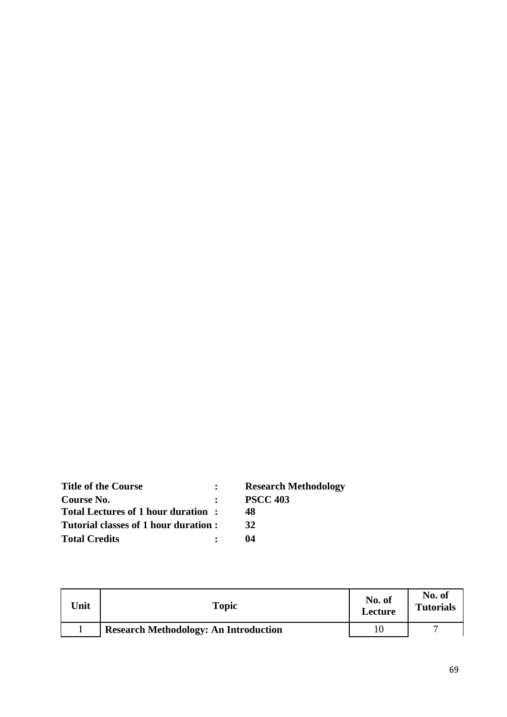| <b>Title of the Course</b>           |              | <b>Research Methodology</b> |
|--------------------------------------|--------------|-----------------------------|
| Course No.                           | $\mathbf{r}$ | <b>PSCC 403</b>             |
| Total Lectures of 1 hour duration:   |              | 48                          |
| Tutorial classes of 1 hour duration: |              | 32                          |
| <b>Total Credits</b>                 |              | 04                          |

| <b>Jnit</b> | Topic                                        | No. of<br>Lecture | No. of<br><b>Tutorials</b> |
|-------------|----------------------------------------------|-------------------|----------------------------|
|             | <b>Research Methodology: An Introduction</b> |                   |                            |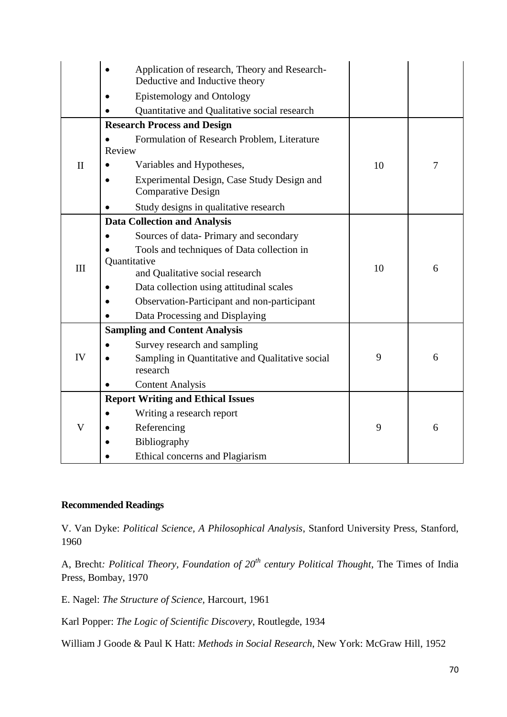|              | Application of research, Theory and Research-<br>Deductive and Inductive theory |    |   |  |
|--------------|---------------------------------------------------------------------------------|----|---|--|
|              | <b>Epistemology and Ontology</b>                                                |    |   |  |
|              | Quantitative and Qualitative social research                                    |    |   |  |
|              | <b>Research Process and Design</b>                                              |    |   |  |
|              | Formulation of Research Problem, Literature                                     |    |   |  |
|              | Review                                                                          |    |   |  |
| $\mathbf{I}$ | Variables and Hypotheses,                                                       | 10 | 7 |  |
|              | Experimental Design, Case Study Design and<br><b>Comparative Design</b>         |    |   |  |
|              | Study designs in qualitative research                                           |    |   |  |
|              | <b>Data Collection and Analysis</b>                                             |    |   |  |
|              | Sources of data-Primary and secondary                                           |    |   |  |
|              | Tools and techniques of Data collection in                                      |    |   |  |
| III          | Quantitative                                                                    | 10 |   |  |
|              | and Qualitative social research                                                 |    | 6 |  |
|              | Data collection using attitudinal scales                                        |    |   |  |
|              | Observation-Participant and non-participant                                     |    |   |  |
|              | Data Processing and Displaying                                                  |    |   |  |
|              | <b>Sampling and Content Analysis</b>                                            |    |   |  |
|              | Survey research and sampling                                                    |    |   |  |
| IV           | Sampling in Quantitative and Qualitative social                                 | 9  | 6 |  |
|              | research                                                                        |    |   |  |
|              | <b>Content Analysis</b>                                                         |    |   |  |
|              | <b>Report Writing and Ethical Issues</b>                                        |    |   |  |
| V            | Writing a research report                                                       |    |   |  |
|              | Referencing                                                                     | 9  | 6 |  |
|              | Bibliography                                                                    |    |   |  |
|              | Ethical concerns and Plagiarism                                                 |    |   |  |

V. Van Dyke: *Political Science, A Philosophical Analysis*, Stanford University Press, Stanford, 1960

A, Brecht*: Political Theory, Foundation of 20th century Political Thought*, The Times of India Press, Bombay, 1970

E. Nagel: *The Structure of Science,* Harcourt, 1961

Karl Popper: *The Logic of Scientific Discovery*, Routlegde, 1934

William J Goode & Paul K Hatt: *Methods in Social Research*, New York: McGraw Hill, 1952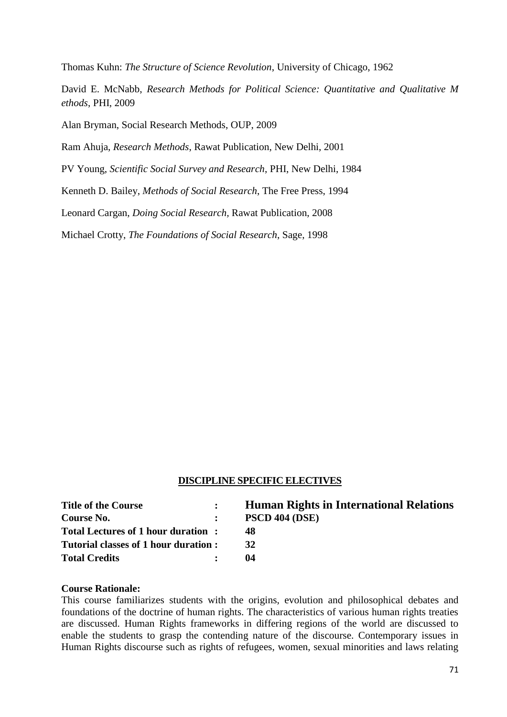Thomas Kuhn: *The Structure of Science Revolution*, University of Chicago, 1962

David E. McNabb, *Research Methods for Political Science: Quantitative and Qualitative M ethods*, PHI, 2009

Alan Bryman, Social Research Methods, OUP, 2009

Ram Ahuja, *Research Methods*, Rawat Publication, New Delhi, 2001

PV Young, *Scientific Social Survey and Research*, PHI, New Delhi, 1984

Kenneth D. Bailey, *Methods of Social Research*, The Free Press, 1994

Leonard Cargan, *Doing Social Research,* Rawat Publication, 2008

Michael Crotty, *The Foundations of Social Research*, Sage, 1998

#### **DISCIPLINE SPECIFIC ELECTIVES**

| <b>Title of the Course</b>           | $\mathbf{r}$ | <b>Human Rights in International Relations</b> |
|--------------------------------------|--------------|------------------------------------------------|
| Course No.                           |              | <b>PSCD 404 (DSE)</b>                          |
| Total Lectures of 1 hour duration:   |              | 48                                             |
| Tutorial classes of 1 hour duration: |              | 32                                             |
| <b>Total Credits</b>                 |              | 04                                             |

#### **Course Rationale:**

This course familiarizes students with the origins, evolution and philosophical debates and foundations of the doctrine of human rights. The characteristics of various human rights treaties are discussed. Human Rights frameworks in differing regions of the world are discussed to enable the students to grasp the contending nature of the discourse. Contemporary issues in Human Rights discourse such as rights of refugees, women, sexual minorities and laws relating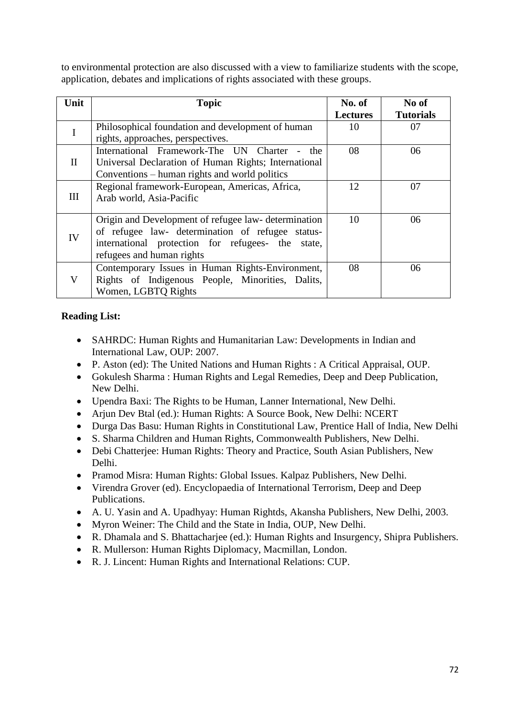to environmental protection are also discussed with a view to familiarize students with the scope, application, debates and implications of rights associated with these groups.

| Unit         | <b>Topic</b>                                         | No. of          | No of            |
|--------------|------------------------------------------------------|-----------------|------------------|
|              |                                                      | <b>Lectures</b> | <b>Tutorials</b> |
| I            | Philosophical foundation and development of human    | 10              | 07               |
|              | rights, approaches, perspectives.                    |                 |                  |
|              | International Framework-The UN Charter<br>the        | 08              | 06               |
| $\mathbf{I}$ | Universal Declaration of Human Rights; International |                 |                  |
|              | Conventions – human rights and world politics        |                 |                  |
|              | Regional framework-European, Americas, Africa,       | 12              | 07               |
| III          | Arab world, Asia-Pacific                             |                 |                  |
|              |                                                      |                 |                  |
|              | Origin and Development of refugee law- determination | 10              | 06               |
| IV           | of refugee law- determination of refugee status-     |                 |                  |
|              | international protection for refugees- the<br>state, |                 |                  |
|              | refugees and human rights                            |                 |                  |
|              | Contemporary Issues in Human Rights-Environment,     | 08              | 06               |
| $\mathbf V$  | Rights of Indigenous People, Minorities, Dalits,     |                 |                  |
|              | Women, LGBTQ Rights                                  |                 |                  |

## **Reading List:**

- SAHRDC: Human Rights and Humanitarian Law: Developments in Indian and International Law, OUP: 2007.
- P. Aston (ed): The United Nations and Human Rights : A Critical Appraisal, OUP.
- Gokulesh Sharma : Human Rights and Legal Remedies, Deep and Deep Publication, New Delhi.
- Upendra Baxi: The Rights to be Human, Lanner International, New Delhi.
- Arjun Dev Btal (ed.): Human Rights: A Source Book, New Delhi: NCERT
- Durga Das Basu: Human Rights in Constitutional Law, Prentice Hall of India, New Delhi
- S. Sharma Children and Human Rights, Commonwealth Publishers, New Delhi.
- Debi Chatterjee: Human Rights: Theory and Practice, South Asian Publishers, New Delhi.
- Pramod Misra: Human Rights: Global Issues. Kalpaz Publishers, New Delhi.
- Virendra Grover (ed). Encyclopaedia of International Terrorism, Deep and Deep Publications.
- A. U. Yasin and A. Upadhyay: Human Rightds, Akansha Publishers, New Delhi, 2003.
- Myron Weiner: The Child and the State in India, OUP, New Delhi.
- R. Dhamala and S. Bhattacharjee (ed.): Human Rights and Insurgency, Shipra Publishers.
- R. Mullerson: Human Rights Diplomacy, Macmillan, London.
- R. J. Lincent: Human Rights and International Relations: CUP.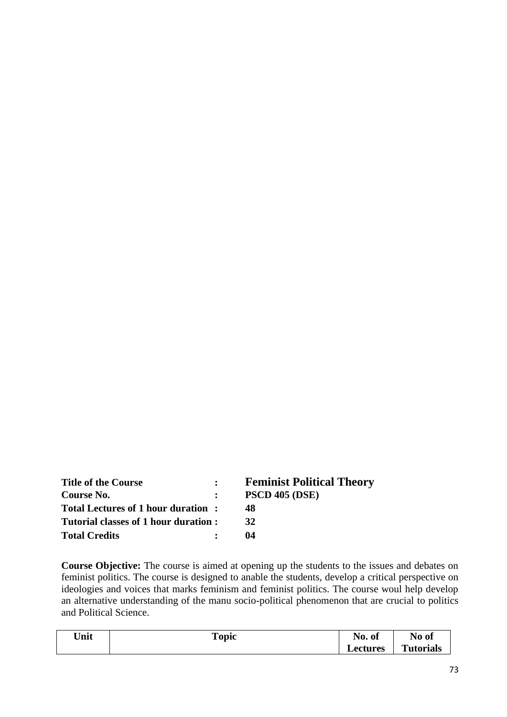| <b>Title of the Course</b>           | $\mathbf{L}$ | <b>Feminist Political Theory</b> |
|--------------------------------------|--------------|----------------------------------|
| Course No.                           | $\mathbf{r}$ | <b>PSCD 405 (DSE)</b>            |
| Total Lectures of 1 hour duration:   |              | 48.                              |
| Tutorial classes of 1 hour duration: |              | 32                               |
| <b>Total Credits</b>                 |              | 04                               |

**Course Objective:** The course is aimed at opening up the students to the issues and debates on feminist politics. The course is designed to anable the students, develop a critical perspective on ideologies and voices that marks feminism and feminist politics. The course woul help develop an alternative understanding of the manu socio-political phenomenon that are crucial to politics and Political Science.

| Unit | `opic | $\blacksquare$<br>NO.<br>-ot | No of            |
|------|-------|------------------------------|------------------|
|      |       | $\rm \mu$ ectures            | <b>Tutorials</b> |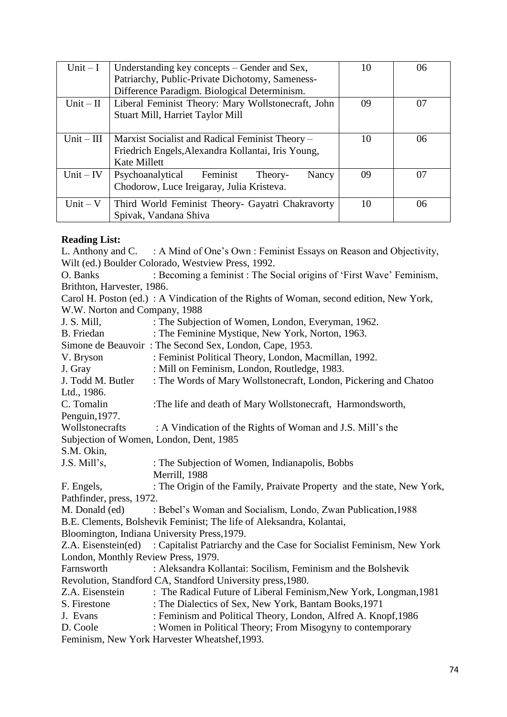| Unit $-I$    | Understanding key concepts – Gender and Sex,<br>Patriarchy, Public-Private Dichotomy, Sameness-<br>Difference Paradigm. Biological Determinism. | 10 | 06 |
|--------------|-------------------------------------------------------------------------------------------------------------------------------------------------|----|----|
| Unit $-II$   | Liberal Feminist Theory: Mary Wollstonecraft, John<br>Stuart Mill, Harriet Taylor Mill                                                          | 09 | 07 |
| $Unit - III$ | Marxist Socialist and Radical Feminist Theory –<br>Friedrich Engels, Alexandra Kollantai, Iris Young,<br>Kate Millett                           | 10 | 06 |
| $Unit - IV$  | Psychoanalytical Feminist<br>Nancy<br>Theory-<br>Chodorow, Luce Ireigaray, Julia Kristeva.                                                      | 09 | 07 |
| Unit $-V$    | Third World Feminist Theory- Gayatri Chakravorty<br>Spivak, Vandana Shiva                                                                       | 10 | 06 |

### **Reading List:**

L. Anthony and C. : A Mind of One's Own : Feminist Essays on Reason and Objectivity, Wilt (ed.) Boulder Colorado, Westview Press, 1992. O. Banks : Becoming a feminist : The Social origins of 'First Wave' Feminism, Brithton, Harvester, 1986. Carol H. Poston (ed.) : A Vindication of the Rights of Woman, second edition, New York, W.W. Norton and Company, 1988 J. S. Mill, : The Subjection of Women, London, Everyman, 1962. B. Friedan : The Feminine Mystique, New York, Norton, 1963. Simone de Beauvoir : The Second Sex, London, Cape, 1953. V. Bryson : Feminist Political Theory, London, Macmillan, 1992. J. Gray : Mill on Feminism, London, Routledge, 1983. J. Todd M. Butler : The Words of Mary Wollstonecraft, London, Pickering and Chatoo Ltd., 1986. C. Tomalin :The life and death of Mary Wollstonecraft, Harmondsworth, Penguin,1977. Wollstonecrafts : A Vindication of the Rights of Woman and J.S. Mill's the Subjection of Women, London, Dent, 1985 S.M. Okin, J.S. Mill's, : The Subjection of Women, Indianapolis, Bobbs Merrill, 1988 F. Engels, : The Origin of the Family, Praivate Property and the state, New York, Pathfinder, press, 1972. M. Donald (ed) : Bebel's Woman and Socialism, Londo, Zwan Publication, 1988 B.E. Clements, Bolshevik Feminist; The life of Aleksandra, Kolantai, Bloomington, Indiana University Press,1979. Z.A. Eisenstein(ed) : Capitalist Patriarchy and the Case for Socialist Feminism, New York London, Monthly Review Press, 1979. Farnsworth : Aleksandra Kollantai: Socilism, Feminism and the Bolshevik Revolution, Standford CA, Standford University press,1980. Z.A. Eisenstein : The Radical Future of Liberal Feminism,New York, Longman,1981 S. Firestone : The Dialectics of Sex, New York, Bantam Books, 1971 J. Evans : Feminism and Political Theory, London, Alfred A. Knopf,1986 D. Coole : Women in Political Theory; From Misogyny to contemporary Feminism, New York Harvester Wheatshef,1993.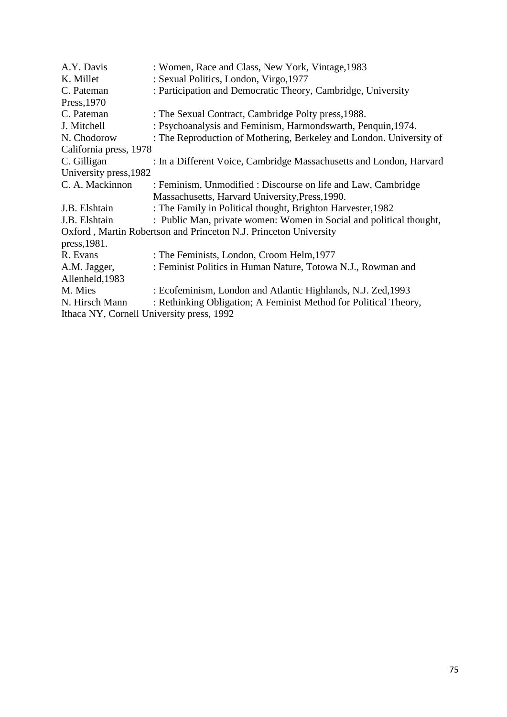| A.Y. Davis                                | : Women, Race and Class, New York, Vintage, 1983                    |
|-------------------------------------------|---------------------------------------------------------------------|
| K. Millet                                 | : Sexual Politics, London, Virgo, 1977                              |
| C. Pateman                                | : Participation and Democratic Theory, Cambridge, University        |
| Press, 1970                               |                                                                     |
| C. Pateman                                | : The Sexual Contract, Cambridge Polty press, 1988.                 |
| J. Mitchell                               | : Psychoanalysis and Feminism, Harmondswarth, Penquin, 1974.        |
| N. Chodorow                               | : The Reproduction of Mothering, Berkeley and London. University of |
| California press, 1978                    |                                                                     |
| C. Gilligan                               | : In a Different Voice, Cambridge Massachusetts and London, Harvard |
| University press, 1982                    |                                                                     |
| C. A. Mackinnon                           | : Feminism, Unmodified : Discourse on life and Law, Cambridge       |
|                                           | Massachusetts, Harvard University, Press, 1990.                     |
| J.B. Elshtain                             | : The Family in Political thought, Brighton Harvester, 1982         |
| J.B. Elshtain                             | : Public Man, private women: Women in Social and political thought, |
|                                           | Oxford, Martin Robertson and Princeton N.J. Princeton University    |
| press, 1981.                              |                                                                     |
| R. Evans                                  | : The Feminists, London, Croom Helm, 1977                           |
| A.M. Jagger,                              | : Feminist Politics in Human Nature, Totowa N.J., Rowman and        |
| Allenheld, 1983                           |                                                                     |
| M. Mies                                   | : Ecofeminism, London and Atlantic Highlands, N.J. Zed, 1993        |
| N. Hirsch Mann                            | : Rethinking Obligation; A Feminist Method for Political Theory,    |
| Ithaca NY, Cornell University press, 1992 |                                                                     |
|                                           |                                                                     |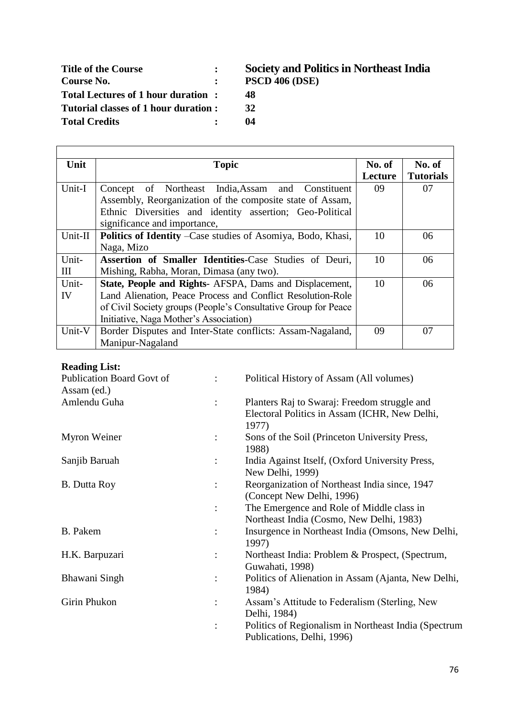| <b>Title of the Course</b>            | <b>Society and Pol</b> |
|---------------------------------------|------------------------|
| Course No.                            | <b>PSCD 406 (DSE)</b>  |
| Total Lectures of 1 hour duration:    | 48                     |
| Tutorial classes of 1 hour duration : | 32                     |
| <b>Total Credits</b>                  | 04                     |

# **Title of the Course : Society and Politics in Northeast India**

- 
- 

| Unit    | <b>Topic</b>                                                       | No. of  | No. of           |
|---------|--------------------------------------------------------------------|---------|------------------|
|         |                                                                    | Lecture | <b>Tutorials</b> |
| Unit-I  | Concept of Northeast India, Assam and Constituent                  | 09      | 07               |
|         | Assembly, Reorganization of the composite state of Assam,          |         |                  |
|         | Ethnic Diversities and identity assertion; Geo-Political           |         |                  |
|         | significance and importance,                                       |         |                  |
| Unit-II | <b>Politics of Identity –Case studies of Asomiya, Bodo, Khasi,</b> | 10      | 06               |
|         | Naga, Mizo                                                         |         |                  |
| Unit-   | Assertion of Smaller Identities-Case Studies of Deuri,             | 10      | 06               |
| Ш       | Mishing, Rabha, Moran, Dimasa (any two).                           |         |                  |
| Unit-   | State, People and Rights- AFSPA, Dams and Displacement,            | 10      | 06               |
| IV      | Land Alienation, Peace Process and Conflict Resolution-Role        |         |                  |
|         | of Civil Society groups (People's Consultative Group for Peace     |         |                  |
|         | Initiative, Naga Mother's Association)                             |         |                  |
| Unit-V  | Border Disputes and Inter-State conflicts: Assam-Nagaland,         | 09      | 07               |
|         | Manipur-Nagaland                                                   |         |                  |

### **Reading List:**

 $\Gamma$ 

| <b>Publication Board Govt of</b> |                | Political History of Assam (All volumes)                                                               |
|----------------------------------|----------------|--------------------------------------------------------------------------------------------------------|
| Assam (ed.)                      |                |                                                                                                        |
| Amlendu Guha                     | $\ddot{\cdot}$ | Planters Raj to Swaraj: Freedom struggle and<br>Electoral Politics in Assam (ICHR, New Delhi,<br>1977) |
| Myron Weiner                     | $\ddot{\cdot}$ | Sons of the Soil (Princeton University Press,<br>1988)                                                 |
| Sanjib Baruah                    |                | India Against Itself, (Oxford University Press,<br>New Delhi, 1999)                                    |
| <b>B.</b> Dutta Roy              | $\ddot{\cdot}$ | Reorganization of Northeast India since, 1947<br>(Concept New Delhi, 1996)                             |
|                                  | $\ddot{\cdot}$ | The Emergence and Role of Middle class in<br>Northeast India (Cosmo, New Delhi, 1983)                  |
| B. Pakem                         | $\ddot{\cdot}$ | Insurgence in Northeast India (Omsons, New Delhi,<br>1997)                                             |
| H.K. Barpuzari                   | $\ddot{\cdot}$ | Northeast India: Problem & Prospect, (Spectrum,<br>Guwahati, 1998)                                     |
| Bhawani Singh                    |                | Politics of Alienation in Assam (Ajanta, New Delhi,<br>1984)                                           |
| Girin Phukon                     | $\ddot{\cdot}$ | Assam's Attitude to Federalism (Sterling, New<br>Delhi, 1984)                                          |
|                                  | $\ddot{\cdot}$ | Politics of Regionalism in Northeast India (Spectrum<br>Publications, Delhi, 1996)                     |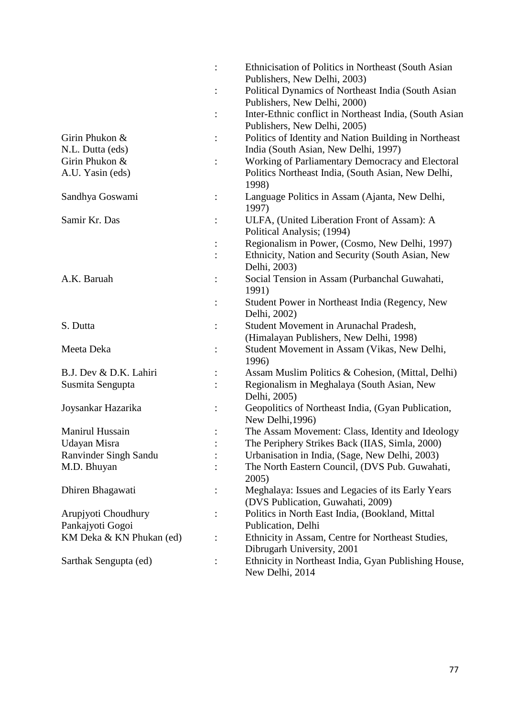|                          |                | Ethnicisation of Politics in Northeast (South Asian                     |
|--------------------------|----------------|-------------------------------------------------------------------------|
|                          |                | Publishers, New Delhi, 2003)                                            |
|                          |                | Political Dynamics of Northeast India (South Asian                      |
|                          |                | Publishers, New Delhi, 2000)                                            |
|                          |                | Inter-Ethnic conflict in Northeast India, (South Asian                  |
|                          |                | Publishers, New Delhi, 2005)                                            |
| Girin Phukon &           | $\vdots$       | Politics of Identity and Nation Building in Northeast                   |
| N.L. Dutta (eds)         |                | India (South Asian, New Delhi, 1997)                                    |
| Girin Phukon &           |                | Working of Parliamentary Democracy and Electoral                        |
| A.U. Yasin (eds)         |                | Politics Northeast India, (South Asian, New Delhi,<br>1998)             |
| Sandhya Goswami          | $\ddot{\cdot}$ | Language Politics in Assam (Ajanta, New Delhi,<br>1997)                 |
| Samir Kr. Das            |                | ULFA, (United Liberation Front of Assam): A                             |
|                          |                | Political Analysis; (1994)                                              |
|                          |                | Regionalism in Power, (Cosmo, New Delhi, 1997)                          |
|                          |                | Ethnicity, Nation and Security (South Asian, New                        |
|                          |                | Delhi, 2003)                                                            |
| A.K. Baruah              |                | Social Tension in Assam (Purbanchal Guwahati,                           |
|                          |                | 1991)                                                                   |
|                          |                | Student Power in Northeast India (Regency, New                          |
|                          |                | Delhi, 2002)                                                            |
| S. Dutta                 |                | Student Movement in Arunachal Pradesh,                                  |
|                          |                | (Himalayan Publishers, New Delhi, 1998)                                 |
| Meeta Deka               |                | Student Movement in Assam (Vikas, New Delhi,<br>1996)                   |
| B.J. Dev & D.K. Lahiri   |                | Assam Muslim Politics & Cohesion, (Mittal, Delhi)                       |
| Susmita Sengupta         |                | Regionalism in Meghalaya (South Asian, New                              |
|                          |                | Delhi, 2005)                                                            |
| Joysankar Hazarika       | :              | Geopolitics of Northeast India, (Gyan Publication,<br>New Delhi, 1996)  |
| Manirul Hussain          |                | The Assam Movement: Class, Identity and Ideology                        |
| Udayan Misra             |                | The Periphery Strikes Back (IIAS, Simla, 2000)                          |
| Ranvinder Singh Sandu    |                | Urbanisation in India, (Sage, New Delhi, 2003)                          |
| M.D. Bhuyan              |                | The North Eastern Council, (DVS Pub. Guwahati,                          |
|                          |                | 2005)                                                                   |
| Dhiren Bhagawati         |                | Meghalaya: Issues and Legacies of its Early Years                       |
|                          |                | (DVS Publication, Guwahati, 2009)                                       |
| Arupjyoti Choudhury      |                | Politics in North East India, (Bookland, Mittal                         |
| Pankajyoti Gogoi         |                | Publication, Delhi                                                      |
| KM Deka & KN Phukan (ed) |                | Ethnicity in Assam, Centre for Northeast Studies,                       |
|                          |                | Dibrugarh University, 2001                                              |
| Sarthak Sengupta (ed)    |                | Ethnicity in Northeast India, Gyan Publishing House,<br>New Delhi, 2014 |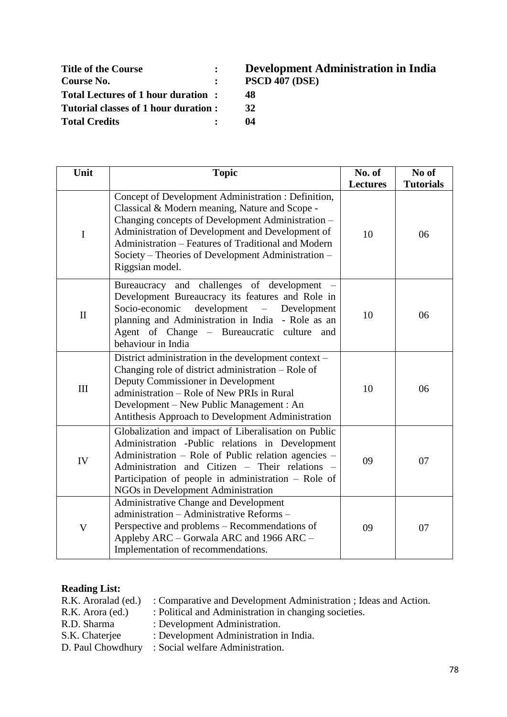| <b>Title of the Course</b>           | <b>Development</b> A  |
|--------------------------------------|-----------------------|
| Course No.                           | <b>PSCD 407 (DSE)</b> |
| Total Lectures of 1 hour duration:   | 48                    |
| Tutorial classes of 1 hour duration: | 32                    |
| <b>Total Credits</b>                 | 04                    |

# **Title of the Course : Development Administration in India**

- 
- 

| Unit                      | <b>Topic</b>                                                                                                                                                                                                                                                                                                                                   | No. of<br><b>Lectures</b> | No of<br><b>Tutorials</b> |
|---------------------------|------------------------------------------------------------------------------------------------------------------------------------------------------------------------------------------------------------------------------------------------------------------------------------------------------------------------------------------------|---------------------------|---------------------------|
| $\mathbf I$               | Concept of Development Administration : Definition,<br>Classical & Modern meaning, Nature and Scope -<br>Changing concepts of Development Administration -<br>Administration of Development and Development of<br>Administration - Features of Traditional and Modern<br>Society – Theories of Development Administration –<br>Riggsian model. | 10                        | 06                        |
| $\mathbf{I}$              | Bureaucracy and challenges of development<br>Development Bureaucracy its features and Role in<br>development –<br>Socio-economic<br>Development<br>planning and Administration in India - Role as an<br>Agent of Change - Bureaucratic<br>culture and<br>behaviour in India                                                                    | 10                        | 06                        |
| III                       | District administration in the development context –<br>Changing role of district administration – Role of<br>Deputy Commissioner in Development<br>administration – Role of New PRIs in Rural<br>Development – New Public Management : An<br>Antithesis Approach to Development Administration                                                | 10                        | 06                        |
| IV                        | Globalization and impact of Liberalisation on Public<br>Administration -Public relations in Development<br>Administration – Role of Public relation agencies –<br>Administration and Citizen - Their relations -<br>Participation of people in administration $-$ Role of<br>NGOs in Development Administration                                | 09                        | 07                        |
| $\boldsymbol{\mathrm{V}}$ | <b>Administrative Change and Development</b><br>administration - Administrative Reforms -<br>Perspective and problems – Recommendations of<br>Appleby ARC - Gorwala ARC and 1966 ARC -<br>Implementation of recommendations.                                                                                                                   | 09                        | 07                        |

## **Reading List:**

| R.K. Aroralad (ed.) | : Comparative and Development Administration ; Ideas and Action. |
|---------------------|------------------------------------------------------------------|
| R.K. Arora (ed.)    | : Political and Administration in changing societies.            |
| R.D. Sharma         | : Development Administration.                                    |
| S.K. Chaterjee      | : Development Administration in India.                           |
| D. Paul Chowdhury   | : Social welfare Administration.                                 |